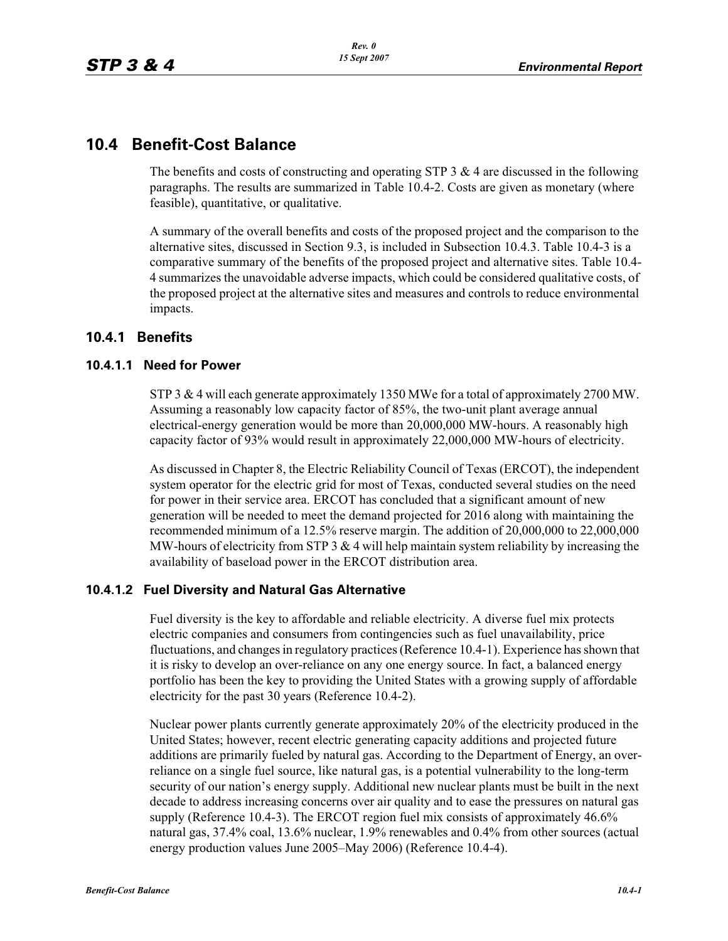# **10.4 Benefit-Cost Balance**

The benefits and costs of constructing and operating STP  $3 \& 4$  are discussed in the following paragraphs. The results are summarized in Table 10.4-2. Costs are given as monetary (where feasible), quantitative, or qualitative.

A summary of the overall benefits and costs of the proposed project and the comparison to the alternative sites, discussed in Section 9.3, is included in Subsection 10.4.3. Table 10.4-3 is a comparative summary of the benefits of the proposed project and alternative sites. Table 10.4- 4 summarizes the unavoidable adverse impacts, which could be considered qualitative costs, of the proposed project at the alternative sites and measures and controls to reduce environmental impacts.

## **10.4.1 Benefits**

#### **10.4.1.1 Need for Power**

STP 3 & 4 will each generate approximately 1350 MWe for a total of approximately 2700 MW. Assuming a reasonably low capacity factor of 85%, the two-unit plant average annual electrical-energy generation would be more than 20,000,000 MW-hours. A reasonably high capacity factor of 93% would result in approximately 22,000,000 MW-hours of electricity.

As discussed in Chapter 8, the Electric Reliability Council of Texas (ERCOT), the independent system operator for the electric grid for most of Texas, conducted several studies on the need for power in their service area. ERCOT has concluded that a significant amount of new generation will be needed to meet the demand projected for 2016 along with maintaining the recommended minimum of a 12.5% reserve margin. The addition of 20,000,000 to 22,000,000 MW-hours of electricity from STP 3  $\&$  4 will help maintain system reliability by increasing the availability of baseload power in the ERCOT distribution area.

### **10.4.1.2 Fuel Diversity and Natural Gas Alternative**

Fuel diversity is the key to affordable and reliable electricity. A diverse fuel mix protects electric companies and consumers from contingencies such as fuel unavailability, price fluctuations, and changes in regulatory practices (Reference 10.4-1). Experience has shown that it is risky to develop an over-reliance on any one energy source. In fact, a balanced energy portfolio has been the key to providing the United States with a growing supply of affordable electricity for the past 30 years (Reference 10.4-2).

Nuclear power plants currently generate approximately 20% of the electricity produced in the United States; however, recent electric generating capacity additions and projected future additions are primarily fueled by natural gas. According to the Department of Energy, an overreliance on a single fuel source, like natural gas, is a potential vulnerability to the long-term security of our nation's energy supply. Additional new nuclear plants must be built in the next decade to address increasing concerns over air quality and to ease the pressures on natural gas supply (Reference 10.4-3). The ERCOT region fuel mix consists of approximately 46.6% natural gas, 37.4% coal, 13.6% nuclear, 1.9% renewables and 0.4% from other sources (actual energy production values June 2005–May 2006) (Reference 10.4-4).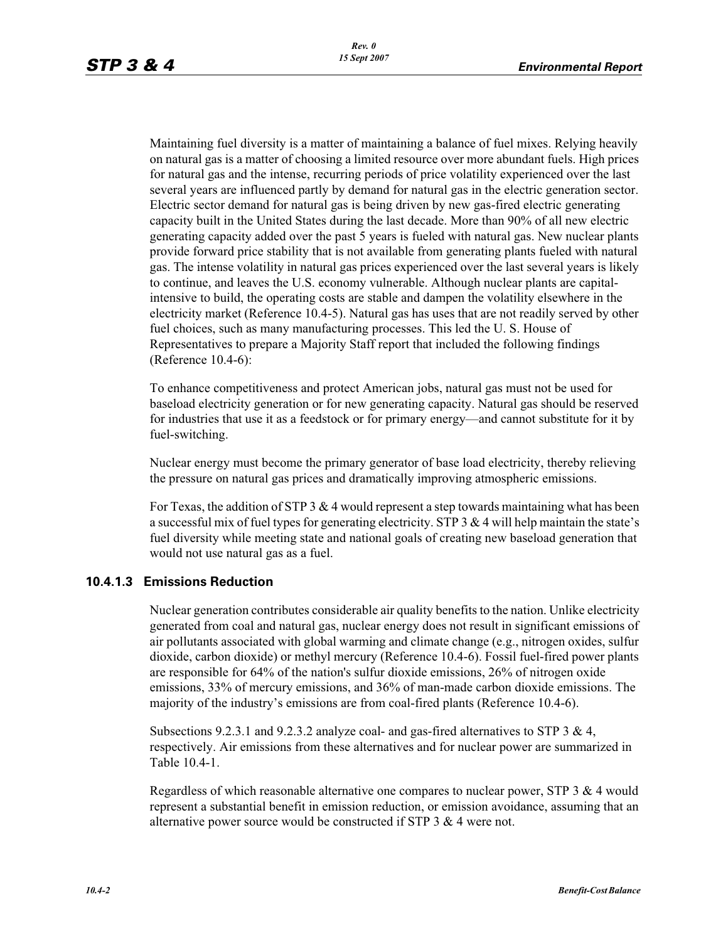Maintaining fuel diversity is a matter of maintaining a balance of fuel mixes. Relying heavily on natural gas is a matter of choosing a limited resource over more abundant fuels. High prices for natural gas and the intense, recurring periods of price volatility experienced over the last several years are influenced partly by demand for natural gas in the electric generation sector. Electric sector demand for natural gas is being driven by new gas-fired electric generating capacity built in the United States during the last decade. More than 90% of all new electric generating capacity added over the past 5 years is fueled with natural gas. New nuclear plants provide forward price stability that is not available from generating plants fueled with natural gas. The intense volatility in natural gas prices experienced over the last several years is likely to continue, and leaves the U.S. economy vulnerable. Although nuclear plants are capitalintensive to build, the operating costs are stable and dampen the volatility elsewhere in the electricity market (Reference 10.4-5). Natural gas has uses that are not readily served by other fuel choices, such as many manufacturing processes. This led the U. S. House of Representatives to prepare a Majority Staff report that included the following findings (Reference 10.4-6):

To enhance competitiveness and protect American jobs, natural gas must not be used for baseload electricity generation or for new generating capacity. Natural gas should be reserved for industries that use it as a feedstock or for primary energy—and cannot substitute for it by fuel-switching.

Nuclear energy must become the primary generator of base load electricity, thereby relieving the pressure on natural gas prices and dramatically improving atmospheric emissions.

For Texas, the addition of STP 3  $&$  4 would represent a step towards maintaining what has been a successful mix of fuel types for generating electricity. STP  $3 \& 4$  will help maintain the state's fuel diversity while meeting state and national goals of creating new baseload generation that would not use natural gas as a fuel.

### **10.4.1.3 Emissions Reduction**

Nuclear generation contributes considerable air quality benefits to the nation. Unlike electricity generated from coal and natural gas, nuclear energy does not result in significant emissions of air pollutants associated with global warming and climate change (e.g., nitrogen oxides, sulfur dioxide, carbon dioxide) or methyl mercury (Reference 10.4-6). Fossil fuel-fired power plants are responsible for 64% of the nation's sulfur dioxide emissions, 26% of nitrogen oxide emissions, 33% of mercury emissions, and 36% of man-made carbon dioxide emissions. The majority of the industry's emissions are from coal-fired plants (Reference 10.4-6).

Subsections 9.2.3.1 and 9.2.3.2 analyze coal- and gas-fired alternatives to STP 3 & 4, respectively. Air emissions from these alternatives and for nuclear power are summarized in Table 10.4-1.

Regardless of which reasonable alternative one compares to nuclear power, STP 3 & 4 would represent a substantial benefit in emission reduction, or emission avoidance, assuming that an alternative power source would be constructed if STP 3 & 4 were not.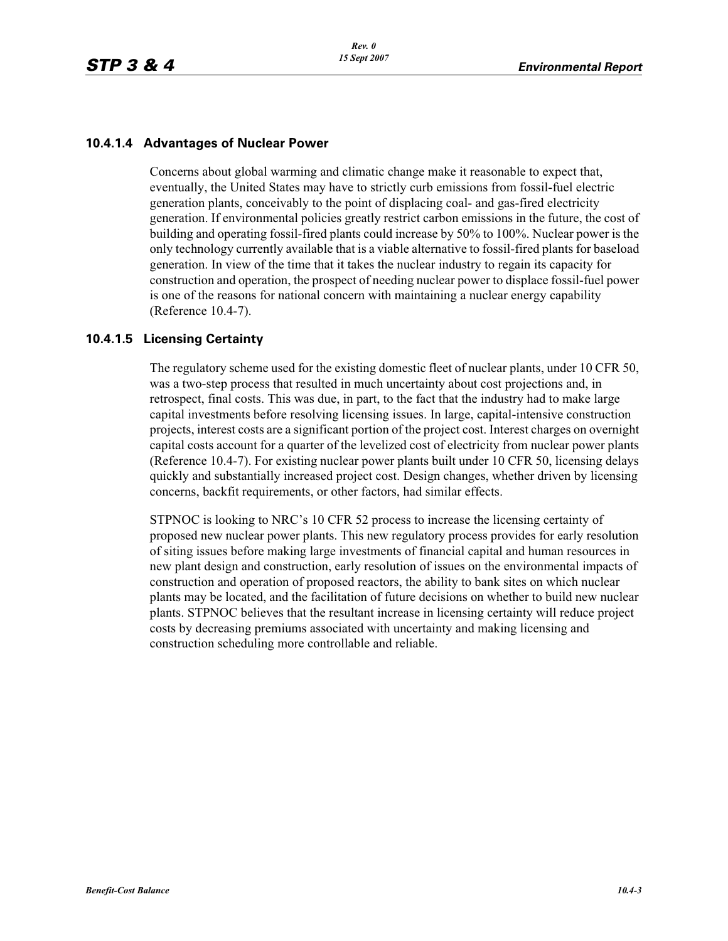#### **10.4.1.4 Advantages of Nuclear Power**

Concerns about global warming and climatic change make it reasonable to expect that, eventually, the United States may have to strictly curb emissions from fossil-fuel electric generation plants, conceivably to the point of displacing coal- and gas-fired electricity generation. If environmental policies greatly restrict carbon emissions in the future, the cost of building and operating fossil-fired plants could increase by 50% to 100%. Nuclear power is the only technology currently available that is a viable alternative to fossil-fired plants for baseload generation. In view of the time that it takes the nuclear industry to regain its capacity for construction and operation, the prospect of needing nuclear power to displace fossil-fuel power is one of the reasons for national concern with maintaining a nuclear energy capability (Reference 10.4-7).

#### **10.4.1.5 Licensing Certainty**

The regulatory scheme used for the existing domestic fleet of nuclear plants, under 10 CFR 50, was a two-step process that resulted in much uncertainty about cost projections and, in retrospect, final costs. This was due, in part, to the fact that the industry had to make large capital investments before resolving licensing issues. In large, capital-intensive construction projects, interest costs are a significant portion of the project cost. Interest charges on overnight capital costs account for a quarter of the levelized cost of electricity from nuclear power plants (Reference 10.4-7). For existing nuclear power plants built under 10 CFR 50, licensing delays quickly and substantially increased project cost. Design changes, whether driven by licensing concerns, backfit requirements, or other factors, had similar effects.

STPNOC is looking to NRC's 10 CFR 52 process to increase the licensing certainty of proposed new nuclear power plants. This new regulatory process provides for early resolution of siting issues before making large investments of financial capital and human resources in new plant design and construction, early resolution of issues on the environmental impacts of construction and operation of proposed reactors, the ability to bank sites on which nuclear plants may be located, and the facilitation of future decisions on whether to build new nuclear plants. STPNOC believes that the resultant increase in licensing certainty will reduce project costs by decreasing premiums associated with uncertainty and making licensing and construction scheduling more controllable and reliable.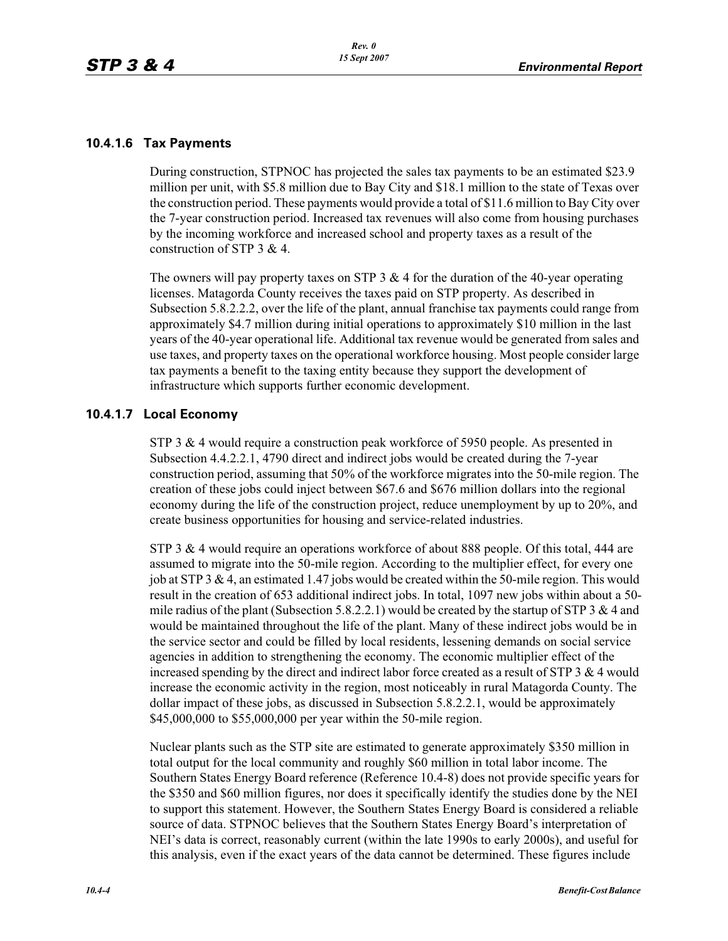#### **10.4.1.6 Tax Payments**

During construction, STPNOC has projected the sales tax payments to be an estimated \$23.9 million per unit, with \$5.8 million due to Bay City and \$18.1 million to the state of Texas over the construction period. These payments would provide a total of \$11.6 million to Bay City over the 7-year construction period. Increased tax revenues will also come from housing purchases by the incoming workforce and increased school and property taxes as a result of the construction of STP 3 & 4.

The owners will pay property taxes on STP  $3 \& 4$  for the duration of the 40-year operating licenses. Matagorda County receives the taxes paid on STP property. As described in Subsection 5.8.2.2.2, over the life of the plant, annual franchise tax payments could range from approximately \$4.7 million during initial operations to approximately \$10 million in the last years of the 40-year operational life. Additional tax revenue would be generated from sales and use taxes, and property taxes on the operational workforce housing. Most people consider large tax payments a benefit to the taxing entity because they support the development of infrastructure which supports further economic development.

### **10.4.1.7 Local Economy**

STP 3 & 4 would require a construction peak workforce of 5950 people. As presented in Subsection 4.4.2.2.1, 4790 direct and indirect jobs would be created during the 7-year construction period, assuming that 50% of the workforce migrates into the 50-mile region. The creation of these jobs could inject between \$67.6 and \$676 million dollars into the regional economy during the life of the construction project, reduce unemployment by up to 20%, and create business opportunities for housing and service-related industries.

STP 3 & 4 would require an operations workforce of about 888 people. Of this total, 444 are assumed to migrate into the 50-mile region. According to the multiplier effect, for every one job at STP 3 & 4, an estimated 1.47 jobs would be created within the 50-mile region. This would result in the creation of 653 additional indirect jobs. In total, 1097 new jobs within about a 50 mile radius of the plant (Subsection 5.8.2.2.1) would be created by the startup of STP 3  $\&$  4 and would be maintained throughout the life of the plant. Many of these indirect jobs would be in the service sector and could be filled by local residents, lessening demands on social service agencies in addition to strengthening the economy. The economic multiplier effect of the increased spending by the direct and indirect labor force created as a result of STP  $3 \& 4$  would increase the economic activity in the region, most noticeably in rural Matagorda County. The dollar impact of these jobs, as discussed in Subsection 5.8.2.2.1, would be approximately \$45,000,000 to \$55,000,000 per year within the 50-mile region.

Nuclear plants such as the STP site are estimated to generate approximately \$350 million in total output for the local community and roughly \$60 million in total labor income. The Southern States Energy Board reference (Reference 10.4-8) does not provide specific years for the \$350 and \$60 million figures, nor does it specifically identify the studies done by the NEI to support this statement. However, the Southern States Energy Board is considered a reliable source of data. STPNOC believes that the Southern States Energy Board's interpretation of NEI's data is correct, reasonably current (within the late 1990s to early 2000s), and useful for this analysis, even if the exact years of the data cannot be determined. These figures include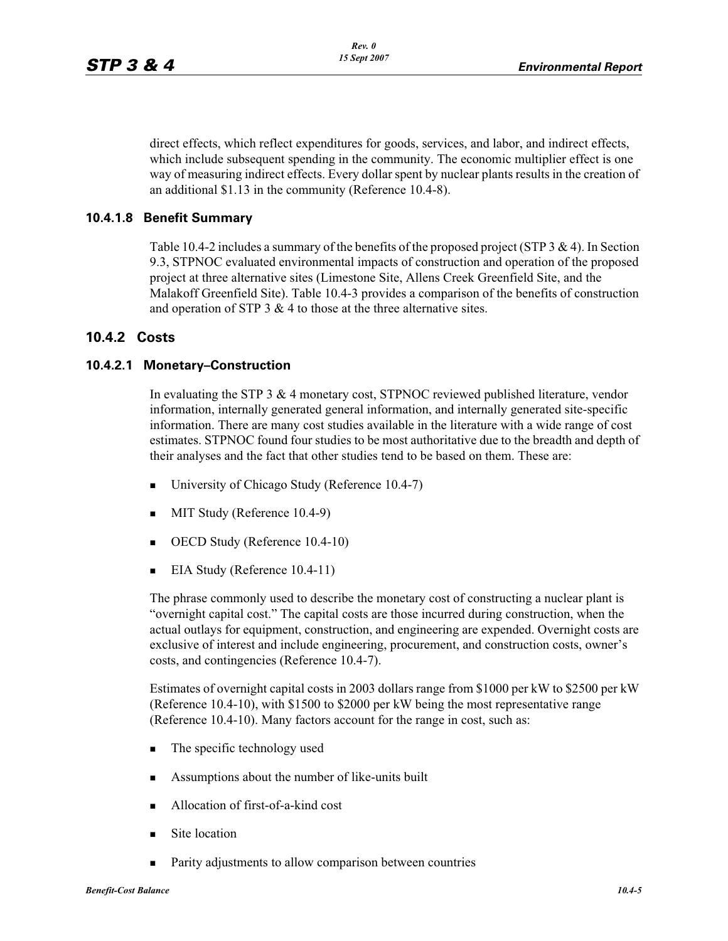direct effects, which reflect expenditures for goods, services, and labor, and indirect effects, which include subsequent spending in the community. The economic multiplier effect is one way of measuring indirect effects. Every dollar spent by nuclear plants results in the creation of an additional \$1.13 in the community (Reference 10.4-8).

#### **10.4.1.8 Benefit Summary**

Table 10.4-2 includes a summary of the benefits of the proposed project (STP 3 & 4). In Section 9.3, STPNOC evaluated environmental impacts of construction and operation of the proposed project at three alternative sites (Limestone Site, Allens Creek Greenfield Site, and the Malakoff Greenfield Site). Table 10.4-3 provides a comparison of the benefits of construction and operation of STP  $3 \& 4$  to those at the three alternative sites.

#### **10.4.2 Costs**

#### **10.4.2.1 Monetary–Construction**

In evaluating the STP 3 & 4 monetary cost, STPNOC reviewed published literature, vendor information, internally generated general information, and internally generated site-specific information. There are many cost studies available in the literature with a wide range of cost estimates. STPNOC found four studies to be most authoritative due to the breadth and depth of their analyses and the fact that other studies tend to be based on them. These are:

- -University of Chicago Study (Reference 10.4-7)
- **MIT Study (Reference 10.4-9)**
- **•** OECD Study (Reference 10.4-10)
- -EIA Study (Reference 10.4-11)

The phrase commonly used to describe the monetary cost of constructing a nuclear plant is "overnight capital cost." The capital costs are those incurred during construction, when the actual outlays for equipment, construction, and engineering are expended. Overnight costs are exclusive of interest and include engineering, procurement, and construction costs, owner's costs, and contingencies (Reference 10.4-7).

Estimates of overnight capital costs in 2003 dollars range from \$1000 per kW to \$2500 per kW (Reference 10.4-10), with \$1500 to \$2000 per kW being the most representative range (Reference 10.4-10). Many factors account for the range in cost, such as:

- -The specific technology used
- -Assumptions about the number of like-units built
- -Allocation of first-of-a-kind cost
- -Site location
- -Parity adjustments to allow comparison between countries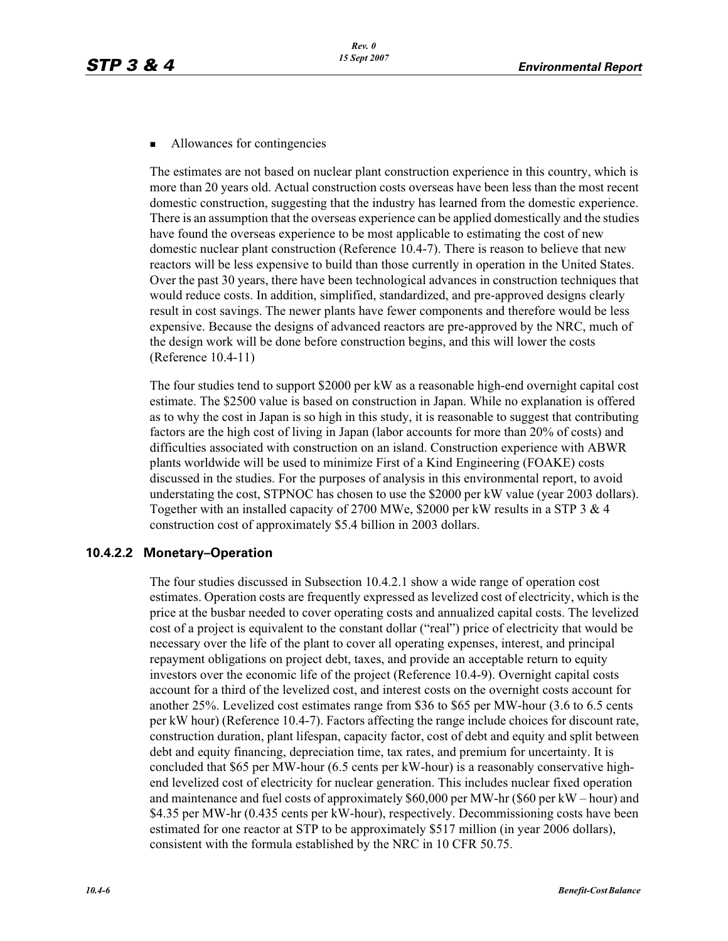#### -Allowances for contingencies

The estimates are not based on nuclear plant construction experience in this country, which is more than 20 years old. Actual construction costs overseas have been less than the most recent domestic construction, suggesting that the industry has learned from the domestic experience. There is an assumption that the overseas experience can be applied domestically and the studies have found the overseas experience to be most applicable to estimating the cost of new domestic nuclear plant construction (Reference 10.4-7). There is reason to believe that new reactors will be less expensive to build than those currently in operation in the United States. Over the past 30 years, there have been technological advances in construction techniques that would reduce costs. In addition, simplified, standardized, and pre-approved designs clearly result in cost savings. The newer plants have fewer components and therefore would be less expensive. Because the designs of advanced reactors are pre-approved by the NRC, much of the design work will be done before construction begins, and this will lower the costs (Reference 10.4-11)

The four studies tend to support \$2000 per kW as a reasonable high-end overnight capital cost estimate. The \$2500 value is based on construction in Japan. While no explanation is offered as to why the cost in Japan is so high in this study, it is reasonable to suggest that contributing factors are the high cost of living in Japan (labor accounts for more than 20% of costs) and difficulties associated with construction on an island. Construction experience with ABWR plants worldwide will be used to minimize First of a Kind Engineering (FOAKE) costs discussed in the studies. For the purposes of analysis in this environmental report, to avoid understating the cost, STPNOC has chosen to use the \$2000 per kW value (year 2003 dollars). Together with an installed capacity of 2700 MWe,  $$2000$  per kW results in a STP 3 & 4 construction cost of approximately \$5.4 billion in 2003 dollars.

### **10.4.2.2 Monetary–Operation**

The four studies discussed in Subsection 10.4.2.1 show a wide range of operation cost estimates. Operation costs are frequently expressed as levelized cost of electricity, which is the price at the busbar needed to cover operating costs and annualized capital costs. The levelized cost of a project is equivalent to the constant dollar ("real") price of electricity that would be necessary over the life of the plant to cover all operating expenses, interest, and principal repayment obligations on project debt, taxes, and provide an acceptable return to equity investors over the economic life of the project (Reference 10.4-9). Overnight capital costs account for a third of the levelized cost, and interest costs on the overnight costs account for another 25%. Levelized cost estimates range from \$36 to \$65 per MW-hour (3.6 to 6.5 cents per kW hour) (Reference 10.4-7). Factors affecting the range include choices for discount rate, construction duration, plant lifespan, capacity factor, cost of debt and equity and split between debt and equity financing, depreciation time, tax rates, and premium for uncertainty. It is concluded that \$65 per MW-hour (6.5 cents per kW-hour) is a reasonably conservative highend levelized cost of electricity for nuclear generation. This includes nuclear fixed operation and maintenance and fuel costs of approximately \$60,000 per MW-hr (\$60 per kW – hour) and \$4.35 per MW-hr (0.435 cents per kW-hour), respectively. Decommissioning costs have been estimated for one reactor at STP to be approximately \$517 million (in year 2006 dollars), consistent with the formula established by the NRC in 10 CFR 50.75.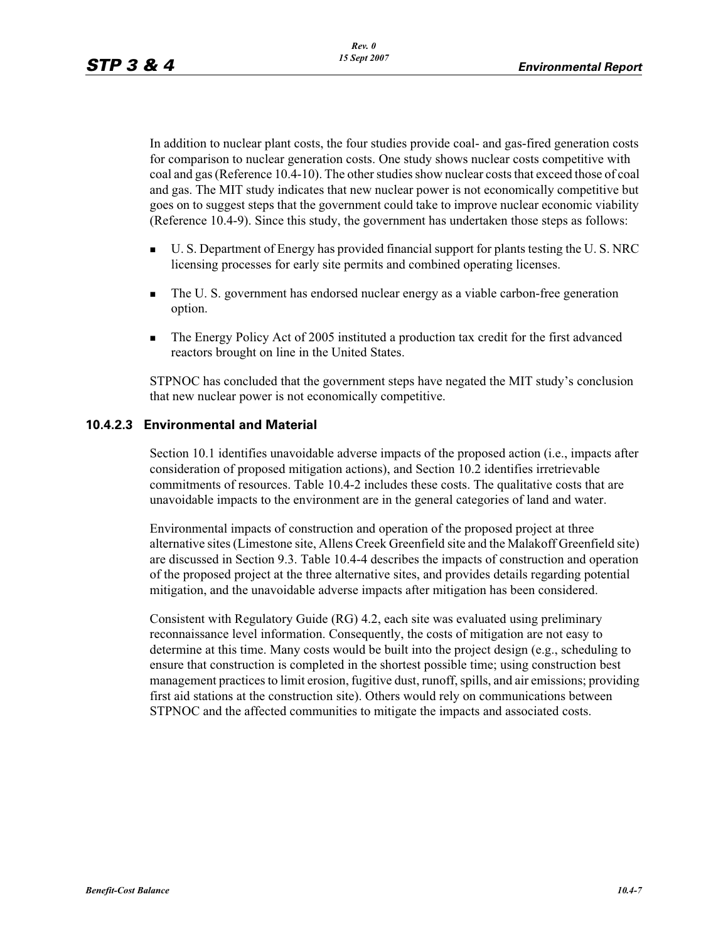In addition to nuclear plant costs, the four studies provide coal- and gas-fired generation costs for comparison to nuclear generation costs. One study shows nuclear costs competitive with coal and gas (Reference 10.4-10). The other studies show nuclear costs that exceed those of coal and gas. The MIT study indicates that new nuclear power is not economically competitive but goes on to suggest steps that the government could take to improve nuclear economic viability (Reference 10.4-9). Since this study, the government has undertaken those steps as follows:

- - U. S. Department of Energy has provided financial support for plants testing the U. S. NRC licensing processes for early site permits and combined operating licenses.
- - The U. S. government has endorsed nuclear energy as a viable carbon-free generation option.
- - The Energy Policy Act of 2005 instituted a production tax credit for the first advanced reactors brought on line in the United States.

STPNOC has concluded that the government steps have negated the MIT study's conclusion that new nuclear power is not economically competitive.

### **10.4.2.3 Environmental and Material**

Section 10.1 identifies unavoidable adverse impacts of the proposed action (i.e., impacts after consideration of proposed mitigation actions), and Section 10.2 identifies irretrievable commitments of resources. Table 10.4-2 includes these costs. The qualitative costs that are unavoidable impacts to the environment are in the general categories of land and water.

Environmental impacts of construction and operation of the proposed project at three alternative sites (Limestone site, Allens Creek Greenfield site and the Malakoff Greenfield site) are discussed in Section 9.3. Table 10.4-4 describes the impacts of construction and operation of the proposed project at the three alternative sites, and provides details regarding potential mitigation, and the unavoidable adverse impacts after mitigation has been considered.

Consistent with Regulatory Guide (RG) 4.2, each site was evaluated using preliminary reconnaissance level information. Consequently, the costs of mitigation are not easy to determine at this time. Many costs would be built into the project design (e.g., scheduling to ensure that construction is completed in the shortest possible time; using construction best management practices to limit erosion, fugitive dust, runoff, spills, and air emissions; providing first aid stations at the construction site). Others would rely on communications between STPNOC and the affected communities to mitigate the impacts and associated costs.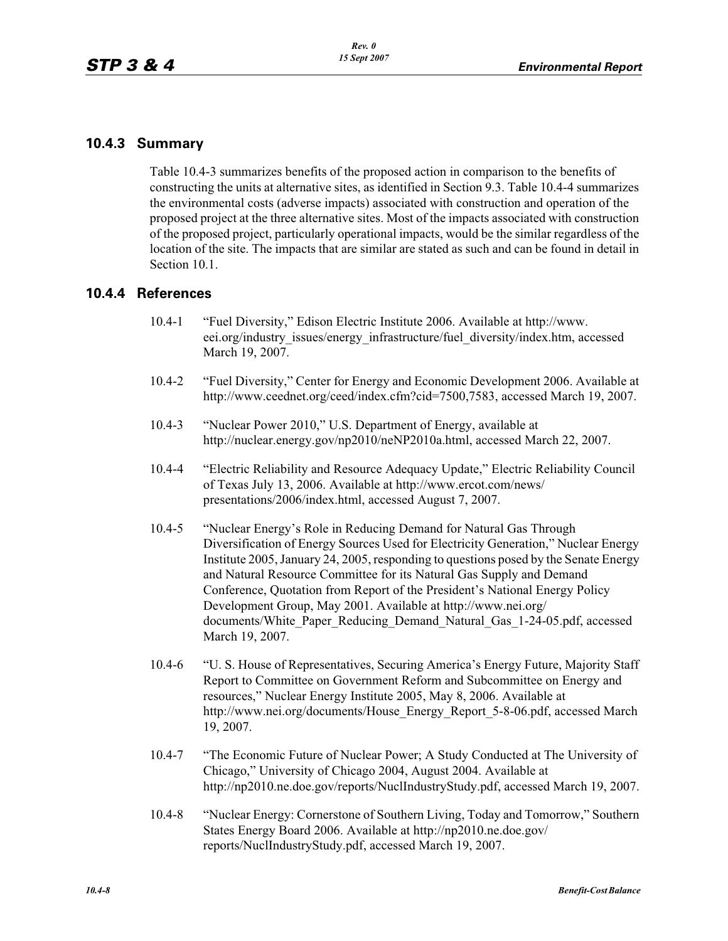### **10.4.3 Summary**

Table 10.4-3 summarizes benefits of the proposed action in comparison to the benefits of constructing the units at alternative sites, as identified in Section 9.3. Table 10.4-4 summarizes the environmental costs (adverse impacts) associated with construction and operation of the proposed project at the three alternative sites. Most of the impacts associated with construction of the proposed project, particularly operational impacts, would be the similar regardless of the location of the site. The impacts that are similar are stated as such and can be found in detail in Section 10.1.

### **10.4.4 References**

- 10.4-1 "Fuel Diversity," Edison Electric Institute 2006. Available at http://www. eei.org/industry\_issues/energy\_infrastructure/fuel\_diversity/index.htm, accessed March 19, 2007.
- 10.4-2 "Fuel Diversity," Center for Energy and Economic Development 2006. Available at http://www.ceednet.org/ceed/index.cfm?cid=7500,7583, accessed March 19, 2007.
- 10.4-3 "Nuclear Power 2010," U.S. Department of Energy, available at http://nuclear.energy.gov/np2010/neNP2010a.html, accessed March 22, 2007.
- 10.4-4 "Electric Reliability and Resource Adequacy Update," Electric Reliability Council of Texas July 13, 2006. Available at http://www.ercot.com/news/ presentations/2006/index.html, accessed August 7, 2007.
- 10.4-5 "Nuclear Energy's Role in Reducing Demand for Natural Gas Through Diversification of Energy Sources Used for Electricity Generation," Nuclear Energy Institute 2005, January 24, 2005, responding to questions posed by the Senate Energy and Natural Resource Committee for its Natural Gas Supply and Demand Conference, Quotation from Report of the President's National Energy Policy Development Group, May 2001. Available at http://www.nei.org/ documents/White\_Paper\_Reducing\_Demand\_Natural\_Gas\_1-24-05.pdf, accessed March 19, 2007.
- 10.4-6 "U. S. House of Representatives, Securing America's Energy Future, Majority Staff Report to Committee on Government Reform and Subcommittee on Energy and resources," Nuclear Energy Institute 2005, May 8, 2006. Available at http://www.nei.org/documents/House\_Energy\_Report\_5-8-06.pdf, accessed March 19, 2007.
- 10.4-7 "The Economic Future of Nuclear Power; A Study Conducted at The University of Chicago," University of Chicago 2004, August 2004. Available at http://np2010.ne.doe.gov/reports/NuclIndustryStudy.pdf, accessed March 19, 2007.
- 10.4-8 "Nuclear Energy: Cornerstone of Southern Living, Today and Tomorrow," Southern States Energy Board 2006. Available at http://np2010.ne.doe.gov/ reports/NuclIndustryStudy.pdf, accessed March 19, 2007.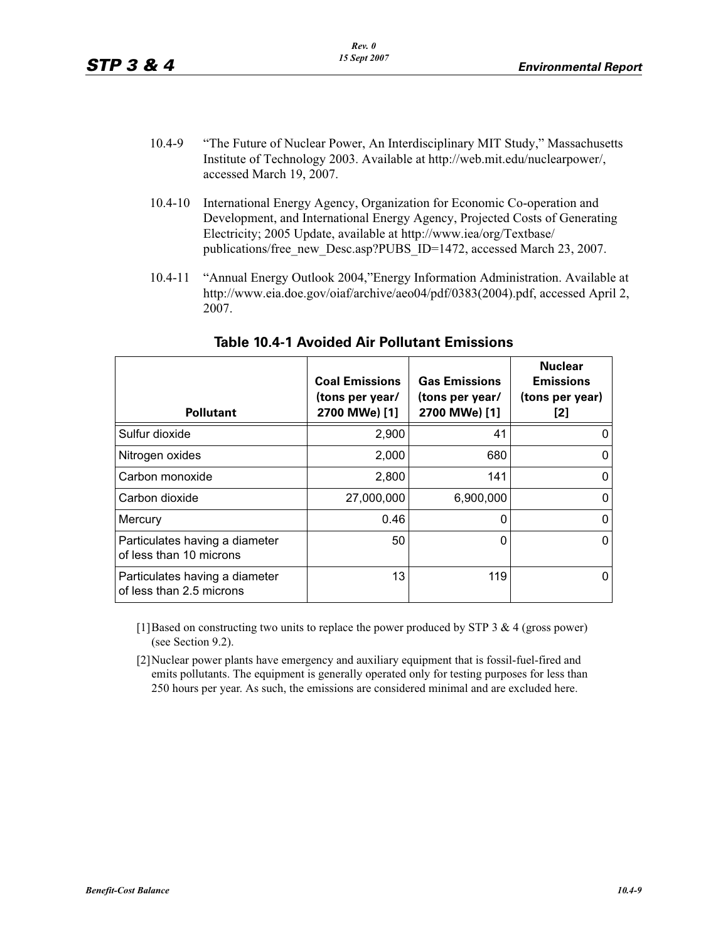- 10.4-9 "The Future of Nuclear Power, An Interdisciplinary MIT Study," Massachusetts Institute of Technology 2003. Available at http://web.mit.edu/nuclearpower/, accessed March 19, 2007.
- 10.4-10 International Energy Agency, Organization for Economic Co-operation and Development, and International Energy Agency, Projected Costs of Generating Electricity; 2005 Update, available at http://www.iea/org/Textbase/ publications/free\_new\_Desc.asp?PUBS\_ID=1472, accessed March 23, 2007.
- 10.4-11 "Annual Energy Outlook 2004,"Energy Information Administration. Available at http://www.eia.doe.gov/oiaf/archive/aeo04/pdf/0383(2004).pdf, accessed April 2, 2007.

| <b>Pollutant</b>                                           | <b>Coal Emissions</b><br>(tons per year/<br>2700 MWe) [1] | <b>Gas Emissions</b><br>(tons per year/<br>2700 MWe) [1] | <b>Nuclear</b><br><b>Emissions</b><br>(tons per year)<br>[2] |
|------------------------------------------------------------|-----------------------------------------------------------|----------------------------------------------------------|--------------------------------------------------------------|
| Sulfur dioxide                                             | 2,900                                                     | 41                                                       |                                                              |
| Nitrogen oxides                                            | 2,000                                                     | 680                                                      |                                                              |
| Carbon monoxide                                            | 2,800                                                     | 141                                                      |                                                              |
| Carbon dioxide                                             | 27,000,000                                                | 6,900,000                                                |                                                              |
| Mercury                                                    | 0.46                                                      | 0                                                        |                                                              |
| Particulates having a diameter<br>of less than 10 microns  | 50                                                        | 0                                                        |                                                              |
| Particulates having a diameter<br>of less than 2.5 microns | 13                                                        | 119                                                      |                                                              |

### **Table 10.4-1 Avoided Air Pollutant Emissions**

[1]Based on constructing two units to replace the power produced by STP 3 & 4 (gross power) (see Section 9.2).

[2]Nuclear power plants have emergency and auxiliary equipment that is fossil-fuel-fired and emits pollutants. The equipment is generally operated only for testing purposes for less than 250 hours per year. As such, the emissions are considered minimal and are excluded here.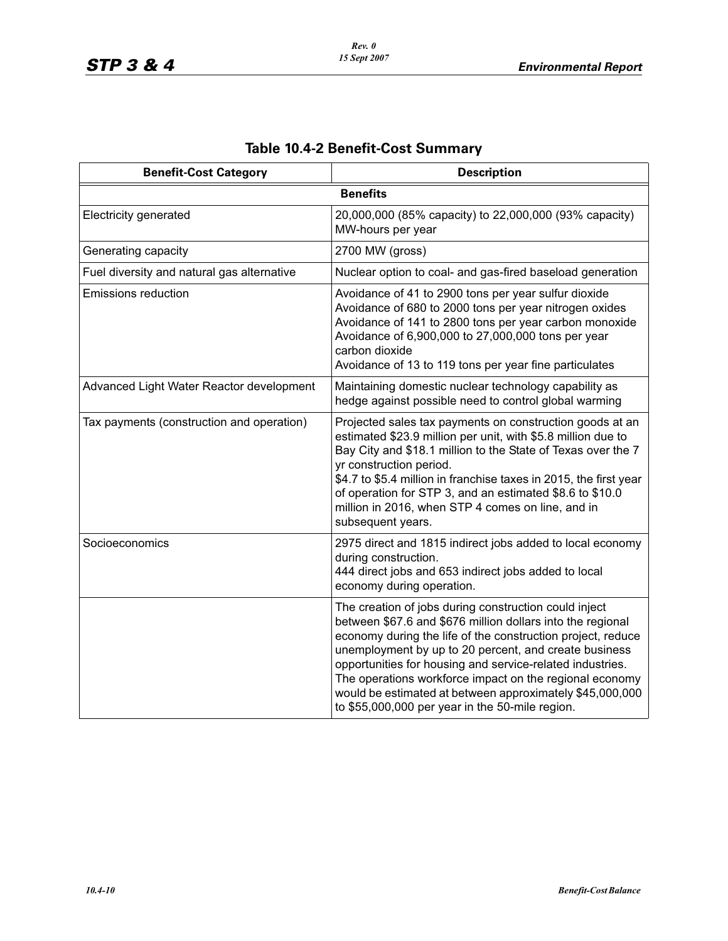| <b>Benefit-Cost Category</b>               | <b>Description</b>                                                                                                                                                                                                                                                                                                                                                                                                                                                                 |
|--------------------------------------------|------------------------------------------------------------------------------------------------------------------------------------------------------------------------------------------------------------------------------------------------------------------------------------------------------------------------------------------------------------------------------------------------------------------------------------------------------------------------------------|
|                                            | <b>Benefits</b>                                                                                                                                                                                                                                                                                                                                                                                                                                                                    |
| <b>Electricity generated</b>               | 20,000,000 (85% capacity) to 22,000,000 (93% capacity)<br>MW-hours per year                                                                                                                                                                                                                                                                                                                                                                                                        |
| Generating capacity                        | 2700 MW (gross)                                                                                                                                                                                                                                                                                                                                                                                                                                                                    |
| Fuel diversity and natural gas alternative | Nuclear option to coal- and gas-fired baseload generation                                                                                                                                                                                                                                                                                                                                                                                                                          |
| Emissions reduction                        | Avoidance of 41 to 2900 tons per year sulfur dioxide<br>Avoidance of 680 to 2000 tons per year nitrogen oxides<br>Avoidance of 141 to 2800 tons per year carbon monoxide<br>Avoidance of 6,900,000 to 27,000,000 tons per year<br>carbon dioxide<br>Avoidance of 13 to 119 tons per year fine particulates                                                                                                                                                                         |
| Advanced Light Water Reactor development   | Maintaining domestic nuclear technology capability as<br>hedge against possible need to control global warming                                                                                                                                                                                                                                                                                                                                                                     |
| Tax payments (construction and operation)  | Projected sales tax payments on construction goods at an<br>estimated \$23.9 million per unit, with \$5.8 million due to<br>Bay City and \$18.1 million to the State of Texas over the 7<br>yr construction period.<br>\$4.7 to \$5.4 million in franchise taxes in 2015, the first year<br>of operation for STP 3, and an estimated \$8.6 to \$10.0<br>million in 2016, when STP 4 comes on line, and in<br>subsequent years.                                                     |
| Socioeconomics                             | 2975 direct and 1815 indirect jobs added to local economy<br>during construction.<br>444 direct jobs and 653 indirect jobs added to local<br>economy during operation.                                                                                                                                                                                                                                                                                                             |
|                                            | The creation of jobs during construction could inject<br>between \$67.6 and \$676 million dollars into the regional<br>economy during the life of the construction project, reduce<br>unemployment by up to 20 percent, and create business<br>opportunities for housing and service-related industries.<br>The operations workforce impact on the regional economy<br>would be estimated at between approximately \$45,000,000<br>to \$55,000,000 per year in the 50-mile region. |

# **Table 10.4-2 Benefit-Cost Summary**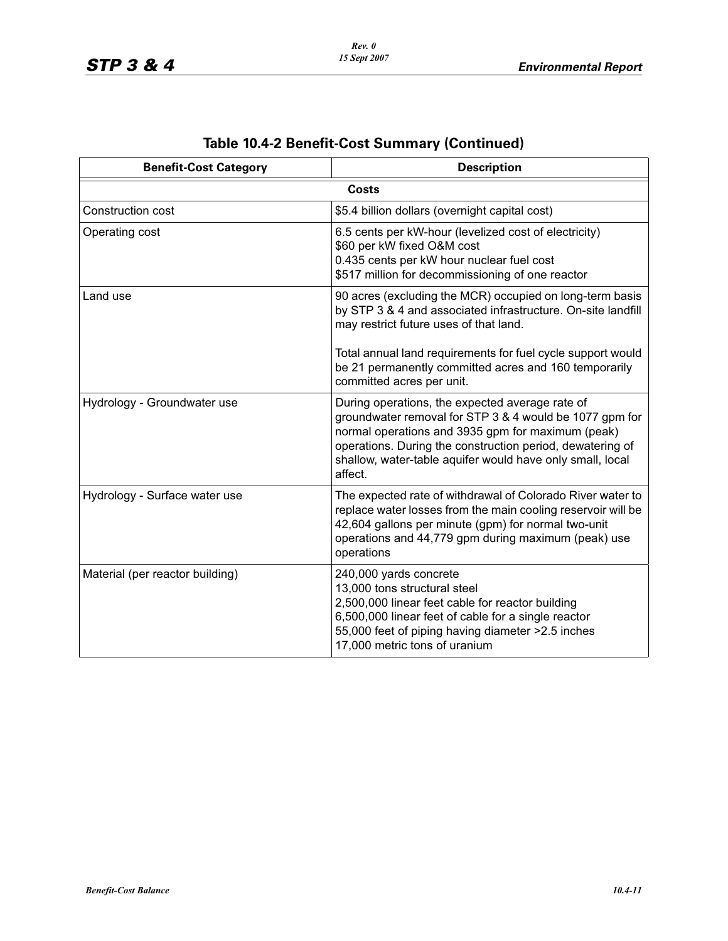| <b>Benefit-Cost Category</b>    | <b>Description</b>                                                                                                                                                                                                                                                                                   |
|---------------------------------|------------------------------------------------------------------------------------------------------------------------------------------------------------------------------------------------------------------------------------------------------------------------------------------------------|
|                                 | Costs                                                                                                                                                                                                                                                                                                |
| Construction cost               | \$5.4 billion dollars (overnight capital cost)                                                                                                                                                                                                                                                       |
| Operating cost                  | 6.5 cents per kW-hour (levelized cost of electricity)<br>\$60 per kW fixed O&M cost<br>0.435 cents per kW hour nuclear fuel cost<br>\$517 million for decommissioning of one reactor                                                                                                                 |
| Land use                        | 90 acres (excluding the MCR) occupied on long-term basis<br>by STP 3 & 4 and associated infrastructure. On-site landfill<br>may restrict future uses of that land.                                                                                                                                   |
|                                 | Total annual land requirements for fuel cycle support would<br>be 21 permanently committed acres and 160 temporarily<br>committed acres per unit.                                                                                                                                                    |
| Hydrology - Groundwater use     | During operations, the expected average rate of<br>groundwater removal for STP 3 & 4 would be 1077 gpm for<br>normal operations and 3935 gpm for maximum (peak)<br>operations. During the construction period, dewatering of<br>shallow, water-table aquifer would have only small, local<br>affect. |
| Hydrology - Surface water use   | The expected rate of withdrawal of Colorado River water to<br>replace water losses from the main cooling reservoir will be<br>42,604 gallons per minute (gpm) for normal two-unit<br>operations and 44,779 gpm during maximum (peak) use<br>operations                                               |
| Material (per reactor building) | 240,000 yards concrete<br>13,000 tons structural steel<br>2,500,000 linear feet cable for reactor building<br>6,500,000 linear feet of cable for a single reactor<br>55,000 feet of piping having diameter > 2.5 inches<br>17,000 metric tons of uranium                                             |

# **Table 10.4-2 Benefit-Cost Summary (Continued)**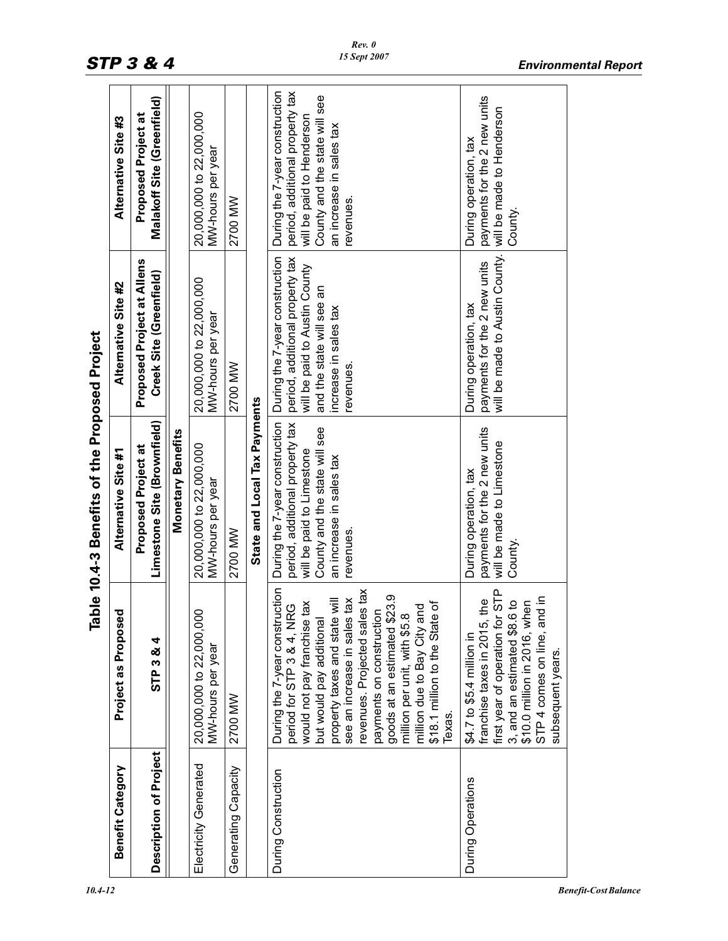|                                               | Alternative Site #3     | Malakoff Site (Greenfield)<br>Proposed Project at     |                          | 20,000,000 to 22,000,000<br>MW-hours per year | 2700 MW             |                              | During the 7-year construction<br>period, additional property tax<br>County and the state will see<br>will be paid to Henderson<br>an increase in sales tax<br>revenues.                                                                                                                                                                                                                           | payments for the 2 new units<br>will be made to Henderson<br>During operation, tax<br>County.                                                                                                                                   |
|-----------------------------------------------|-------------------------|-------------------------------------------------------|--------------------------|-----------------------------------------------|---------------------|------------------------------|----------------------------------------------------------------------------------------------------------------------------------------------------------------------------------------------------------------------------------------------------------------------------------------------------------------------------------------------------------------------------------------------------|---------------------------------------------------------------------------------------------------------------------------------------------------------------------------------------------------------------------------------|
|                                               | Alternative Site #2     | Proposed Project at Allens<br>Creek Site (Greenfield) |                          | 20,000,000 to 22,000,000<br>MW-hours per year | 2700 MW             |                              | During the 7-year construction<br>period, additional property tax<br>will be paid to Austin County<br>and the state will see an<br>increase in sales tax<br>revenues.                                                                                                                                                                                                                              | will be made to Austin County.<br>payments for the 2 new units<br>During operation, tax                                                                                                                                         |
| Table 10.4-3 Benefits of the Proposed Project | Alternative Site #1     | Limestone Site (Brownfield)<br>Proposed Project at    | <b>Monetary Benefits</b> | 20,000,000 to 22,000,000<br>MW-hours per year | 2700 MW             | State and Local Tax Payments | During the 7-year construction<br>period, additional property tax<br>County and the state will see<br>will be paid to Limestone<br>an increase in sales tax<br>revenues.                                                                                                                                                                                                                           | payments for the 2 new units<br>will be made to Limestone<br>During operation, tax<br>County.                                                                                                                                   |
|                                               | Project as Proposed     | STP 3 & 4                                             |                          | 20,000,000 to 22,000,000<br>MW-hours per year | 2700 MW             |                              | During the 7-year construction<br>revenues. Projected sales tax<br>goods at an estimated \$23.9<br>see an increase in sales tax<br>property taxes and state will<br>\$18.1 million to the State of<br>tax<br>period for STP 3 & 4, NRG<br>million due to Bay City and<br>payments on construction<br>million per unit, with \$5.8<br>would not pay franchise<br>but would pay additional<br>Texas. | first year of operation for STP<br>nd in<br>the<br>6t<br>hen<br>STP 4 comes on line, ar<br>\$10.0 million in 2016, wh<br>franchise taxes in 2015,<br>3, and an estimated \$8.<br>\$4.7 to \$5.4 million in<br>subsequent years. |
|                                               | <b>Benefit Category</b> | Description of Project                                |                          | Electricity Generated                         | Generating Capacity |                              | During Construction                                                                                                                                                                                                                                                                                                                                                                                | During Operations                                                                                                                                                                                                               |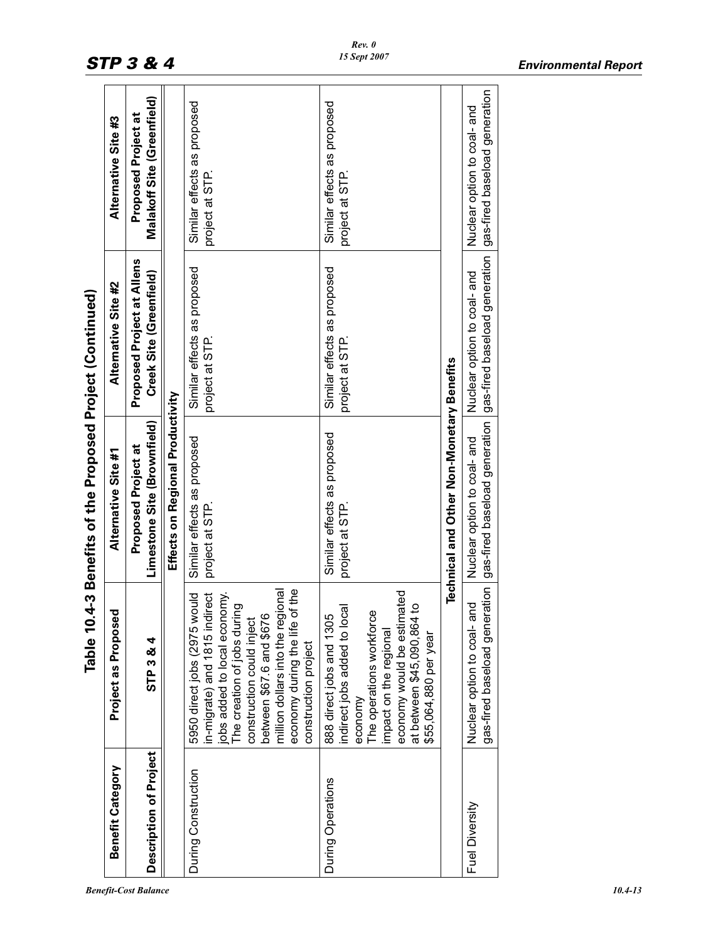|                                                           | Alternative Site #3     | Malakoff Site (Greenfield)<br>Proposed Project at            |                                  | Similar effects as proposed<br>project at STP.                                                                                                                                                                                                                                       | Similar effects as proposed<br>project at STP.                                                                                                                                                                 |                                           | gas-fired baseload generation<br>Nuclear option to coal- and                                   |
|-----------------------------------------------------------|-------------------------|--------------------------------------------------------------|----------------------------------|--------------------------------------------------------------------------------------------------------------------------------------------------------------------------------------------------------------------------------------------------------------------------------------|----------------------------------------------------------------------------------------------------------------------------------------------------------------------------------------------------------------|-------------------------------------------|------------------------------------------------------------------------------------------------|
|                                                           | Alternative Site #2     | <b>Proposed Project at Allens</b><br>Creek Site (Greenfield) |                                  | Similar effects as proposed<br>project at STP.                                                                                                                                                                                                                                       | Similar effects as proposed<br>project at STP.                                                                                                                                                                 |                                           | Nuclear option to coal- and                                                                    |
| Table 10.4-3 Benefits of the Proposed Project (Continued) | Alternative Site #1     | Limestone Site (Brownfield)<br>Proposed Project at           | Effects on Regional Productivity | Similar effects as proposed<br>project at STP.                                                                                                                                                                                                                                       | Similar effects as proposed<br>project at STP.                                                                                                                                                                 | Technical and Other Non-Monetary Benefits | gas-fired baseload generation   gas-fired baseload generation  <br>Nuclear option to coal- and |
|                                                           | g<br>Project as Proposo | STP 3 & 4                                                    |                                  | economy during the life of the<br>million dollars into the regional<br>in-migrate) and 1815 indirect<br>jobs added to local economy.<br>5950 direct jobs (2975 would<br>The creation of jobs during<br>between \$67.6 and \$676<br>construction could inject<br>construction project | economy would be estimated<br>at between \$45,090,864 to<br>indirect jobs added to local<br>The operations workforce<br>888 direct jobs and 1305<br>impact on the regional<br>\$55,064,880 per year<br>economy |                                           | gas-fired baseload generation<br>pue<br>S<br>Nuclear option to coal-                           |
|                                                           | <b>Benefit Category</b> | Description of Project                                       |                                  | During Construction                                                                                                                                                                                                                                                                  | During Operations                                                                                                                                                                                              |                                           | Fuel Diversity                                                                                 |

#### *Benefit-Cost Balance 10.4-13*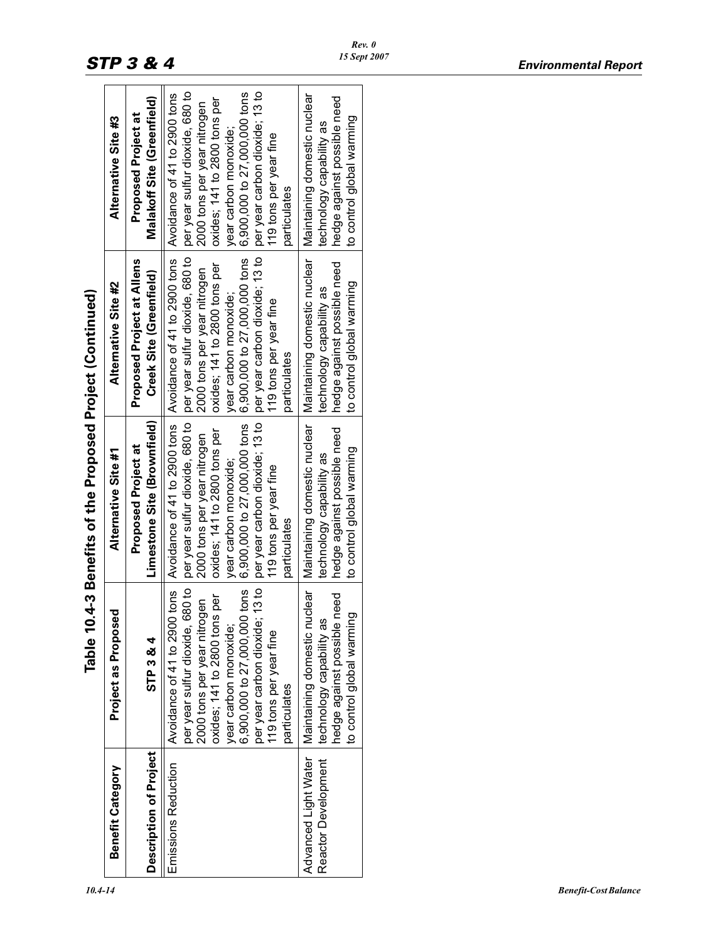|                                             |                                                                                                                                                                                                                                                                     | Table 10.4-3 Benefits of the Proposed Project (Continued)                                                                                                                                                                                                           |                                                                                                                                                                                                                                                                     |                                                                                                                                                                                                                                                                     |
|---------------------------------------------|---------------------------------------------------------------------------------------------------------------------------------------------------------------------------------------------------------------------------------------------------------------------|---------------------------------------------------------------------------------------------------------------------------------------------------------------------------------------------------------------------------------------------------------------------|---------------------------------------------------------------------------------------------------------------------------------------------------------------------------------------------------------------------------------------------------------------------|---------------------------------------------------------------------------------------------------------------------------------------------------------------------------------------------------------------------------------------------------------------------|
| Benefit Category                            | Project as Proposed                                                                                                                                                                                                                                                 | Alternative Site #1                                                                                                                                                                                                                                                 | Alternative Site #2                                                                                                                                                                                                                                                 | Alternative Site #3                                                                                                                                                                                                                                                 |
| Description of Project                      | STP 3 & 4                                                                                                                                                                                                                                                           | Limestone Site (Brownfield)<br>Proposed Project at                                                                                                                                                                                                                  | <b>Proposed Project at Allens</b><br>Creek Site (Greenfield)                                                                                                                                                                                                        | Malakoff Site (Greenfield)<br>Proposed Project at                                                                                                                                                                                                                   |
| Emissions Reduction                         | Avoidance of 41 to 2900 tons<br>per year carbon dioxide; 13 to<br>per year sulfur dioxide, 680 to<br>6,900,000 to 27,000,000 tons<br>oxides; 141 to 2800 tons per<br>2000 tons per year nitrogen<br>year carbon monoxide;<br>119 tons per year fine<br>particulates | Avoidance of 41 to 2900 tons<br>per year carbon dioxide; 13 to<br>per year sulfur dioxide, 680 to<br>6,900,000 to 27,000,000 tons<br>oxides; 141 to 2800 tons per<br>2000 tons per year nitrogen<br>year carbon monoxide;<br>119 tons per year fine<br>particulates | Avoidance of 41 to 2900 tons<br>per year sulfur dioxide, 680 to<br>per year carbon dioxide; 13 to<br>6,900,000 to 27,000,000 tons<br>oxides; 141 to 2800 tons per<br>2000 tons per year nitrogen<br>year carbon monoxide;<br>119 tons per year fine<br>particulates | per year sulfur dioxide, 680 to<br>6,900,000 to 27,000,000 tons<br>per year carbon dioxide; 13 to<br>Avoidance of 41 to 2900 tons<br>oxides; 141 to 2800 tons per<br>2000 tons per year nitrogen<br>year carbon monoxide;<br>119 tons per year fine<br>particulates |
| Advanced Light Water<br>Reactor Development | Maintaining domestic nuclear<br>hedge against possible need<br>σ,<br>technology capability as<br>to control global warmin                                                                                                                                           | Maintaining domestic nuclear<br>hedge against possible need<br>to control global warming<br>technology capability as                                                                                                                                                | Maintaining domestic nuclear<br>hedge against possible need<br>to control global warming<br>technology capability as                                                                                                                                                | Maintaining domestic nuclear<br>hedge against possible need<br>to control global warming<br>technology capability as                                                                                                                                                |
|                                             |                                                                                                                                                                                                                                                                     |                                                                                                                                                                                                                                                                     |                                                                                                                                                                                                                                                                     |                                                                                                                                                                                                                                                                     |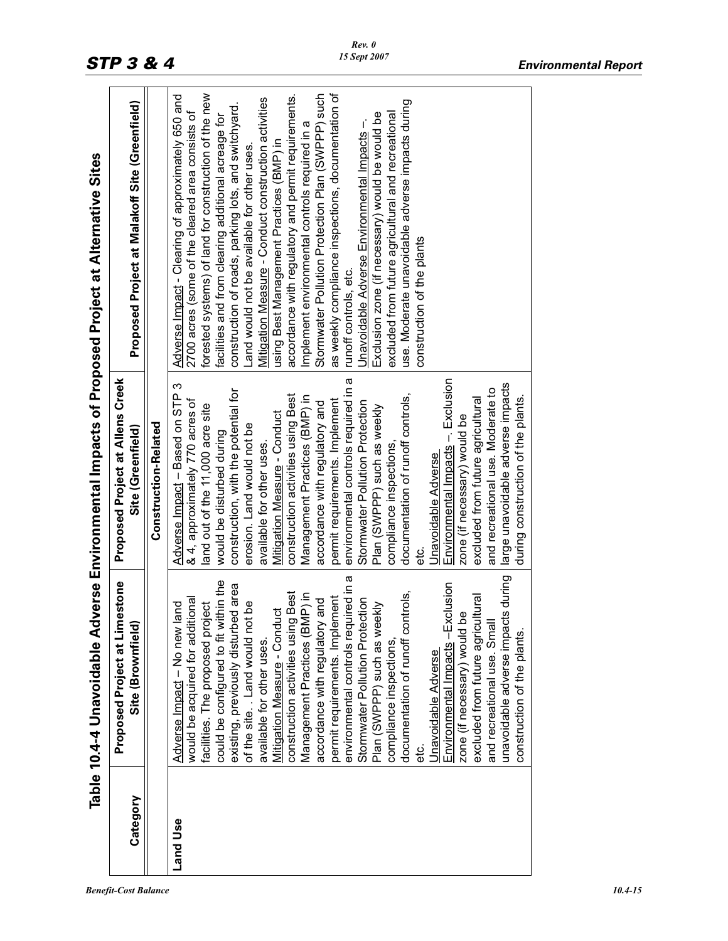|                 |                                                                                                                                                                                                                                                                                                                                                                                                                                                                                                                                                                                                                                                                                                                                                                                                                                                                            |                                                                                                                                                                                                                                                                                                                                                                                                                                                                                                                                                                                                                                                                                                                                                                                                                                                        | Table 10.4-4 Unavoidable Adverse Environmental Impacts of Proposed Project at Alternative Sites                                                                                                                                                                                                                                                                                                                                                                                                                                                                                                                                                                                                                                                                                                                                                                                                                          |
|-----------------|----------------------------------------------------------------------------------------------------------------------------------------------------------------------------------------------------------------------------------------------------------------------------------------------------------------------------------------------------------------------------------------------------------------------------------------------------------------------------------------------------------------------------------------------------------------------------------------------------------------------------------------------------------------------------------------------------------------------------------------------------------------------------------------------------------------------------------------------------------------------------|--------------------------------------------------------------------------------------------------------------------------------------------------------------------------------------------------------------------------------------------------------------------------------------------------------------------------------------------------------------------------------------------------------------------------------------------------------------------------------------------------------------------------------------------------------------------------------------------------------------------------------------------------------------------------------------------------------------------------------------------------------------------------------------------------------------------------------------------------------|--------------------------------------------------------------------------------------------------------------------------------------------------------------------------------------------------------------------------------------------------------------------------------------------------------------------------------------------------------------------------------------------------------------------------------------------------------------------------------------------------------------------------------------------------------------------------------------------------------------------------------------------------------------------------------------------------------------------------------------------------------------------------------------------------------------------------------------------------------------------------------------------------------------------------|
| Category        | <b>Proposed Project at Limestone</b><br>Site (Brownfield)                                                                                                                                                                                                                                                                                                                                                                                                                                                                                                                                                                                                                                                                                                                                                                                                                  | <b>Proposed Project at Allens Creek</b><br>Site (Greenfield)                                                                                                                                                                                                                                                                                                                                                                                                                                                                                                                                                                                                                                                                                                                                                                                           | Proposed Project at Malakoff Site (Greenfield)                                                                                                                                                                                                                                                                                                                                                                                                                                                                                                                                                                                                                                                                                                                                                                                                                                                                           |
|                 |                                                                                                                                                                                                                                                                                                                                                                                                                                                                                                                                                                                                                                                                                                                                                                                                                                                                            | <b>Construction-Related</b>                                                                                                                                                                                                                                                                                                                                                                                                                                                                                                                                                                                                                                                                                                                                                                                                                            |                                                                                                                                                                                                                                                                                                                                                                                                                                                                                                                                                                                                                                                                                                                                                                                                                                                                                                                          |
| <b>Band Use</b> | cts during<br>environmental controls required in a<br>could be configured to fit within the<br>Environmental Impacts -Exclusion<br>existing, previously disturbed area<br>construction activities using Best<br>Management Practices (BMP) in<br>documentation of runoff controls,<br>excluded from future agricultural<br>permit requirements. Implement<br>would be acquired for additional<br>accordance with regulatory and<br>Stormwater Pollution Protection<br>of the site. . Land would not be<br>facilities. The proposed project<br>yekly<br>land<br>Mitigation Measure - Conduct<br><u>be</u><br>Plan (SWPPP) such as we<br>and recreational use. Smal<br>unavoidable adverse impa<br>Adverse Impact - No new<br>zone (if necessary) would<br>construction of the plants.<br>available for other uses.<br>compliance inspections,<br><b>Unavoidable Adverse</b> | environmental controls required in a<br>Environmental Impacts - Exclusion<br>large unavoidable adverse impacts<br>Adverse Impact - Based on STP 3<br>and recreational use. Moderate to<br>construction, with the potential for<br>documentation of runoff controls,<br>construction activities using Best<br>Management Practices (BMP) in<br>during construction of the plants.<br>excluded from future agricultural<br>& 4, approximately 770 acres of<br>permit requirements. Implement<br>accordance with regulatory and<br>Stormwater Pollution Protection<br>land out of the 11,000 acre site<br>Plan (SWPPP) such as weekly<br>Mitigation Measure - Conduct<br>zone (if necessary) would be<br>erosion. Land would not be<br>would be disturbed during<br>available for other uses<br>compliance inspections.<br>Unavoidable Adverse<br>ن<br>#e | accordance with regulatory and permit requirements.<br>Stormwater Pollution Protection Plan (SWPPP) such<br>as weekly compliance inspections, documentation of<br>forested systems) of land for construction of the new<br>Adverse Impact - Clearing of approximately 650 and<br>Mitigation Measure - Conduct construction activities<br>use. Moderate unavoidable adverse impacts during<br>construction of roads, parking lots, and switchyard.<br>2700 acres (some of the cleared area consists of<br>excluded from future agricultural and recreational<br>Exclusion zone (if necessary) would be would be<br>facilities and from clearing additional acreage for<br>Unavoidable Adverse Environmental Impacts -.<br>Implement environmental controls required in a<br>using Best Management Practices (BMP) in<br>Land would not be available for other uses<br>construction of the plants<br>runoff controls, etc. |
|                 |                                                                                                                                                                                                                                                                                                                                                                                                                                                                                                                                                                                                                                                                                                                                                                                                                                                                            |                                                                                                                                                                                                                                                                                                                                                                                                                                                                                                                                                                                                                                                                                                                                                                                                                                                        |                                                                                                                                                                                                                                                                                                                                                                                                                                                                                                                                                                                                                                                                                                                                                                                                                                                                                                                          |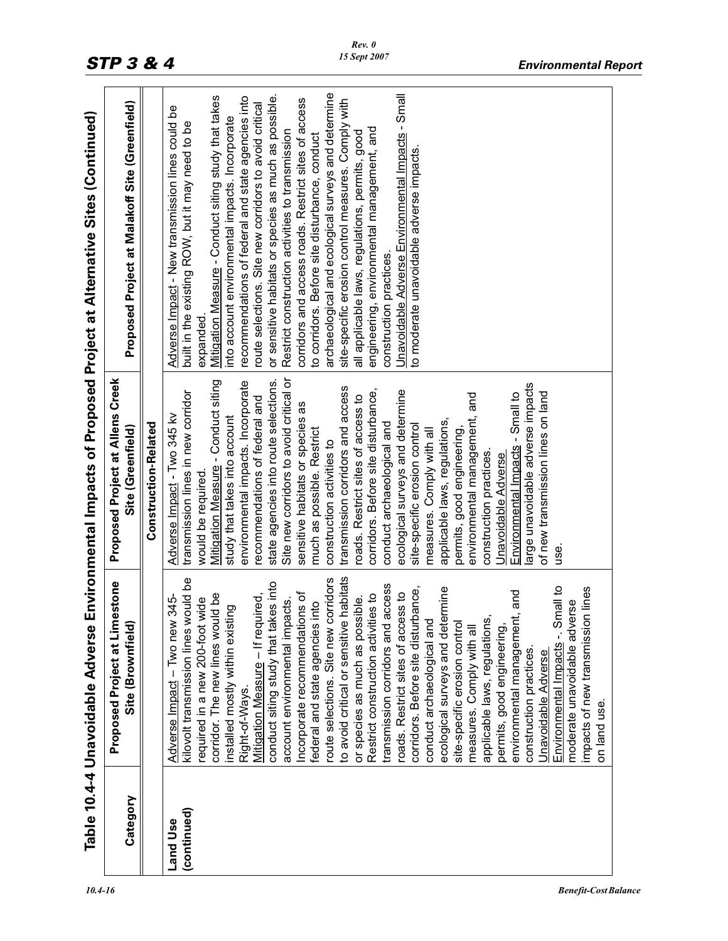| transmission lines in new corridor<br>conduct archaeological and<br>site-specific erosion control<br>Site (Greenfield)<br>measures. Comply with all<br>much as possible. Restrict<br>permits, good engineering,<br>construction activities to<br>construction practices.<br>Unavoidable Adverse<br>would be required.<br>asn<br>habitats<br>kilovolt transmission lines would be<br>route selections. Site new corridors<br><b>Proposed Project at Limestone</b><br>conduct siting study that takes into<br>transmission corridors and access<br>Environmental Impacts -. Small to<br>rmine<br>n lines<br>pance,<br>and<br>roads. Restrict sites of access to<br>Incorporate recommendations of<br>corridor. The new lines would be<br>Mitigation Measure - If required,<br>Restrict construction activities to<br>345-<br>required in a new 200-foot wide<br>or species as much as possible.<br>account environmental impacts.<br>moderate unavoidable adverse<br>federal and state agencies into<br>Σò<br>corridors. Before site disturb<br>ecological surveys and dete<br>applicable laws, regulations<br>installed mostly within existi<br>impacts of new transmission<br>to avoid critical or sensitive<br>conduct archaeological and<br>Adverse Impact - Two new<br>environmental management<br>Site (Brownfield)<br>site-specific erosion control<br>permits, good engineering,<br>measures. Comply with all<br>construction practices<br>Unavoidable Adverse<br>Right-of-Ways.<br>on land use.<br>Category<br>(continued)<br>Land Use |  |                                         | Table 10.4-4 Unavoidable Adverse Environmental Impacts of Proposed Project at Alternative Sites (Continued) |
|-----------------------------------------------------------------------------------------------------------------------------------------------------------------------------------------------------------------------------------------------------------------------------------------------------------------------------------------------------------------------------------------------------------------------------------------------------------------------------------------------------------------------------------------------------------------------------------------------------------------------------------------------------------------------------------------------------------------------------------------------------------------------------------------------------------------------------------------------------------------------------------------------------------------------------------------------------------------------------------------------------------------------------------------------------------------------------------------------------------------------------------------------------------------------------------------------------------------------------------------------------------------------------------------------------------------------------------------------------------------------------------------------------------------------------------------------------------------------------------------------------------------------------------------------|--|-----------------------------------------|-------------------------------------------------------------------------------------------------------------|
|                                                                                                                                                                                                                                                                                                                                                                                                                                                                                                                                                                                                                                                                                                                                                                                                                                                                                                                                                                                                                                                                                                                                                                                                                                                                                                                                                                                                                                                                                                                                               |  | Proposed Project at Allens Creek        | Proposed Project at Malakoff Site (Greenfield)                                                              |
|                                                                                                                                                                                                                                                                                                                                                                                                                                                                                                                                                                                                                                                                                                                                                                                                                                                                                                                                                                                                                                                                                                                                                                                                                                                                                                                                                                                                                                                                                                                                               |  | <b>Construction-Related</b>             |                                                                                                             |
|                                                                                                                                                                                                                                                                                                                                                                                                                                                                                                                                                                                                                                                                                                                                                                                                                                                                                                                                                                                                                                                                                                                                                                                                                                                                                                                                                                                                                                                                                                                                               |  | Adverse Impact - Two 345 kv             | Adverse Impact - New transmission lines could be<br>built in the existing ROW, but it may need to be        |
|                                                                                                                                                                                                                                                                                                                                                                                                                                                                                                                                                                                                                                                                                                                                                                                                                                                                                                                                                                                                                                                                                                                                                                                                                                                                                                                                                                                                                                                                                                                                               |  |                                         | expanded                                                                                                    |
|                                                                                                                                                                                                                                                                                                                                                                                                                                                                                                                                                                                                                                                                                                                                                                                                                                                                                                                                                                                                                                                                                                                                                                                                                                                                                                                                                                                                                                                                                                                                               |  | Mitigation Measure - Conduct siting     | Mitigation Measure - Conduct siting study that takes                                                        |
|                                                                                                                                                                                                                                                                                                                                                                                                                                                                                                                                                                                                                                                                                                                                                                                                                                                                                                                                                                                                                                                                                                                                                                                                                                                                                                                                                                                                                                                                                                                                               |  | study that takes into account           | nto account environmental impacts. Incorporate                                                              |
|                                                                                                                                                                                                                                                                                                                                                                                                                                                                                                                                                                                                                                                                                                                                                                                                                                                                                                                                                                                                                                                                                                                                                                                                                                                                                                                                                                                                                                                                                                                                               |  | environmental impacts. Incorporate      | recommendations of federal and state agencies into                                                          |
|                                                                                                                                                                                                                                                                                                                                                                                                                                                                                                                                                                                                                                                                                                                                                                                                                                                                                                                                                                                                                                                                                                                                                                                                                                                                                                                                                                                                                                                                                                                                               |  | recommendations of federal and          | route selections. Site new corridors to avoid critical                                                      |
|                                                                                                                                                                                                                                                                                                                                                                                                                                                                                                                                                                                                                                                                                                                                                                                                                                                                                                                                                                                                                                                                                                                                                                                                                                                                                                                                                                                                                                                                                                                                               |  | state agencies into route selections.   | or sensitive habitats or species as much as possible.                                                       |
|                                                                                                                                                                                                                                                                                                                                                                                                                                                                                                                                                                                                                                                                                                                                                                                                                                                                                                                                                                                                                                                                                                                                                                                                                                                                                                                                                                                                                                                                                                                                               |  | Site new corridors to avoid critical or | Restrict construction activities to transmission                                                            |
|                                                                                                                                                                                                                                                                                                                                                                                                                                                                                                                                                                                                                                                                                                                                                                                                                                                                                                                                                                                                                                                                                                                                                                                                                                                                                                                                                                                                                                                                                                                                               |  | sensitive habitats or species as        | corridors and access roads. Restrict sites of access                                                        |
|                                                                                                                                                                                                                                                                                                                                                                                                                                                                                                                                                                                                                                                                                                                                                                                                                                                                                                                                                                                                                                                                                                                                                                                                                                                                                                                                                                                                                                                                                                                                               |  |                                         | to corridors. Before site disturbance, conduct                                                              |
|                                                                                                                                                                                                                                                                                                                                                                                                                                                                                                                                                                                                                                                                                                                                                                                                                                                                                                                                                                                                                                                                                                                                                                                                                                                                                                                                                                                                                                                                                                                                               |  |                                         | archaeological and ecological surveys and determine                                                         |
|                                                                                                                                                                                                                                                                                                                                                                                                                                                                                                                                                                                                                                                                                                                                                                                                                                                                                                                                                                                                                                                                                                                                                                                                                                                                                                                                                                                                                                                                                                                                               |  | transmission corridors and access       | site-specific erosion control measures. Comply with                                                         |
|                                                                                                                                                                                                                                                                                                                                                                                                                                                                                                                                                                                                                                                                                                                                                                                                                                                                                                                                                                                                                                                                                                                                                                                                                                                                                                                                                                                                                                                                                                                                               |  | roads. Restrict sites of access to      | all applicable laws, regulations, permits, good                                                             |
|                                                                                                                                                                                                                                                                                                                                                                                                                                                                                                                                                                                                                                                                                                                                                                                                                                                                                                                                                                                                                                                                                                                                                                                                                                                                                                                                                                                                                                                                                                                                               |  | corridors. Before site disturbance,     | engineering, environmental management, and                                                                  |
|                                                                                                                                                                                                                                                                                                                                                                                                                                                                                                                                                                                                                                                                                                                                                                                                                                                                                                                                                                                                                                                                                                                                                                                                                                                                                                                                                                                                                                                                                                                                               |  |                                         | construction practices.                                                                                     |
|                                                                                                                                                                                                                                                                                                                                                                                                                                                                                                                                                                                                                                                                                                                                                                                                                                                                                                                                                                                                                                                                                                                                                                                                                                                                                                                                                                                                                                                                                                                                               |  | ecological surveys and determine        | Unavoidable Adverse Environmental Impacts - Small                                                           |
|                                                                                                                                                                                                                                                                                                                                                                                                                                                                                                                                                                                                                                                                                                                                                                                                                                                                                                                                                                                                                                                                                                                                                                                                                                                                                                                                                                                                                                                                                                                                               |  |                                         | to moderate unavoidable adverse impacts                                                                     |
|                                                                                                                                                                                                                                                                                                                                                                                                                                                                                                                                                                                                                                                                                                                                                                                                                                                                                                                                                                                                                                                                                                                                                                                                                                                                                                                                                                                                                                                                                                                                               |  |                                         |                                                                                                             |
|                                                                                                                                                                                                                                                                                                                                                                                                                                                                                                                                                                                                                                                                                                                                                                                                                                                                                                                                                                                                                                                                                                                                                                                                                                                                                                                                                                                                                                                                                                                                               |  | applicable laws, regulations,           |                                                                                                             |
|                                                                                                                                                                                                                                                                                                                                                                                                                                                                                                                                                                                                                                                                                                                                                                                                                                                                                                                                                                                                                                                                                                                                                                                                                                                                                                                                                                                                                                                                                                                                               |  |                                         |                                                                                                             |
|                                                                                                                                                                                                                                                                                                                                                                                                                                                                                                                                                                                                                                                                                                                                                                                                                                                                                                                                                                                                                                                                                                                                                                                                                                                                                                                                                                                                                                                                                                                                               |  | environmental management, and           |                                                                                                             |
|                                                                                                                                                                                                                                                                                                                                                                                                                                                                                                                                                                                                                                                                                                                                                                                                                                                                                                                                                                                                                                                                                                                                                                                                                                                                                                                                                                                                                                                                                                                                               |  |                                         |                                                                                                             |
|                                                                                                                                                                                                                                                                                                                                                                                                                                                                                                                                                                                                                                                                                                                                                                                                                                                                                                                                                                                                                                                                                                                                                                                                                                                                                                                                                                                                                                                                                                                                               |  |                                         |                                                                                                             |
|                                                                                                                                                                                                                                                                                                                                                                                                                                                                                                                                                                                                                                                                                                                                                                                                                                                                                                                                                                                                                                                                                                                                                                                                                                                                                                                                                                                                                                                                                                                                               |  | Environmental Impacts - Small to        |                                                                                                             |
|                                                                                                                                                                                                                                                                                                                                                                                                                                                                                                                                                                                                                                                                                                                                                                                                                                                                                                                                                                                                                                                                                                                                                                                                                                                                                                                                                                                                                                                                                                                                               |  | arge unavoidable adverse impacts        |                                                                                                             |
|                                                                                                                                                                                                                                                                                                                                                                                                                                                                                                                                                                                                                                                                                                                                                                                                                                                                                                                                                                                                                                                                                                                                                                                                                                                                                                                                                                                                                                                                                                                                               |  | of new transmission lines on land       |                                                                                                             |
|                                                                                                                                                                                                                                                                                                                                                                                                                                                                                                                                                                                                                                                                                                                                                                                                                                                                                                                                                                                                                                                                                                                                                                                                                                                                                                                                                                                                                                                                                                                                               |  |                                         |                                                                                                             |
|                                                                                                                                                                                                                                                                                                                                                                                                                                                                                                                                                                                                                                                                                                                                                                                                                                                                                                                                                                                                                                                                                                                                                                                                                                                                                                                                                                                                                                                                                                                                               |  |                                         |                                                                                                             |
|                                                                                                                                                                                                                                                                                                                                                                                                                                                                                                                                                                                                                                                                                                                                                                                                                                                                                                                                                                                                                                                                                                                                                                                                                                                                                                                                                                                                                                                                                                                                               |  |                                         |                                                                                                             |
|                                                                                                                                                                                                                                                                                                                                                                                                                                                                                                                                                                                                                                                                                                                                                                                                                                                                                                                                                                                                                                                                                                                                                                                                                                                                                                                                                                                                                                                                                                                                               |  |                                         |                                                                                                             |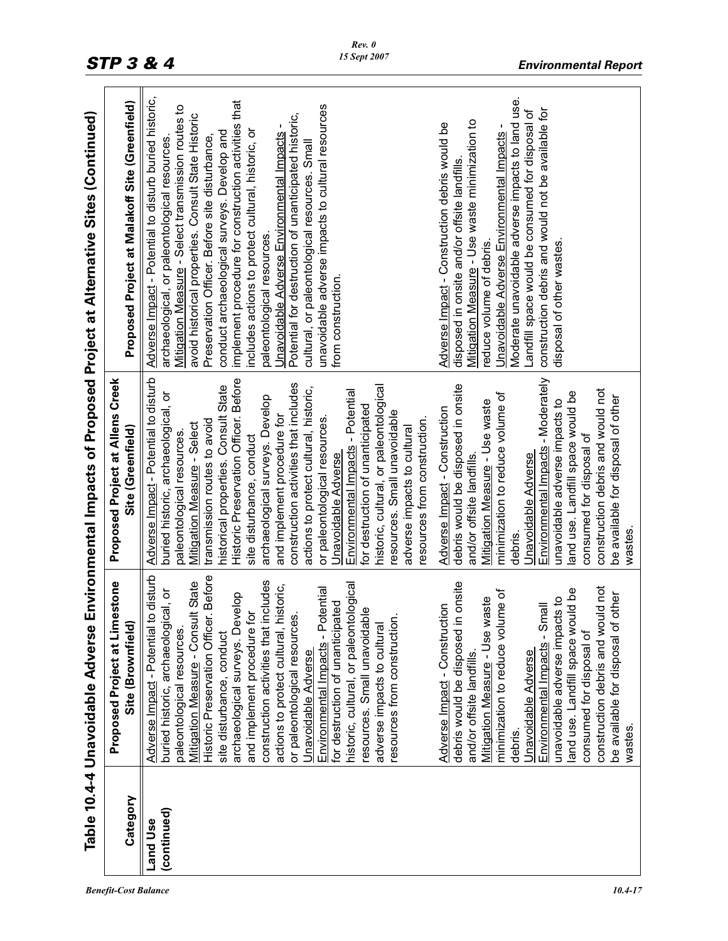|                         |                                                                                                                                                                                                                                                                                                                                                                                                                                                                                                                                                                                                                                                                                                                                                                                                                                                                                                                                                                                                                                                                                                                                           |                                                                                                                                                                                                                                                                                                                                                                                                                                                                                                                                                                                                                                                                                                                                                                                                                                                                                                                                                                                                                                                                                                                                                                | Table 10.4-4 Unavoidable Adverse Environmental Impacts of Proposed Project at Alternative Sites (Continued)                                                                                                                                                                                                                                                                                                                                                                                                                                                                                                                                                                                                                                                                                                                                                                                                                                                                                                                                                                                                                       |
|-------------------------|-------------------------------------------------------------------------------------------------------------------------------------------------------------------------------------------------------------------------------------------------------------------------------------------------------------------------------------------------------------------------------------------------------------------------------------------------------------------------------------------------------------------------------------------------------------------------------------------------------------------------------------------------------------------------------------------------------------------------------------------------------------------------------------------------------------------------------------------------------------------------------------------------------------------------------------------------------------------------------------------------------------------------------------------------------------------------------------------------------------------------------------------|----------------------------------------------------------------------------------------------------------------------------------------------------------------------------------------------------------------------------------------------------------------------------------------------------------------------------------------------------------------------------------------------------------------------------------------------------------------------------------------------------------------------------------------------------------------------------------------------------------------------------------------------------------------------------------------------------------------------------------------------------------------------------------------------------------------------------------------------------------------------------------------------------------------------------------------------------------------------------------------------------------------------------------------------------------------------------------------------------------------------------------------------------------------|-----------------------------------------------------------------------------------------------------------------------------------------------------------------------------------------------------------------------------------------------------------------------------------------------------------------------------------------------------------------------------------------------------------------------------------------------------------------------------------------------------------------------------------------------------------------------------------------------------------------------------------------------------------------------------------------------------------------------------------------------------------------------------------------------------------------------------------------------------------------------------------------------------------------------------------------------------------------------------------------------------------------------------------------------------------------------------------------------------------------------------------|
| Category                | <b>Proposed Project at Limestone</b><br>Site (Brownfield)                                                                                                                                                                                                                                                                                                                                                                                                                                                                                                                                                                                                                                                                                                                                                                                                                                                                                                                                                                                                                                                                                 | <b>Proposed Project at Allens Creek</b><br>Site (Greenfield)                                                                                                                                                                                                                                                                                                                                                                                                                                                                                                                                                                                                                                                                                                                                                                                                                                                                                                                                                                                                                                                                                                   | Proposed Project at Malakoff Site (Greenfield)                                                                                                                                                                                                                                                                                                                                                                                                                                                                                                                                                                                                                                                                                                                                                                                                                                                                                                                                                                                                                                                                                    |
| (continued)<br>Land Use | Adverse Impact - Potential to disturb<br>Historic Preservation Officer. Before<br>construction activities that includes<br>Mitigation Measure - Consult State<br>historic, cultural, or paleontological<br>onsite<br>actions to protect cultural, historic,<br>construction debris and would not<br>tential<br>buried historic, archaeological, or<br>aq pr<br>minimization to reduce volume of<br>elop<br>be available for disposal of other<br>unavoidable adverse impacts to<br>Mitigation Measure - Use waste<br>ed<br>e<br>Environmental Impacts - Small<br>Adverse Impact - Construction<br>$\overline{\mathbf{v}}$<br>archaeological surveys. Dev<br>and implement procedure fo<br>or paleontological resources<br>Environmental Impacts - Pot<br>for destruction of unanticipat<br>resources. Small unavoidab<br>resources from construction<br>debris would be disposed in<br>land use. Landfill space wou<br>adverse impacts to cultural<br>paleontological resources.<br>consumed for disposal of<br>site disturbance, conduct<br>Unavoidable Adverse<br>Unavoidable Adverse<br>and/or offsite landfills<br>wastes.<br>debris. | Adverse Impact - Potential to disturb<br>Environmental Impacts - Moderately<br>Historic Preservation Officer. Before<br>construction activities that includes<br>historic, cultural, or paleontological<br>debris would be disposed in onsite<br>historical properties. Consult State<br>actions to protect cultural, historic,<br>construction debris and would not<br>Environmental Impacts - Potential<br>land use. Landfill space would be<br>buried historic, archaeological, or<br>minimization to reduce volume of<br>be available for disposal of other<br>archaeological surveys. Develop<br>Mitigation Measure - Use waste<br>unavoidable adverse impacts to<br>for destruction of unanticipated<br>Adverse Impact - Construction<br>resources. Small unavoidable<br>and implement procedure for<br>or paleontological resources.<br>resources from construction.<br>transmission routes to avoid<br>Mitigation Measure - Select<br>adverse impacts to cultural<br>paleontological resources<br>consumed for disposal of<br>site disturbance, conduct<br>Unavoidable Adverse<br>Unavoidable Adverse<br>and/or offsite landfills<br>wastes<br>debris. | Adverse Impact - Potential to disturb buried historic,<br>Moderate unavoidable adverse impacts to land use.<br>implement procedure for construction activities that<br>unavoidable adverse impacts to cultural resources<br>Mitigation Measure - Select transmission routes to<br>construction debris and would not be available for<br>Landfill space would be consumed for disposal of<br>Potential for destruction of unanticipated historic,<br>avoid historical properties. Consult State Historic<br>Mitigation Measure - Use waste minimization to<br>Adverse Impact - Construction debris would be<br><u>Unavoidable Adverse Environmental Impacts</u> -<br>Unavoidable Adverse Environmental Impacts<br>conduct archaeological surveys. Develop and<br>includes actions to protect cultural, historic, or<br>Preservation Officer. Before site disturbance,<br>archaeological, or paleontological resources<br>cultural, or paleontological resources. Small<br>disposed in onsite and/or offsite landfills.<br>paleontological resources.<br>reduce volume of debris.<br>disposal of other wastes<br>from construction. |
|                         |                                                                                                                                                                                                                                                                                                                                                                                                                                                                                                                                                                                                                                                                                                                                                                                                                                                                                                                                                                                                                                                                                                                                           |                                                                                                                                                                                                                                                                                                                                                                                                                                                                                                                                                                                                                                                                                                                                                                                                                                                                                                                                                                                                                                                                                                                                                                |                                                                                                                                                                                                                                                                                                                                                                                                                                                                                                                                                                                                                                                                                                                                                                                                                                                                                                                                                                                                                                                                                                                                   |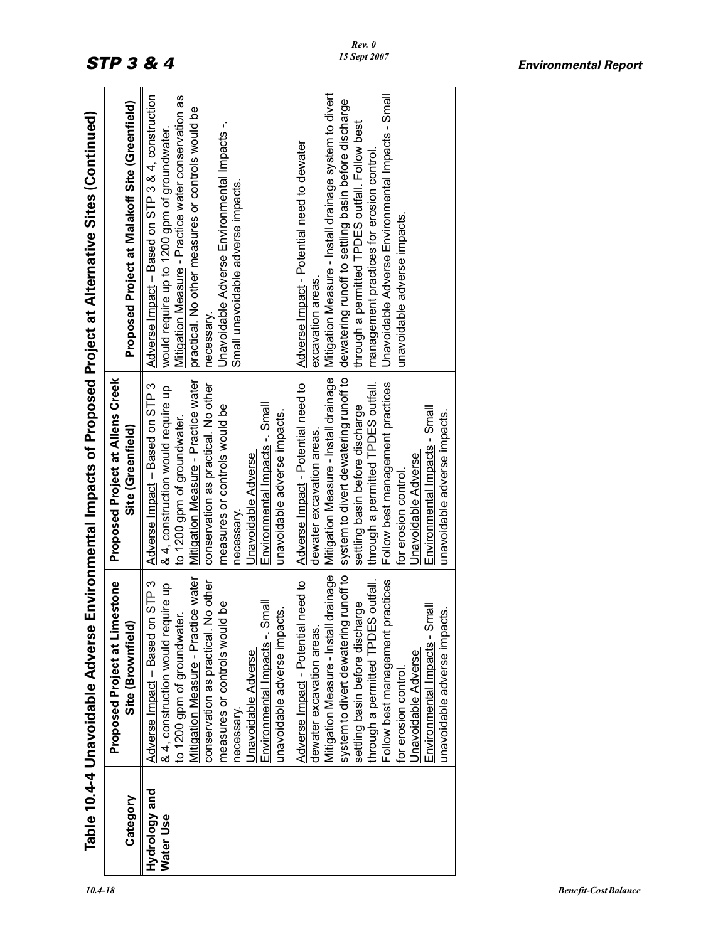|               | Table 10.4-4 Unavoidable Adverse              |                                         | Environmental Impacts of Proposed Project at Alternative Sites (Continued) |
|---------------|-----------------------------------------------|-----------------------------------------|----------------------------------------------------------------------------|
|               | Proposed Project at Limestone                 | <b>Proposed Project at Allens Creek</b> |                                                                            |
| Category      | Site (Brownfield)                             | Site (Greenfield)                       | Proposed Project at Malakoff Site (Greenfield)                             |
| Hydrology and | STP <sub>3</sub><br>Adverse Impact - Based on | Adverse Impact - Based on STP 3         | Adverse Impact - Based on STP 3 & 4, construction                          |
| Water Use     | & 4, construction would require up            | & 4, construction would require up      | would require up to 1200 gpm of groundwater.                               |
|               | to 1200 gpm of groundwater                    | to 1200 gpm of groundwater.             | Mitigation Measure - Practice water conservation as                        |
|               | Mitigation Measure - Practice water           | Mitigation Measure - Practice water     | practical. No other measures or controls would be                          |
|               | conservation as practical. No other           | conservation as practical. No other     | necessary                                                                  |
|               | g<br>measures or controls would               | measures or controls would be           | Unavoidable Adverse Environmental Impacts -.                               |
|               | necessary.                                    | necessary                               | Small unavoidable adverse impacts.                                         |
|               | Unavoidable Adverse                           | Unavoidable Adverse                     |                                                                            |
|               | Environmental Impacts -. Small                | Environmental Impacts -. Small          |                                                                            |
|               | unavoidable adverse impacts.                  | unavoidable adverse impacts.            |                                                                            |
|               | Adverse Impact - Potential need to            | Adverse Impact - Potential need to      | Adverse Impact - Potential need to dewater                                 |
|               | dewater excavation areas.                     | dewater excavation areas.               | excavation areas.                                                          |
|               | Mitigation Measure - Install drainage         | Mitigation Measure - Install drainage   | Mitigation Measure - Install drainage system to divert                     |
|               | runoff to<br>system to divert dewatering      | system to divert dewatering runoff to   | dewatering runoff to settling basin before discharge                       |
|               | ဗြ<br>settling basin before discha            | settling basin before discharge         | through a permitted TPDES outfall. Follow best                             |
|               | through a permitted TPDES outfall.            | through a permitted TPDES outfall.      | management practices for erosion control                                   |
|               | actices<br>Follow best management pr          | Follow best management practices        | Unavoidable Adverse Environmental Impacts - Small                          |
|               | for erosion control.                          | for erosion control.                    | unavoidable adverse impacts.                                               |
|               | Unavoidable Adverse                           | Unavoidable Adverse                     |                                                                            |
|               | Environmental Impacts - Small                 | Environmental Impacts - Small           |                                                                            |
|               | unavoidable adverse impacts.                  | unavoidable adverse impacts.            |                                                                            |
|               |                                               |                                         |                                                                            |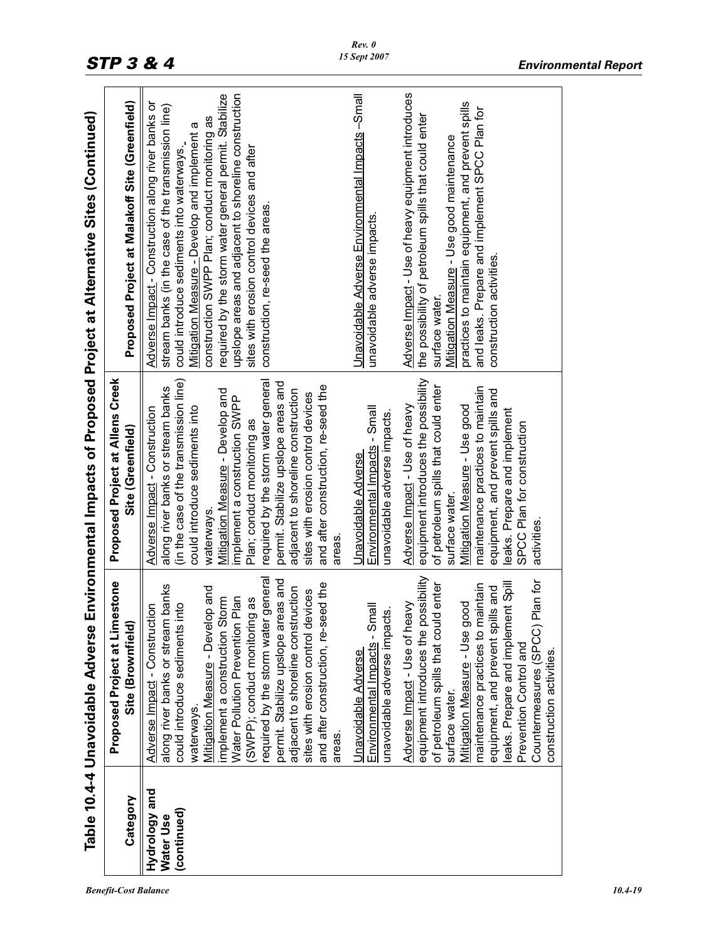|                                           | Table 10.4-4 Unavoidable Adverse                                                                                                                                                                                                                                                                                                                                                                                                                                          |                                                                                                                                                                                                                                                                                                                                                                                                                                                                             | Environmental Impacts of Proposed Project at Alternative Sites (Continued)                                                                                                                                                                                                                                                                                                                                                                                   |
|-------------------------------------------|---------------------------------------------------------------------------------------------------------------------------------------------------------------------------------------------------------------------------------------------------------------------------------------------------------------------------------------------------------------------------------------------------------------------------------------------------------------------------|-----------------------------------------------------------------------------------------------------------------------------------------------------------------------------------------------------------------------------------------------------------------------------------------------------------------------------------------------------------------------------------------------------------------------------------------------------------------------------|--------------------------------------------------------------------------------------------------------------------------------------------------------------------------------------------------------------------------------------------------------------------------------------------------------------------------------------------------------------------------------------------------------------------------------------------------------------|
| Category                                  | Proposed Project at Limestone<br>Site (Brownfield)                                                                                                                                                                                                                                                                                                                                                                                                                        | Proposed Project at Allens Creek<br>Site (Greenfield)                                                                                                                                                                                                                                                                                                                                                                                                                       | Proposed Project at Malakoff Site (Greenfield)                                                                                                                                                                                                                                                                                                                                                                                                               |
| Hydrology and<br>(continued)<br>Water Use | required by the storm water general<br>permit. Stabilize upslope areas and<br>and after construction, re-seed the<br>along river banks or stream banks<br>adjacent to shoreline construction<br>Mitigation Measure - Develop and<br>sites with erosion control devices<br>implement a construction Storm<br>Water Pollution Prevention Plan<br>SWPP); conduct monitoring as<br>into<br>Adverse Impact - Construction<br>could introduce sediments<br>waterways.<br>areas. | required by the storm water general<br>(in the case of the transmission line)<br>permit. Stabilize upslope areas and<br>and after construction, re-seed the<br>along river banks or stream banks<br>Mitigation Measure - Develop and<br>adjacent to shoreline construction<br>sites with erosion control devices<br>implement a construction SWPP<br>could introduce sediments into<br>Adverse Impact - Construction<br>Plan; conduct monitoring as<br>waterways.<br>areas. | upslope areas and adjacent to shoreline construction<br>required by the storm water general permit. Stabilize<br>Adverse Impact - Construction along river banks or<br>stream banks (in the case of the transmission line)<br>construction SWPP Plan; conduct monitoring as<br>Mitigation Measure - Develop and implement a<br>could introduce sediments into waterways.<br>sites with erosion control devices and after<br>construction, re-seed the areas. |
|                                           | Environmental Impacts - Small<br>unavoidable adverse impacts.<br>Unavoidable Adverse                                                                                                                                                                                                                                                                                                                                                                                      | Environmental Impacts - Small<br>unavoidable adverse impacts.<br>Unavoidable Adverse                                                                                                                                                                                                                                                                                                                                                                                        | Unavoidable Adverse Environmental Impacts -Small<br>unavoidable adverse impacts.                                                                                                                                                                                                                                                                                                                                                                             |
|                                           | equipment introduces the possibility<br>Plan for<br>of petroleum spills that could enter<br>eaks. Prepare and implement Spill<br>maintenance practices to maintain<br>equipment, and prevent spills and<br>Adverse Impact - Use of heavy<br>Mitigation Measure - Use good<br>Countermeasures (SPCC)<br>Prevention Control and<br>construction activities.<br>surface water.                                                                                               | equipment introduces the possibility<br>of petroleum spills that could enter<br>maintenance practices to maintain<br>equipment, and prevent spills and<br>Adverse Impact - Use of heavy<br>Mitigation Measure - Use good<br>leaks. Prepare and implement<br>SPCC Plan for construction<br>surface water.<br>activities.                                                                                                                                                     | Adverse Impact - Use of heavy equipment introduces<br>practices to maintain equipment, and prevent spills<br>and leaks. Prepare and implement SPCC Plan for<br>the possibility of petroleum spills that could enter<br>Mitigation Measure - Use good maintenance<br>construction activities.<br>surface water.                                                                                                                                               |

*Rev. 0*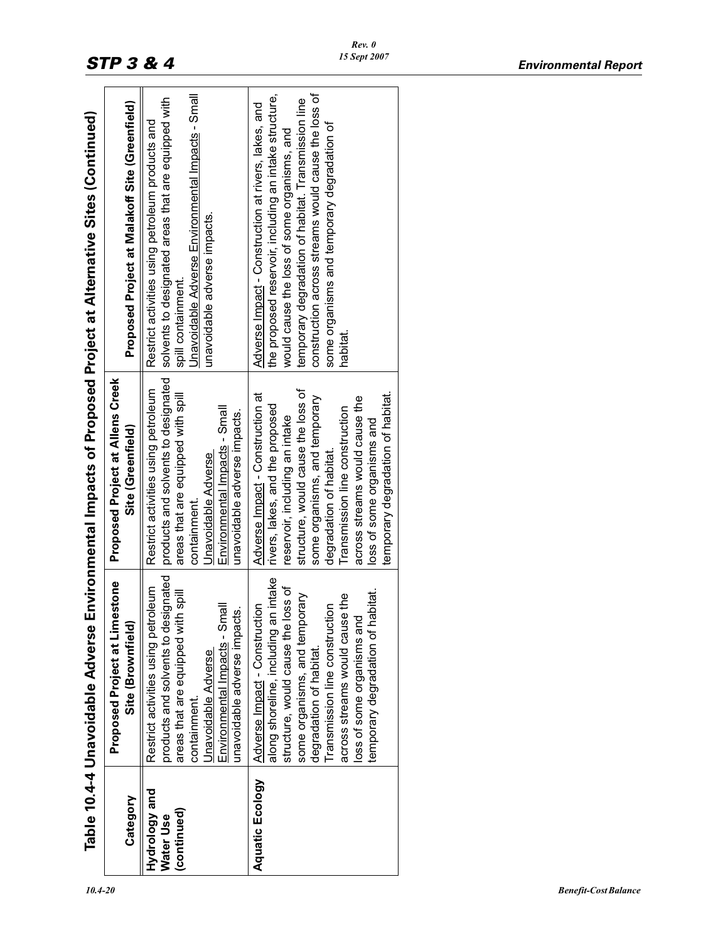|                                           | Table 10.4-4 Unavoidable Adverse                                                                                                                                                                                                                                                                                        |                                                                                                                                                                                                                                                                                                                                                | Environmental Impacts of Proposed Project at Alternative Sites (Continued)                                                                                                                                                                                                                                                            |
|-------------------------------------------|-------------------------------------------------------------------------------------------------------------------------------------------------------------------------------------------------------------------------------------------------------------------------------------------------------------------------|------------------------------------------------------------------------------------------------------------------------------------------------------------------------------------------------------------------------------------------------------------------------------------------------------------------------------------------------|---------------------------------------------------------------------------------------------------------------------------------------------------------------------------------------------------------------------------------------------------------------------------------------------------------------------------------------|
| Category                                  | Proposed Project at Limestone<br>Site (Brownfield)                                                                                                                                                                                                                                                                      | <b>Proposed Project at Allens Creek</b><br>Site (Greenfield)                                                                                                                                                                                                                                                                                   | Proposed Project at Malakoff Site (Greenfield)                                                                                                                                                                                                                                                                                        |
| Hydrology and<br>(continued)<br>Water Use | products and solvents to designated<br>Restrict activities using petroleum<br>areas that are equipped with spill<br>Environmental Impacts - Small<br>unavoidable adverse impacts.<br>Unavoidable Adverse<br>containment.                                                                                                | products and solvents to designated<br>Restrict activities using petroleum<br>areas that are equipped with spill<br>Environmental Impacts - Small<br>unavoidable adverse impacts.<br>Unavoidable Adverse<br>containment.                                                                                                                       | Unavoidable Adverse Environmental Impacts - Small<br>solvents to designated areas that are equipped with<br>Restrict activities using petroleum products and<br>unavoidable adverse impacts.<br>spill containment.                                                                                                                    |
| <b>Aquatic Ecology</b>                    | along shoreline, including an intake<br>structure, would cause the loss of<br>habitat.<br>some organisms, and temporary<br>across streams would cause the<br>Adverse Impact - Construction<br>Transmission line construction<br>ρ<br>loss of some organisms ar<br>temporary degradation of I<br>degradation of habitat. | structure, would cause the loss of<br>temporary degradation of habitat.<br>Adverse Impact - Construction at<br>some organisms, and temporary<br>across streams would cause the<br>rivers, lakes, and the proposed<br>Transmission line construction<br>reservoir, including an intake<br>loss of some organisms and<br>degradation of habitat. | the proposed reservoir, including an intake structure,<br>construction across streams would cause the loss of<br>temporary degradation of habitat. Transmission line<br>Adverse Impact - Construction at rivers, lakes, and<br>some organisms and temporary degradation of<br>would cause the loss of some organisms, and<br>habitat. |
|                                           |                                                                                                                                                                                                                                                                                                                         |                                                                                                                                                                                                                                                                                                                                                |                                                                                                                                                                                                                                                                                                                                       |

*Rev. 0 15 Sept 2007*

 $\overline{\phantom{a}}$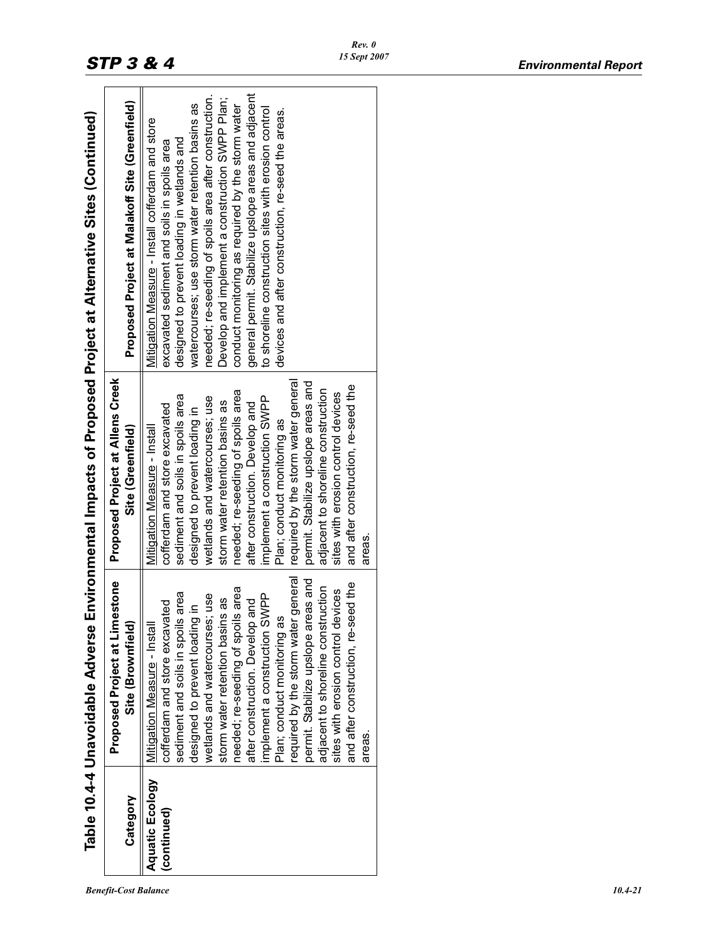| Category                              | <b>Proposed Project at Limestone</b><br>Site (Brownfield)                                                                                                                                                                                                                                                                                                                                                                                                                                                                                                    | <b>Proposed Project at Allens Creek</b><br>Site (Greenfield)                                                                                                                                                                                                                                                                                                                                                                                                                                                                                                 | Proposed Project at Malakoff Site (Greenfield)                                                                                                                                                                                                                                                                                                                                                                                                                                                                                             |
|---------------------------------------|--------------------------------------------------------------------------------------------------------------------------------------------------------------------------------------------------------------------------------------------------------------------------------------------------------------------------------------------------------------------------------------------------------------------------------------------------------------------------------------------------------------------------------------------------------------|--------------------------------------------------------------------------------------------------------------------------------------------------------------------------------------------------------------------------------------------------------------------------------------------------------------------------------------------------------------------------------------------------------------------------------------------------------------------------------------------------------------------------------------------------------------|--------------------------------------------------------------------------------------------------------------------------------------------------------------------------------------------------------------------------------------------------------------------------------------------------------------------------------------------------------------------------------------------------------------------------------------------------------------------------------------------------------------------------------------------|
| <b>Aquatic Ecology</b><br>(continued) | required by the storm water general<br>permit. Stabilize upslope areas and<br>and after construction, re-seed the<br>adjacent to shoreline construction<br>needed; re-seeding of spoils area<br>sites with erosion control devices<br>area<br>wetlands and watercourses; use<br>implement a construction SWPP<br>storm water retention basins as<br>after construction. Develop and<br>cofferdam and store excavated<br>Mitigation Measure - Install<br>sediment and soils in spoils<br>designed to prevent loading<br>Plan; conduct monitoring as<br>areas. | required by the storm water general<br>permit. Stabilize upslope areas and<br>and after construction, re-seed the<br>adjacent to shoreline construction<br>needed; re-seeding of spoils area<br>sites with erosion control devices<br>sediment and soils in spoils area<br>implement a construction SWPP<br>wetlands and watercourses; use<br>storm water retention basins as<br>after construction. Develop and<br>cofferdam and store excavated<br>designed to prevent loading in<br>Plan; conduct monitoring as<br>Mitigation Measure - Install<br>areas. | general permit. Stabilize upslope areas and adjacent<br>needed; re-seeding of spoils area after construction.<br>Develop and implement a construction SWPP Plan;<br>watercourses; use storm water retention basins as<br>conduct monitoring as required by the storm water<br>to shoreline construction sites with erosion control<br>devices and after construction, re-seed the areas.<br>Mitigation Measure - Install cofferdam and store<br>designed to prevent loading in wetlands and<br>excavated sediment and soils in spoils area |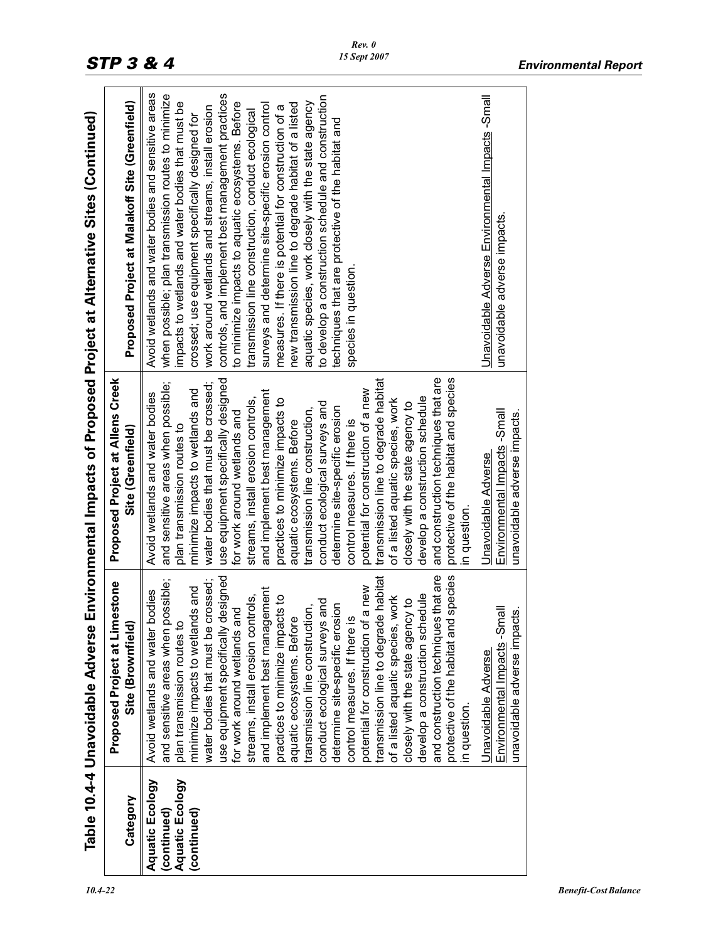|                                                                         |                                                                                                                                                                                                                                                                                                                                                                                                                                                                                                                                                                                                                                                                                                                                                                                                                                                   |                                                                                                                                                                                                                                                                                                                                                                                                                                                                                                                                                                                                                                                                                                                                                                                                                                   | Table 10.4-4 Unavoidable Adverse Environmental Impacts of Proposed Project at Alternative Sites (Continued)                                                                                                                                                                                                                                                                                                                                                                                                                                                                                                                                                                                                                                                                                                 |
|-------------------------------------------------------------------------|---------------------------------------------------------------------------------------------------------------------------------------------------------------------------------------------------------------------------------------------------------------------------------------------------------------------------------------------------------------------------------------------------------------------------------------------------------------------------------------------------------------------------------------------------------------------------------------------------------------------------------------------------------------------------------------------------------------------------------------------------------------------------------------------------------------------------------------------------|-----------------------------------------------------------------------------------------------------------------------------------------------------------------------------------------------------------------------------------------------------------------------------------------------------------------------------------------------------------------------------------------------------------------------------------------------------------------------------------------------------------------------------------------------------------------------------------------------------------------------------------------------------------------------------------------------------------------------------------------------------------------------------------------------------------------------------------|-------------------------------------------------------------------------------------------------------------------------------------------------------------------------------------------------------------------------------------------------------------------------------------------------------------------------------------------------------------------------------------------------------------------------------------------------------------------------------------------------------------------------------------------------------------------------------------------------------------------------------------------------------------------------------------------------------------------------------------------------------------------------------------------------------------|
| Category                                                                | estone<br>Proposed Project at Limo<br>Site (Brownfield)                                                                                                                                                                                                                                                                                                                                                                                                                                                                                                                                                                                                                                                                                                                                                                                           | Proposed Project at Allens Creek<br>Site (Greenfield)                                                                                                                                                                                                                                                                                                                                                                                                                                                                                                                                                                                                                                                                                                                                                                             | Proposed Project at Malakoff Site (Greenfield)                                                                                                                                                                                                                                                                                                                                                                                                                                                                                                                                                                                                                                                                                                                                                              |
| <b>Aquatic Ecology</b><br>Aquatic Ecology<br>(continued)<br>(continued) | and construction techniques that are<br>species<br>transmission line to degrade habitat<br>use equipment specifically designed<br>water bodies that must be crossed;<br>and sensitive areas when possible;<br>a new<br>bue st<br>and implement best management<br>Avoid wetlands and water bodies<br>streams, install erosion controls,<br>develop a construction schedule<br>of a listed aquatic species, work<br>practices to minimize impacts to<br>closely with the state agency to<br>and<br>determine site-specific erosion<br>transmission line construction,<br>for work around wetlands and<br>plan transmission routes to<br>minimize impacts to wetland<br>aquatic ecosystems. Before<br>control measures. If there is<br>potential for construction of<br>conduct ecological surveys<br>protective of the habitat and<br>in question. | and construction techniques that are<br>protective of the habitat and species<br>use equipment specifically designed<br>transmission line to degrade habitat<br>and sensitive areas when possible;<br>water bodies that must be crossed;<br>minimize impacts to wetlands and<br>potential for construction of a new<br>and implement best management<br>Avoid wetlands and water bodies<br>develop a construction schedule<br>streams, install erosion controls,<br>practices to minimize impacts to<br>of a listed aquatic species, work<br>closely with the state agency to<br>conduct ecological surveys and<br>determine site-specific erosion<br>transmission line construction,<br>for work around wetlands and<br>control measures. If there is<br>aquatic ecosystems. Before<br>plan transmission routes to<br>n question | Avoid wetlands and water bodies and sensitive areas<br>controls, and implement best management practices<br>when possible; plan transmission routes to minimize<br>to develop a construction schedule and construction<br>impacts to wetlands and water bodies that must be<br>to minimize impacts to aquatic ecosystems. Before<br>aquatic species, work closely with the state agency<br>new transmission line to degrade habitat of a listed<br>surveys and determine site-specific erosion control<br>measures. If there is potential for construction of a<br>work around wetlands and streams, install erosion<br>transmission line construction, conduct ecological<br>crossed; use equipment specifically designed for<br>techniques that are protective of the habitat and<br>species in question. |
|                                                                         | Environmental Impacts -Small<br>unavoidable adverse impacts.<br>Unavoidable Adverse                                                                                                                                                                                                                                                                                                                                                                                                                                                                                                                                                                                                                                                                                                                                                               | Environmental Impacts -Small<br>unavoidable adverse impacts.<br>Unavoidable Adverse                                                                                                                                                                                                                                                                                                                                                                                                                                                                                                                                                                                                                                                                                                                                               | Unavoidable Adverse Environmental Impacts -Small<br>unavoidable adverse impacts.                                                                                                                                                                                                                                                                                                                                                                                                                                                                                                                                                                                                                                                                                                                            |
|                                                                         |                                                                                                                                                                                                                                                                                                                                                                                                                                                                                                                                                                                                                                                                                                                                                                                                                                                   |                                                                                                                                                                                                                                                                                                                                                                                                                                                                                                                                                                                                                                                                                                                                                                                                                                   |                                                                                                                                                                                                                                                                                                                                                                                                                                                                                                                                                                                                                                                                                                                                                                                                             |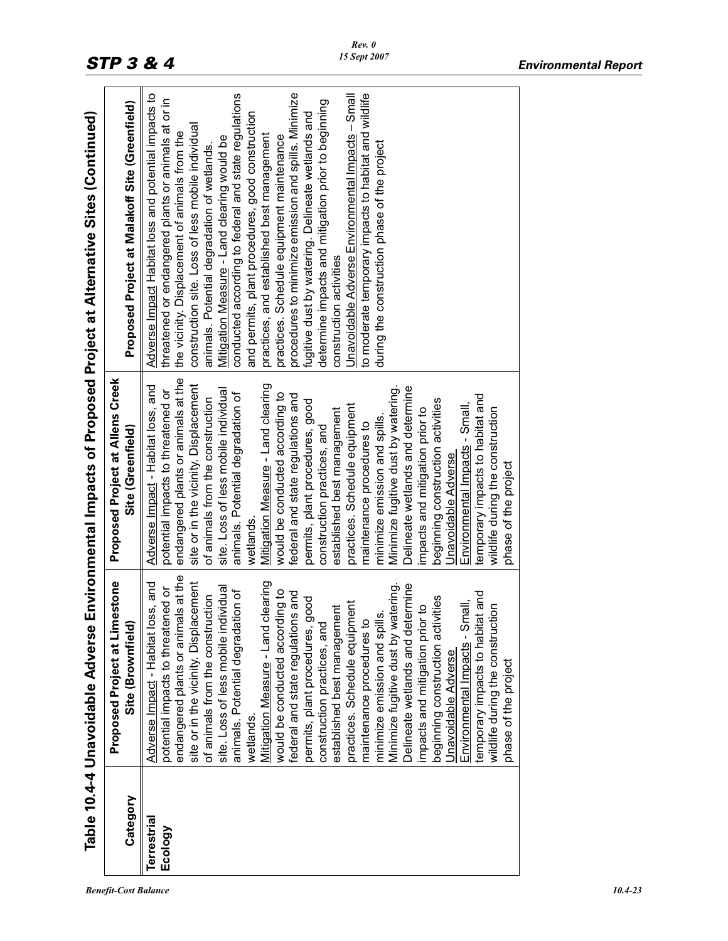|                    |                                                                                   |                                                                              | Table 10.4-4 Unavoidable Adverse Environmental Impacts of Proposed Project at Alternative Sites (Continued) |
|--------------------|-----------------------------------------------------------------------------------|------------------------------------------------------------------------------|-------------------------------------------------------------------------------------------------------------|
|                    | Proposed Project at Limestone                                                     | Proposed Project at Allens Creek                                             |                                                                                                             |
| Category           | Site (Brownfield)                                                                 | Site (Greenfield)                                                            | Proposed Project at Malakoff Site (Greenfield)                                                              |
| <b>Terrestrial</b> | Adverse Impact - Habitat loss, and                                                | Adverse Impact - Habitat loss, and                                           | Adverse Impact Habitat loss and potential impacts to                                                        |
| Ecology            | potential impacts to threatened or                                                | potential impacts to threatened or                                           | threatened or endangered plants or animals at or in<br>the vicinity. Displacement of animals from the       |
|                    | Is at the<br>site or in the vicinity. Displacement<br>endangered plants or animal | endangered plants or animals at the<br>site or in the vicinity. Displacement | construction site. Loss of less mobile individual                                                           |
|                    | of animals from the construction                                                  | of animals from the construction                                             | animals. Potential degradation of wetlands.                                                                 |
|                    | site. Loss of less mobile individual                                              | site. Loss of less mobile individual                                         | Mitigation Measure - Land clearing would be                                                                 |
|                    | ion of<br>animals. Potential degradati                                            | animals. Potential degradation of                                            | conducted according to federal and state regulations                                                        |
|                    | wetlands.                                                                         | wetlands.                                                                    | and permits, plant procedures, good construction                                                            |
|                    | Mitigation Measure - Land clearing                                                | Mitigation Measure - Land clearing                                           | practices, and established best management                                                                  |
|                    | would be conducted according to                                                   | would be conducted according to                                              | practices. Schedule equipment maintenance                                                                   |
|                    | federal and state regulations and                                                 | federal and state regulations and                                            | procedures to minimize emission and spills. Minimize                                                        |
|                    | ood<br>permits, plant procedures, g                                               | permits, plant procedures, good                                              | fugitive dust by watering. Delineate wetlands and                                                           |
|                    | construction practices, and                                                       | construction practices, and                                                  | determine impacts and mitigation prior to beginning                                                         |
|                    | established best management                                                       | established best management                                                  | construction activities                                                                                     |
|                    | practices. Schedule equipment                                                     | practices. Schedule equipment                                                | Unavoidable Adverse Environmental Impacts - Small                                                           |
|                    | maintenance procedures to                                                         | maintenance procedures to                                                    | to moderate temporary impacts to habitat and wildlife                                                       |
|                    | minimize emission and spills.                                                     | minimize emission and spills.                                                | during the construction phase of the project                                                                |
|                    | Minimize fugitive dust by watering                                                | Minimize fugitive dust by watering.                                          |                                                                                                             |
|                    | Delineate wetlands and determine                                                  | Delineate wetlands and determine                                             |                                                                                                             |
|                    | impacts and mitigation prior to                                                   | impacts and mitigation prior to                                              |                                                                                                             |
|                    | beginning construction activities                                                 | beginning construction activities                                            |                                                                                                             |
|                    | Unavoidable Adverse                                                               | Unavoidable Adverse                                                          |                                                                                                             |
|                    | Environmental Impacts - Small,                                                    | Environmental Impacts - Small,                                               |                                                                                                             |
|                    | temporary impacts to habitat and                                                  | temporary impacts to habitat and                                             |                                                                                                             |
|                    | wildlife during the construction                                                  | wildlife during the construction                                             |                                                                                                             |
|                    | phase of the project                                                              | phase of the project                                                         |                                                                                                             |
|                    |                                                                                   |                                                                              |                                                                                                             |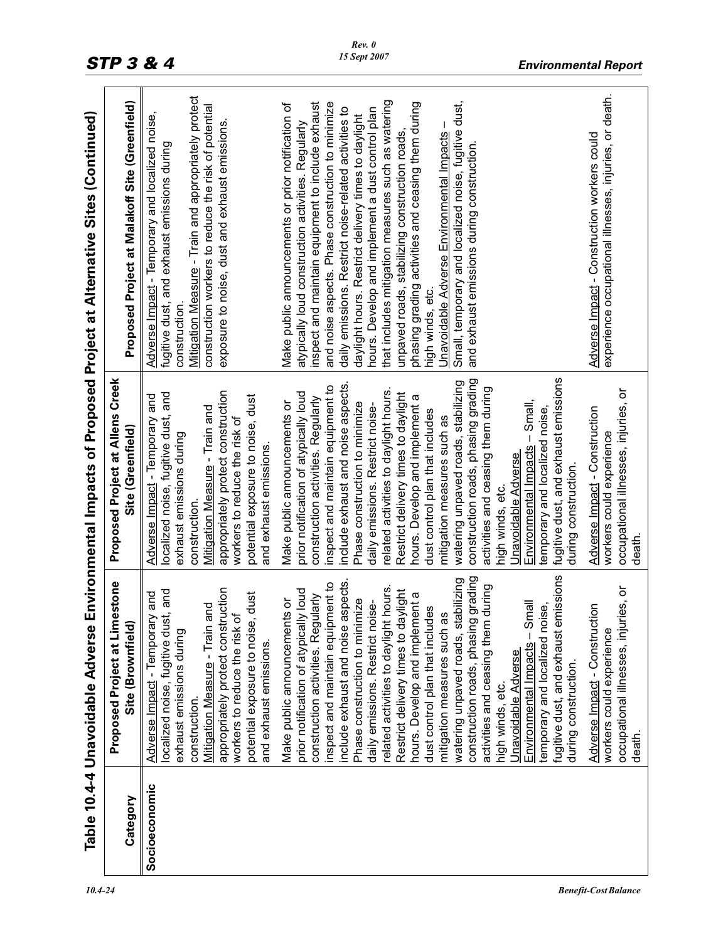|               |                                                                                                                                                                                                                                                                                                                                                                                                                                                                                                                                                                                                                                                                                |                                                                                                                                                                                                                                                                                                                                                                                                                                                                                                                                                                                                                                                                            | Table 10.4-4 Unavoidable Adverse Environmental Impacts of Proposed Project at Alternative Sites (Continued)                                                                                                                                                                                                                                                                                                                                                                                                                                                                                                   |
|---------------|--------------------------------------------------------------------------------------------------------------------------------------------------------------------------------------------------------------------------------------------------------------------------------------------------------------------------------------------------------------------------------------------------------------------------------------------------------------------------------------------------------------------------------------------------------------------------------------------------------------------------------------------------------------------------------|----------------------------------------------------------------------------------------------------------------------------------------------------------------------------------------------------------------------------------------------------------------------------------------------------------------------------------------------------------------------------------------------------------------------------------------------------------------------------------------------------------------------------------------------------------------------------------------------------------------------------------------------------------------------------|---------------------------------------------------------------------------------------------------------------------------------------------------------------------------------------------------------------------------------------------------------------------------------------------------------------------------------------------------------------------------------------------------------------------------------------------------------------------------------------------------------------------------------------------------------------------------------------------------------------|
| Category      | stone<br>Proposed Project at Lime<br>Site (Brownfield)                                                                                                                                                                                                                                                                                                                                                                                                                                                                                                                                                                                                                         | Proposed Project at Allens Creek<br>Site (Greenfield)                                                                                                                                                                                                                                                                                                                                                                                                                                                                                                                                                                                                                      | Proposed Project at Malakoff Site (Greenfield)                                                                                                                                                                                                                                                                                                                                                                                                                                                                                                                                                                |
| Socioeconomic | appropriately protect construction<br>prior notification of atypically loud<br>and<br>dust<br>and<br>Make public announcements or<br>Mitigation Measure - Train and<br>Adverse Impact - Temporary<br>localized noise, fugitive dust<br>workers to reduce the risk of<br>potential exposure to noise,<br>exhaust emissions during<br>and exhaust emissions.<br>construction.                                                                                                                                                                                                                                                                                                    | appropriately protect construction<br>prior notification of atypically loud<br>localized noise, fugitive dust, and<br>Adverse Impact - Temporary and<br>potential exposure to noise, dust<br>Make public announcements or<br>Mitigation Measure - Train and<br>workers to reduce the risk of<br>exhaust emissions during<br>and exhaust emissions<br>construction.                                                                                                                                                                                                                                                                                                         | Mitigation Measure - Train and appropriately protect<br>Make public announcements or prior notification of<br>construction workers to reduce the risk of potential<br>Adverse Impact - Temporary and localized noise,<br>exposure to noise, dust and exhaust emissions.<br>atypically loud construction activities. Regularly<br>fugitive dust, and exhaust emissions during<br>construction.                                                                                                                                                                                                                 |
|               | fugitive dust, and exhaust emissions<br>construction roads, phasing grading<br>watering unpaved roads, stabilizing<br>include exhaust and noise aspects.<br>inspect and maintain equipment to<br>related activities to daylight hours.<br>activities and ceasing them during<br>Restrict delivery times to daylight<br>hours. Develop and implement a<br>larly<br>Phase construction to minimize<br>daily emissions. Restrict noise-<br>Environmental Impacts - Small<br>temporary and localized noise,<br>dust control plan that includes<br>construction activities. Regul<br>mitigation measures such as<br>Unavoidable Adverse<br>during construction.<br>high winds, etc. | fugitive dust, and exhaust emissions<br>construction roads, phasing grading<br>watering unpaved roads, stabilizing<br>include exhaust and noise aspects.<br>inspect and maintain equipment to<br>activities and ceasing them during<br>related activities to daylight hours.<br>Restrict delivery times to daylight<br>hours. Develop and implement a<br>construction activities. Regularly<br>Environmental Impacts - Small,<br>Phase construction to minimize<br>daily emissions. Restrict noise-<br>temporary and localized noise,<br>dust control plan that includes<br>mitigation measures such as<br>Unavoidable Adverse<br>during construction.<br>high winds, etc. | that includes mitigation measures such as watering<br>Small, temporary and localized noise, fugitive dust,<br>inspect and maintain equipment to include exhaust<br>and noise aspects. Phase construction to minimize<br>phasing grading activities and ceasing them during<br>daily emissions. Restrict noise-related activities to<br>hours. Develop and implement a dust control plan<br>daylight hours. Restrict delivery times to daylight<br>unpaved roads, stabilizing construction roads<br>Unavoidable Adverse Environmental Impacts<br>and exhaust emissions during construction<br>high winds, etc. |
|               | occupational illnesses, injuries, or<br>Adverse Impact - Construction<br>workers could experience<br>death.                                                                                                                                                                                                                                                                                                                                                                                                                                                                                                                                                                    | occupational illnesses, injuries, or<br>Adverse Impact - Construction<br>workers could experience<br>death.                                                                                                                                                                                                                                                                                                                                                                                                                                                                                                                                                                | experience occupational illnesses, injuries, or death.<br>Adverse Impact - Construction workers could                                                                                                                                                                                                                                                                                                                                                                                                                                                                                                         |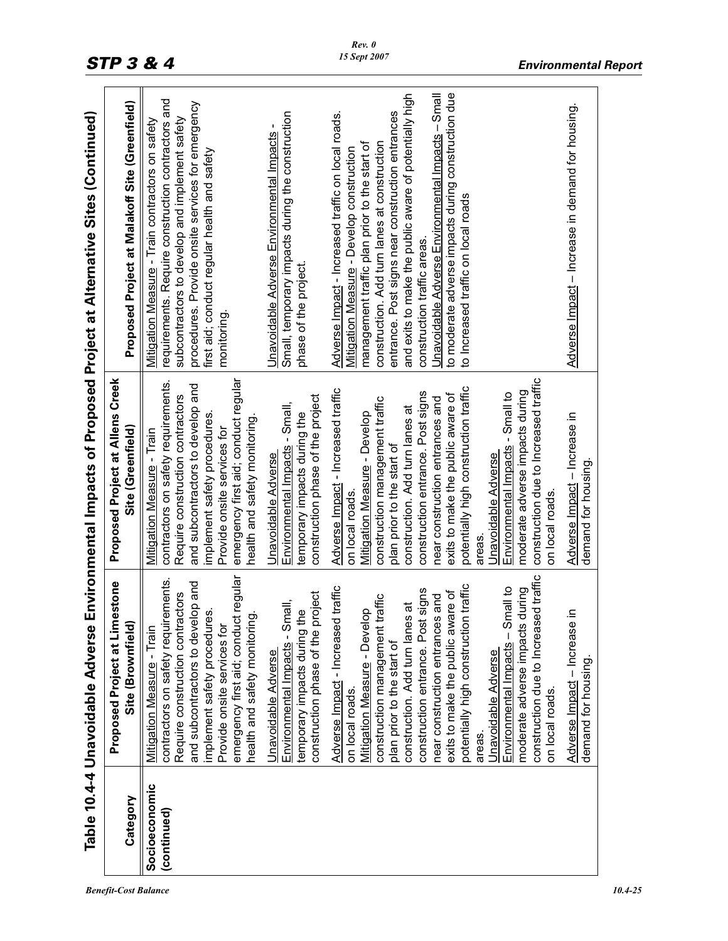|                              |                                                                                                                                                                                                                                                                                                                                                                                                                                                                                                                             |                                                                                                                                                                                                                                                                                                                                                                                                                                                                                                                    | Table 10.4-4 Unavoidable Adverse Environmental Impacts of Proposed Project at Alternative Sites (Continued)                                                                                                                                                                                                                                                                                                                                                                                      |
|------------------------------|-----------------------------------------------------------------------------------------------------------------------------------------------------------------------------------------------------------------------------------------------------------------------------------------------------------------------------------------------------------------------------------------------------------------------------------------------------------------------------------------------------------------------------|--------------------------------------------------------------------------------------------------------------------------------------------------------------------------------------------------------------------------------------------------------------------------------------------------------------------------------------------------------------------------------------------------------------------------------------------------------------------------------------------------------------------|--------------------------------------------------------------------------------------------------------------------------------------------------------------------------------------------------------------------------------------------------------------------------------------------------------------------------------------------------------------------------------------------------------------------------------------------------------------------------------------------------|
| Category                     | <b>Proposed Project at Limestone</b><br>Site (Brownfield)                                                                                                                                                                                                                                                                                                                                                                                                                                                                   | Proposed Project at Allens Creek<br>Site (Greenfield)                                                                                                                                                                                                                                                                                                                                                                                                                                                              | Proposed Project at Malakoff Site (Greenfield)                                                                                                                                                                                                                                                                                                                                                                                                                                                   |
| Socioeconomic<br>(continued) | emergency first aid; conduct regular<br>contractors on safety requirements<br>and subcontractors to develop and<br>Require construction contractors<br>implement safety procedures.<br>health and safety monitoring<br>Provide onsite services for<br>Mitigation Measure - Train                                                                                                                                                                                                                                            | emergency first aid; conduct regular<br>contractors on safety requirements.<br>and subcontractors to develop and<br>Require construction contractors<br>implement safety procedures.<br>health and safety monitoring<br>Provide onsite services for<br>Mitigation Measure - Train                                                                                                                                                                                                                                  | requirements. Require construction contractors and<br>procedures. Provide onsite services for emergency<br>Mitigation Measure - Train contractors on safety<br>subcontractors to develop and implement safety<br>first aid; conduct regular health and safety<br>monitoring                                                                                                                                                                                                                      |
|                              | construction phase of the project<br>Environmental Impacts - Small,<br>temporary impacts during the<br>Unavoidable Adverse                                                                                                                                                                                                                                                                                                                                                                                                  | construction phase of the project<br>Environmental Impacts - Small,<br>temporary impacts during the<br>Jnavoidable Adverse                                                                                                                                                                                                                                                                                                                                                                                         | Small, temporary impacts during the construction<br>Unavoidable Adverse Environmental Impacts<br>phase of the project.                                                                                                                                                                                                                                                                                                                                                                           |
|                              | construction due to Increased traffic<br>traffic<br>traffic<br>Environmental Impacts - Small to<br>moderate adverse impacts during<br>construction entrance. Post signs<br>exits to make the public aware of<br>and<br>construction management traffic<br>construction. Add turn lanes at<br>Mitigation Measure - Develop<br>near construction entrances<br>potentially high construction<br>Adverse Impact - Increased<br>plan prior to the start of<br>Unavoidable Adverse<br>on local roads.<br>on local roads.<br>areas | construction due to Increased traffic<br>potentially high construction traffic<br>Adverse Impact - Increased traffic<br>moderate adverse impacts during<br>construction entrance. Post signs<br>Environmental Impacts - Small to<br>exits to make the public aware of<br>construction management traffic<br>near construction entrances and<br>construction. Add turn lanes at<br>Mitigation Measure - Develop<br>plan prior to the start of<br>Jnavoidable Adverse<br>on local roads.<br>on local roads.<br>areas | Unavoidable Adverse Environmental Impacts - Small<br>to moderate adverse impacts during construction due<br>and exits to make the public aware of potentially high<br>Adverse Impact - Increased traffic on local roads.<br>entrance. Post signs near construction entrances<br>construction. Add turn lanes at construction<br>management traffic plan prior to the start of<br>Mitigation Measure - Develop construction<br>to Increased traffic on local roads<br>construction traffic areas. |
|                              | Adverse Impact - Increase in<br>demand for housing.                                                                                                                                                                                                                                                                                                                                                                                                                                                                         | Adverse Impact - Increase in<br>demand for housing.                                                                                                                                                                                                                                                                                                                                                                                                                                                                | Adverse Impact - Increase in demand for housing                                                                                                                                                                                                                                                                                                                                                                                                                                                  |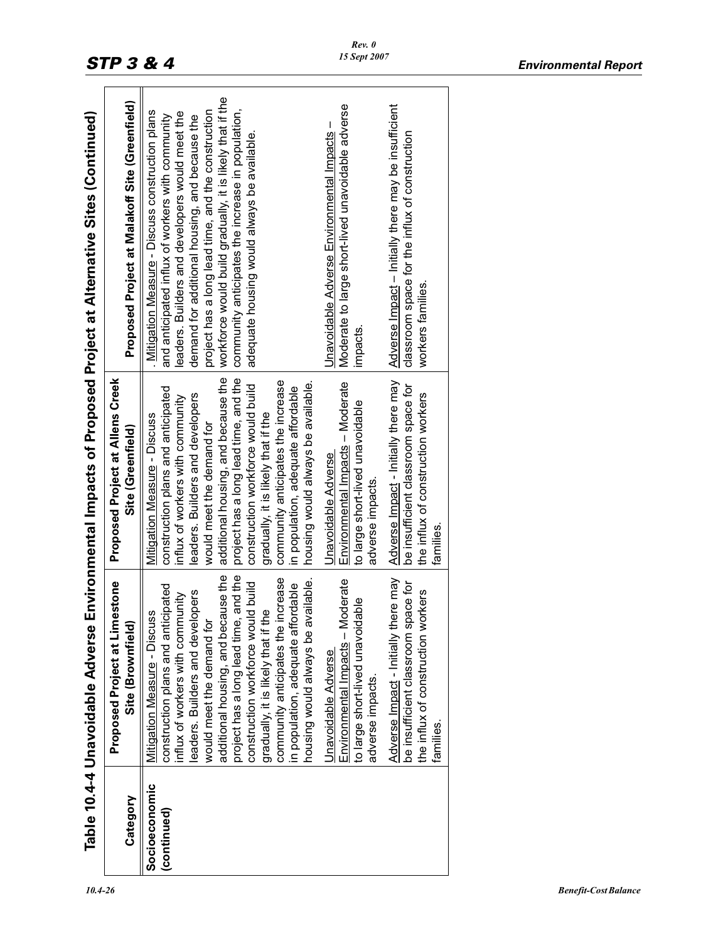|                              | Table 10.4-4 Unavoidable Adverse                                                                                                                                                                                                                                                                                                                                                                                                                                                                                                                                                                                                                                                                                   |                                                                                                                                                                                                                                                                                                                                                                                                                                                                                                                                                                                                                                                                                                            | Environmental Impacts of Proposed Project at Alternative Sites (Continued)                                                                                                                                                                                                                                                                                                                                                                                                                                                                                                                                                                                                   |
|------------------------------|--------------------------------------------------------------------------------------------------------------------------------------------------------------------------------------------------------------------------------------------------------------------------------------------------------------------------------------------------------------------------------------------------------------------------------------------------------------------------------------------------------------------------------------------------------------------------------------------------------------------------------------------------------------------------------------------------------------------|------------------------------------------------------------------------------------------------------------------------------------------------------------------------------------------------------------------------------------------------------------------------------------------------------------------------------------------------------------------------------------------------------------------------------------------------------------------------------------------------------------------------------------------------------------------------------------------------------------------------------------------------------------------------------------------------------------|------------------------------------------------------------------------------------------------------------------------------------------------------------------------------------------------------------------------------------------------------------------------------------------------------------------------------------------------------------------------------------------------------------------------------------------------------------------------------------------------------------------------------------------------------------------------------------------------------------------------------------------------------------------------------|
| Category                     | Proposed Project at Limestone<br>Site (Brownfield)                                                                                                                                                                                                                                                                                                                                                                                                                                                                                                                                                                                                                                                                 | Proposed Project at Allens Creek<br>Site (Greenfield)                                                                                                                                                                                                                                                                                                                                                                                                                                                                                                                                                                                                                                                      | Proposed Project at Malakoff Site (Greenfield)                                                                                                                                                                                                                                                                                                                                                                                                                                                                                                                                                                                                                               |
| Socioeconomic<br>(continued) | additional housing, and because the<br>and the<br>ncrease<br>Adverse Impact - Initially there may<br>Environmental Impacts - Moderate<br>housing would always be available.<br>ld build<br>be insufficient classroom space for<br>in population, adequate affordable<br>construction plans and anticipated<br>the influx of construction workers<br>eaders. Builders and developers<br>nflux of workers with community<br>to large short-lived unavoidable<br>gradually, it is likely that if the<br>Mitigation Measure - Discuss<br>project has a long lead time,<br>would meet the demand for<br>construction workforce wou<br>community anticipates the<br>Unavoidable Adverse<br>adverse impacts.<br>families. | additional housing, and because the<br>project has a long lead time, and the<br>Adverse Impact - Initially there may<br>community anticipates the increase<br>Environmental Impacts - Moderate<br>housing would always be available.<br>be insufficient classroom space for<br>construction workforce would build<br>construction plans and anticipated<br>in population, adequate affordable<br>the influx of construction workers<br>eaders. Builders and developers<br>influx of workers with community<br>to large short-lived unavoidable<br>gradually, it is likely that if the<br>Mitigation Measure - Discuss<br>would meet the demand for<br>Unavoidable Adverse<br>adverse impacts.<br>families. | workforce would build gradually, it is likely that if the<br>Moderate to large short-lived unavoidable adverse<br>Adverse Impact - Initially there may be insufficient<br>community anticipates the increase in population,<br>project has a long lead time, and the construction<br>Mitigation Measure - Discuss construction plans<br>eaders. Builders and developers would meet the<br>and anticipated influx of workers with community<br>demand for additional housing, and because the<br>Jnavoidable Adverse Environmental Impacts -<br>classroom space for the influx of construction<br>adequate housing would always be available.<br>workers families<br>impacts. |
|                              |                                                                                                                                                                                                                                                                                                                                                                                                                                                                                                                                                                                                                                                                                                                    |                                                                                                                                                                                                                                                                                                                                                                                                                                                                                                                                                                                                                                                                                                            |                                                                                                                                                                                                                                                                                                                                                                                                                                                                                                                                                                                                                                                                              |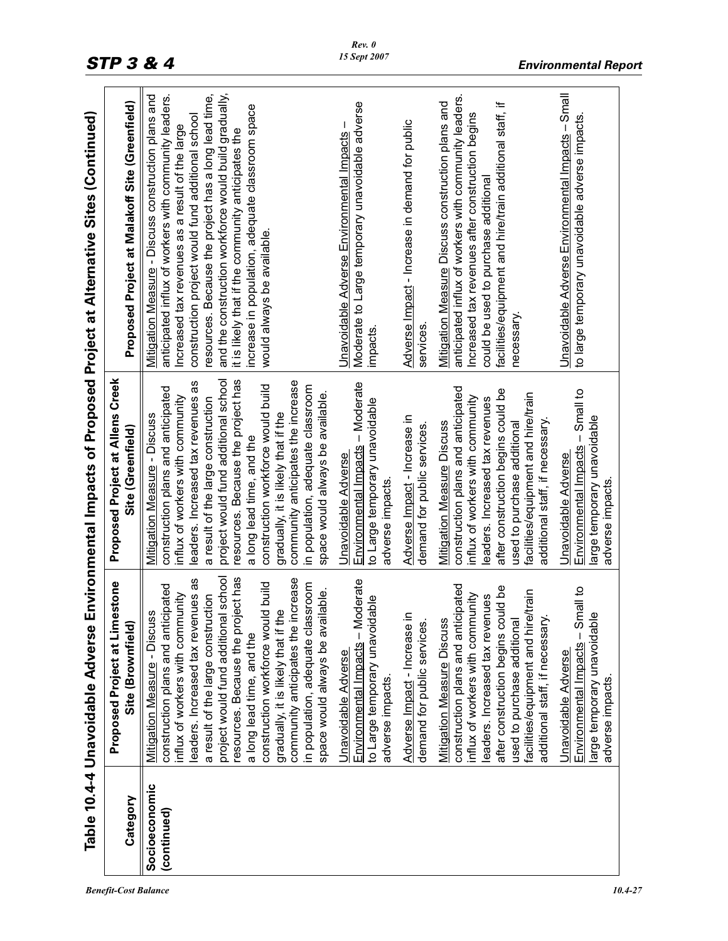|                              | Table 10.4-4 Unavoidable Adverse                                                                                                                                                                                                                                                                                                                                                                                                                                                                    |                                                                                                                                                                                                                                                                                                                                                                                                                                                                                           | Environmental Impacts of Proposed Project at Alternative Sites (Continued)                                                                                                                                                                                                                                                                                                                                                                                                    |
|------------------------------|-----------------------------------------------------------------------------------------------------------------------------------------------------------------------------------------------------------------------------------------------------------------------------------------------------------------------------------------------------------------------------------------------------------------------------------------------------------------------------------------------------|-------------------------------------------------------------------------------------------------------------------------------------------------------------------------------------------------------------------------------------------------------------------------------------------------------------------------------------------------------------------------------------------------------------------------------------------------------------------------------------------|-------------------------------------------------------------------------------------------------------------------------------------------------------------------------------------------------------------------------------------------------------------------------------------------------------------------------------------------------------------------------------------------------------------------------------------------------------------------------------|
| Category                     | estone<br>Proposed Project at Lim<br>Site (Brownfield)                                                                                                                                                                                                                                                                                                                                                                                                                                              | Proposed Project at Allens Creek<br>Site (Greenfield)                                                                                                                                                                                                                                                                                                                                                                                                                                     | Proposed Project at Malakoff Site (Greenfield)                                                                                                                                                                                                                                                                                                                                                                                                                                |
| Socioeconomic<br>(continued) | project would fund additional school<br>resources. Because the project has<br>increase<br>leaders. Increased tax revenues as<br>construction workforce would build<br>in population, adequate classroom<br>construction plans and anticipated<br>space would always be available.<br>influx of workers with community<br>a result of the large construction<br>gradually, it is likely that if the<br><b>Mitigation Measure - Discuss</b><br>community anticipates the<br>a long lead time, and the | resources. Because the project has<br>project would fund additional school<br>community anticipates the increase<br>leaders. Increased tax revenues as<br>construction workforce would build<br>in population, adequate classroom<br>construction plans and anticipated<br>space would always be available.<br>influx of workers with community<br>a result of the large construction<br>gradually, it is likely that if the<br>Mitigation Measure - Discuss<br>a long lead time, and the | Mitigation Measure - Discuss construction plans and<br>resources. Because the project has a long lead time,<br>and the construction workforce would build gradually,<br>anticipated influx of workers with community leaders.<br>increase in population, adequate classroom space<br>construction project would fund additional school<br>Increased tax revenues as a result of the large<br>it is likely that if the community anticipates the<br>would always be available. |
|                              | Environmental Impacts - Moderate<br>to Large temporary unavoidable<br>Unavoidable Adverse<br>adverse impacts.                                                                                                                                                                                                                                                                                                                                                                                       | Environmental Impacts - Moderate<br>to Large temporary unavoidable<br>Unavoidable Adverse<br>adverse impacts                                                                                                                                                                                                                                                                                                                                                                              | Moderate to Large temporary unavoidable adverse<br>Unavoidable Adverse Environmental Impacts<br>impacts                                                                                                                                                                                                                                                                                                                                                                       |
|                              | Adverse Impact - Increase in<br>demand for public services.                                                                                                                                                                                                                                                                                                                                                                                                                                         | Adverse Impact - Increase in<br>demand for public services.                                                                                                                                                                                                                                                                                                                                                                                                                               | Adverse Impact - Increase in demand for public<br>services                                                                                                                                                                                                                                                                                                                                                                                                                    |
|                              | construction plans and anticipated<br>after construction begins could be<br>facilities/equipment and hire/train<br>influx of workers with community<br>leaders. Increased tax revenues<br>additional staff, if necessary.<br><b>Mitigation Measure Discuss</b><br>used to purchase additiona                                                                                                                                                                                                        | construction plans and anticipated<br>after construction begins could be<br>facilities/equipment and hire/train<br>influx of workers with community<br>leaders. Increased tax revenues<br>additional staff, if necessary.<br><b>Mitigation Measure Discuss</b><br>used to purchase additional                                                                                                                                                                                             | anticipated influx of workers with community leaders.<br>Mitigation Measure Discuss construction plans and<br>facilities/equipment and hire/train additional staff, if<br>Increased tax revenues after construction begins<br>could be used to purchase additional<br>necessary                                                                                                                                                                                               |
|                              | Environmental Impacts - Small to<br>$\overline{\mathbf{v}}$<br>arge temporary unavoidab<br>Unavoidable Adverse<br>adverse impacts.                                                                                                                                                                                                                                                                                                                                                                  | Environmental Impacts - Small to<br>large temporary unavoidable<br>Unavoidable Adverse<br>adverse impacts.                                                                                                                                                                                                                                                                                                                                                                                | Unavoidable Adverse Environmental Impacts - Small<br>to large temporary unavoidable adverse impacts.                                                                                                                                                                                                                                                                                                                                                                          |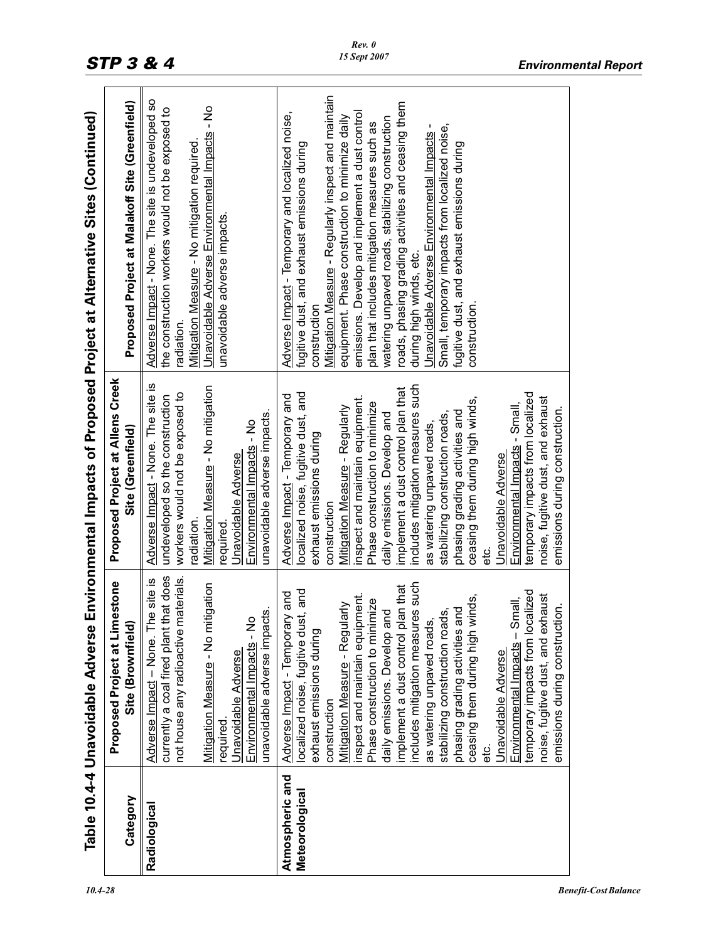|                                   | Table 10.4-4 Unavoidable Adverse                                                                                                                                                                                                                                                                                                                                                                                                                                                                                                                                                                                                                                  |                                                                                                                                                                                                                                                                                                                                                                                                                                                                                                                                                                                                                                                         | Environmental Impacts of Proposed Project at Alternative Sites (Continued)                                                                                                                                                                                                                                                                                                                                                                                                                                                                                                                                                         |
|-----------------------------------|-------------------------------------------------------------------------------------------------------------------------------------------------------------------------------------------------------------------------------------------------------------------------------------------------------------------------------------------------------------------------------------------------------------------------------------------------------------------------------------------------------------------------------------------------------------------------------------------------------------------------------------------------------------------|---------------------------------------------------------------------------------------------------------------------------------------------------------------------------------------------------------------------------------------------------------------------------------------------------------------------------------------------------------------------------------------------------------------------------------------------------------------------------------------------------------------------------------------------------------------------------------------------------------------------------------------------------------|------------------------------------------------------------------------------------------------------------------------------------------------------------------------------------------------------------------------------------------------------------------------------------------------------------------------------------------------------------------------------------------------------------------------------------------------------------------------------------------------------------------------------------------------------------------------------------------------------------------------------------|
| Category                          | Proposed Project at Limestone<br>Site (Brownfield)                                                                                                                                                                                                                                                                                                                                                                                                                                                                                                                                                                                                                | Proposed Project at Allens Creek<br>Site (Greenfield)                                                                                                                                                                                                                                                                                                                                                                                                                                                                                                                                                                                                   | Proposed Project at Malakoff Site (Greenfield)                                                                                                                                                                                                                                                                                                                                                                                                                                                                                                                                                                                     |
| Radiological                      | currently a coal fired plant that does<br>aterials.<br>Adverse Impact - None. The site is<br>igation<br>unavoidable adverse impacts.<br>not house any radioactive m<br>Mitigation Measure - No mit<br>Environmental Impacts - No<br>Unavoidable Adverse<br>required                                                                                                                                                                                                                                                                                                                                                                                               | Adverse Impact - None. The site is<br>Mitigation Measure - No mitigation<br>workers would not be exposed to<br>undeveloped so the construction<br>unavoidable adverse impacts.<br>Environmental Impacts - No<br><b>Unavoidable Adverse</b><br>radiation.<br>required                                                                                                                                                                                                                                                                                                                                                                                    | Adverse Impact - None. The site is undeveloped so<br>Unavoidable Adverse Environmental Impacts - No<br>the construction workers would not be exposed to<br>Mitigation Measure - No mitigation required<br>unavoidable adverse impacts.<br>radiation.                                                                                                                                                                                                                                                                                                                                                                               |
| Atmospheric and<br>Meteorological | includes mitigation measures such<br>implement a dust control plan that<br>temporary impacts from localized<br>localized noise, fugitive dust, and<br>Adverse Impact - Temporary and<br>inspect and maintain equipment.<br>noise, fugitive dust, and exhaust<br>ceasing them during high winds,<br>Environmental Impacts - Small,<br>Phase construction to minimize<br><b>Mitigation Measure - Regularly</b><br>emissions during construction.<br>phasing grading activities and<br>stabilizing construction roads,<br>daily emissions. Develop and<br>as watering unpaved roads,<br>exhaust emissions during<br>Unavoidable Adverse<br>construction<br>etc.<br>e | includes mitigation measures such<br>implement a dust control plan that<br>localized noise, fugitive dust, and<br>temporary impacts from localized<br>Adverse Impact - Temporary and<br>inspect and maintain equipment.<br>noise, fugitive dust, and exhaust<br>ceasing them during high winds,<br>Phase construction to minimize<br>Environmental Impacts - Small,<br>Mitigation Measure - Regularly<br>emissions during construction.<br>phasing grading activities and<br>daily emissions. Develop and<br>stabilizing construction roads,<br>as watering unpaved roads,<br>exhaust emissions during<br>Jnavoidable Adverse<br>construction<br>ن<br>ھ | Mitigation Measure - Regularly inspect and maintain<br>roads, phasing grading activities and ceasing them<br>emissions. Develop and implement a dust control<br>Adverse Impact - Temporary and localized noise,<br>equipment. Phase construction to minimize daily<br>watering unpaved roads, stabilizing construction<br>plan that includes mitigation measures such as<br>Small, temporary impacts from localized noise,<br>Unavoidable Adverse Environmental Impacts -<br>fugitive dust, and exhaust emissions during<br>fugitive dust, and exhaust emissions during<br>during high winds, etc.<br>construction<br>construction |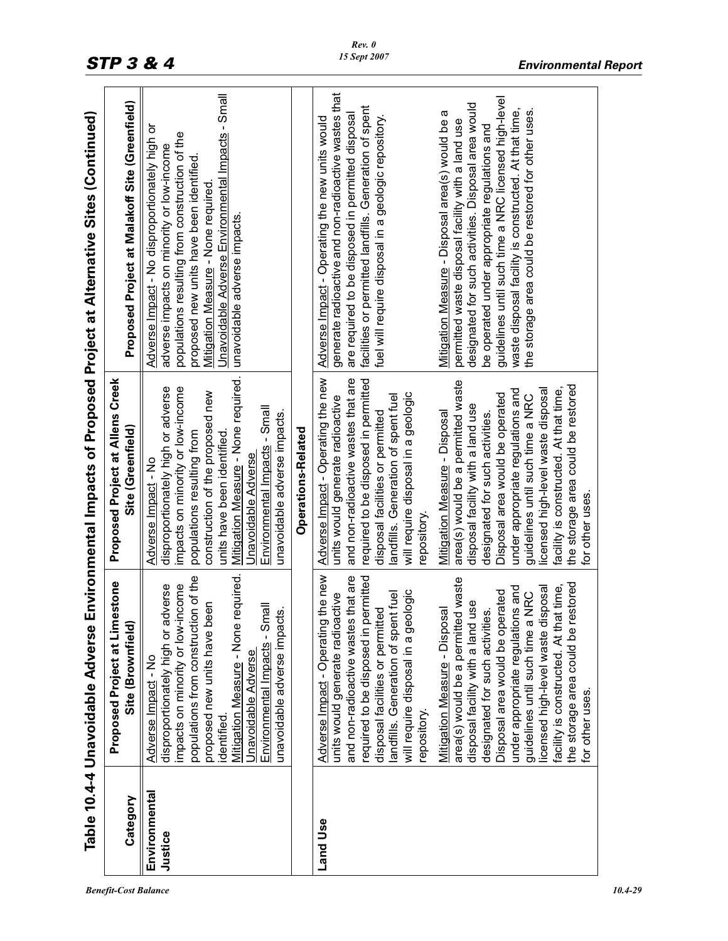|                          | Table 10.4-4 Unavoidable Adverse                                                                                                                                                                                                                                                                                                                                                                                                                                                                                                                                                                                                                                                                           |                                                                                                                                                                                                                                                                                                                                                                                                                                                                                                                                                                                                                                                                                        | Environmental Impacts of Proposed Project at Alternative Sites (Continued)                                                                                                                                                                                                                                                                                                                                                                                                                                                                                                                                                                                            |
|--------------------------|------------------------------------------------------------------------------------------------------------------------------------------------------------------------------------------------------------------------------------------------------------------------------------------------------------------------------------------------------------------------------------------------------------------------------------------------------------------------------------------------------------------------------------------------------------------------------------------------------------------------------------------------------------------------------------------------------------|----------------------------------------------------------------------------------------------------------------------------------------------------------------------------------------------------------------------------------------------------------------------------------------------------------------------------------------------------------------------------------------------------------------------------------------------------------------------------------------------------------------------------------------------------------------------------------------------------------------------------------------------------------------------------------------|-----------------------------------------------------------------------------------------------------------------------------------------------------------------------------------------------------------------------------------------------------------------------------------------------------------------------------------------------------------------------------------------------------------------------------------------------------------------------------------------------------------------------------------------------------------------------------------------------------------------------------------------------------------------------|
| Category                 | <b>Proposed Project at Limestone</b><br>Site (Brownfield)                                                                                                                                                                                                                                                                                                                                                                                                                                                                                                                                                                                                                                                  | Proposed Project at Allens Creek<br>Site (Greenfield)                                                                                                                                                                                                                                                                                                                                                                                                                                                                                                                                                                                                                                  | Proposed Project at Malakoff Site (Greenfield)                                                                                                                                                                                                                                                                                                                                                                                                                                                                                                                                                                                                                        |
| Environmental<br>Justice | required.<br>populations from construction of the<br>mpacts on minority or low-income<br>disproportionately high or adverse<br>proposed new units have been<br>Environmental Impacts - Small<br>unavoidable adverse impacts.<br><b>Mitigation Measure - None</b><br><u> Unavoidable Adverse</u><br>Adverse Impact - No<br>dentified                                                                                                                                                                                                                                                                                                                                                                        | Mitigation Measure - None required.<br>impacts on minority or low-income<br>disproportionately high or adverse<br>construction of the proposed new<br>Environmental Impacts - Small<br>unavoidable adverse impacts.<br>units have been identified.<br>populations resulting from<br>Jnavoidable Adverse<br>Adverse Impact - No                                                                                                                                                                                                                                                                                                                                                         | Unavoidable Adverse Environmental Impacts - Small<br>Adverse Impact - No disproportionately high or<br>populations resulting from construction of the<br>adverse impacts on minority or low-income<br>proposed new units have been identified<br>Mitigation Measure - None required<br>unavoidable adverse impacts.                                                                                                                                                                                                                                                                                                                                                   |
|                          |                                                                                                                                                                                                                                                                                                                                                                                                                                                                                                                                                                                                                                                                                                            | Operations-Related                                                                                                                                                                                                                                                                                                                                                                                                                                                                                                                                                                                                                                                                     |                                                                                                                                                                                                                                                                                                                                                                                                                                                                                                                                                                                                                                                                       |
| Land Use                 | Adverse Impact - Operating the new<br>and non-radioactive wastes that are<br>required to be disposed in permitted<br>area(s) would be a permitted waste<br>the storage area could be restored<br>facility is constructed. At that time,<br>under appropriate regulations and<br>licensed high-level waste disposal<br>Disposal area would be operated<br>will require disposal in a geologic<br><b>NRC</b><br>nt fuel<br>units would generate radioactive<br>use<br>Mitigation Measure - Disposal<br>disposal facilities or permitted<br>designated for such activities.<br>guidelines until such time a<br>andfills. Generation of sper<br>disposal facility with a land<br>for other uses.<br>repository | Adverse Impact - Operating the new<br>required to be disposed in permitted<br>and non-radioactive wastes that are<br>area(s) would be a permitted waste<br>the storage area could be restored<br>facility is constructed. At that time,<br>under appropriate regulations and<br>licensed high-level waste disposal<br>will require disposant a geologic<br>Disposal area would be operated<br>guidelines until such time a NRC<br>andfills. Generation of spent fuel<br>units would generate radioactive<br>disposal facility with a land use<br>Mitigation Measure - Disposal<br>disposal facilities or permitted<br>designated for such activities.<br>for other uses.<br>repository | generate radioactive and non-radioactive wastes that<br>guidelines until such time a NRC licensed high-level<br>designated for such activities. Disposal area would<br>facilities or permitted landfills. Generation of spent<br>waste disposal facility is constructed. At that time,<br>the storage area could be restored for other uses.<br>Mitigation Measure - Disposal area(s) would be a<br>are required to be disposed in permitted disposal<br>fuel will require disposal in a geologic repository.<br>Adverse Impact - Operating the new units would<br>permitted waste disposal facility with a land use<br>be operated under appropriate regulations and |
|                          |                                                                                                                                                                                                                                                                                                                                                                                                                                                                                                                                                                                                                                                                                                            |                                                                                                                                                                                                                                                                                                                                                                                                                                                                                                                                                                                                                                                                                        |                                                                                                                                                                                                                                                                                                                                                                                                                                                                                                                                                                                                                                                                       |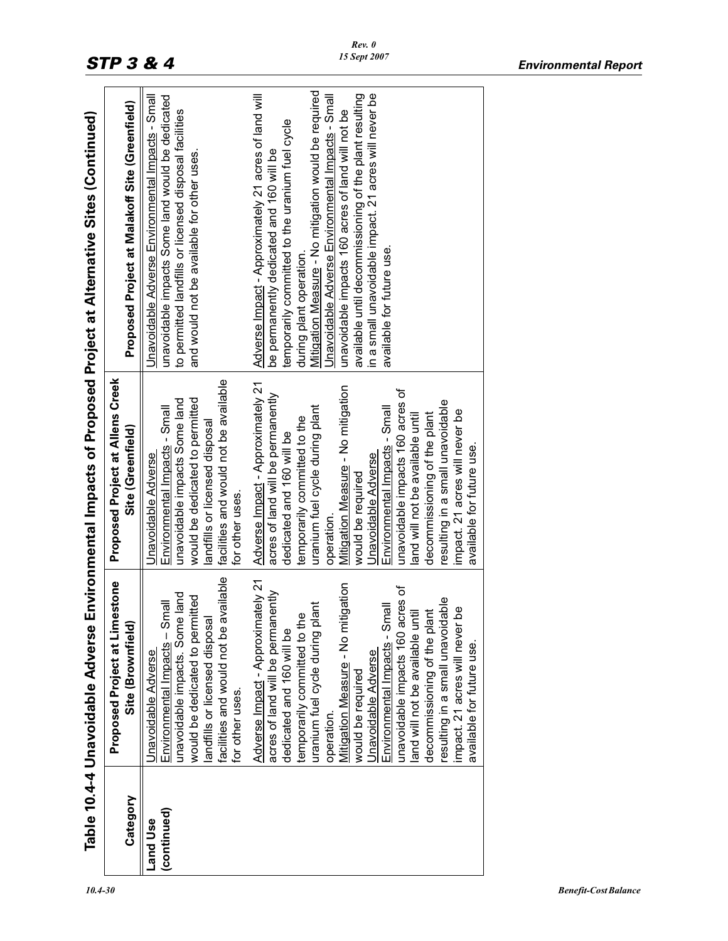|             | Table 10.4-4 Unavoidable Adverse        |                                       | Environmental Impacts of Proposed Project at Alternative Sites (Continued) |
|-------------|-----------------------------------------|---------------------------------------|----------------------------------------------------------------------------|
|             | <b>Proposed Project at Limestone</b>    | Proposed Project at Allens Creek      |                                                                            |
| Category    | Site (Brownfield)                       | Site (Greenfield)                     | Proposed Project at Malakoff Site (Greenfield)                             |
| Land Use    | Jnavoidable Adverse                     | Unavoidable Adverse                   | Unavoidable Adverse Environmental Impacts - Small                          |
| (continued) | Environmental Impacts - Small           | Environmental Impacts - Small         | unavoidable impacts Some land would be dedicated                           |
|             | unavoidable impacts. Some land          | unavoidable impacts Some land         | to permitted landfills or licensed disposal facilities                     |
|             | would be dedicated to permitted         | would be dedicated to permitted       | and would not be available for other uses.                                 |
|             | landfills or licensed disposa           | landfills or licensed disposal        |                                                                            |
|             | facilities and would not be available   | facilities and would not be available |                                                                            |
|             | for other uses.                         | for other uses.                       |                                                                            |
|             | Adverse Impact - Approximately 21       | Adverse Impact - Approximately 21     | Adverse Impact - Approximately 21 acres of land will                       |
|             | acres of land will be permanently       | acres of land will be permanently     | be permanently dedicated and 160 will be                                   |
|             | dedicated and 160 will be               | dedicated and 160 will be             | temporarily committed to the uranium fuel cycle                            |
|             | temporarily committed to the            | temporarily committed to the          | during plant operation.                                                    |
|             | lant<br>uranium fuel cycle during pl    | uranium fuel cycle during plant       | Mitigation Measure - No mitigation would be required                       |
|             | operation.                              | operation.                            | Unavoidable Adverse Environmental Impacts - Small                          |
|             | Mitigation Measure - No mitigation      | Mitigation Measure - No mitigation    | unavoidable impacts 160 acres of land will not be                          |
|             | would be required                       | would be required                     | available until decommissioning of the plant resulting                     |
|             | Unavoidable Adverse                     | Unavoidable Adverse                   | in a small unavoidable impact. 21 acres will never be                      |
|             | Environmental Impacts - Small           | Environmental Impacts - Small         | available for future use.                                                  |
|             | unavoidable impacts 160 acres of        | unavoidable impacts 160 acres of      |                                                                            |
|             | and will not be available until         | land will not be available until      |                                                                            |
|             | decommissioning of the plant            | decommissioning of the plant          |                                                                            |
|             | resulting in a small unavoidable        | resulting in a small unavoidable      |                                                                            |
|             | <u>be</u><br>mpact. 21 acres will never | impact. 21 acres will never be        |                                                                            |
|             | available for future use.               | available for future use.             |                                                                            |
|             |                                         |                                       |                                                                            |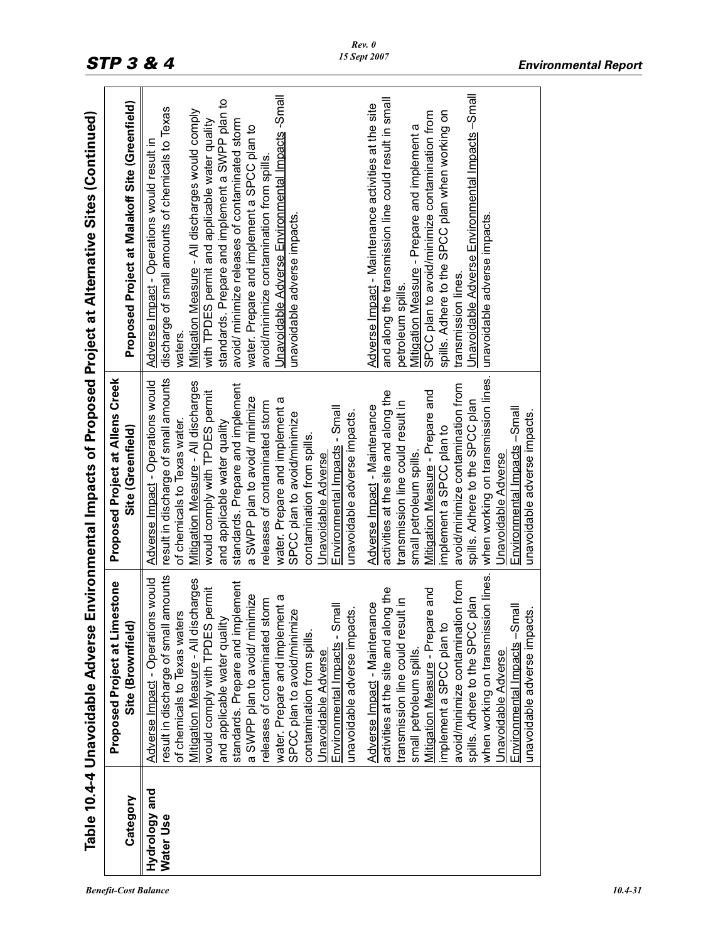|                            |                                                                                                                                                                                                                                                                                                                                                                                                                                                                                                                                                                                                                                                                                                                                                                                                                                                                                                                                     |                                                                                                                                                                                                                                                                                                                                                                                                                                                                                                                                                                                                                                                                                                                                                                                                                                                                                                                                | Table 10.4-4 Unavoidable Adverse Environmental Impacts of Proposed Project at Alternative Sites (Continued)                                                                                                                                                                                                                                                                                                                                                                                                                                                                                                                                                                                                                                                                                                                                                                                                |
|----------------------------|-------------------------------------------------------------------------------------------------------------------------------------------------------------------------------------------------------------------------------------------------------------------------------------------------------------------------------------------------------------------------------------------------------------------------------------------------------------------------------------------------------------------------------------------------------------------------------------------------------------------------------------------------------------------------------------------------------------------------------------------------------------------------------------------------------------------------------------------------------------------------------------------------------------------------------------|--------------------------------------------------------------------------------------------------------------------------------------------------------------------------------------------------------------------------------------------------------------------------------------------------------------------------------------------------------------------------------------------------------------------------------------------------------------------------------------------------------------------------------------------------------------------------------------------------------------------------------------------------------------------------------------------------------------------------------------------------------------------------------------------------------------------------------------------------------------------------------------------------------------------------------|------------------------------------------------------------------------------------------------------------------------------------------------------------------------------------------------------------------------------------------------------------------------------------------------------------------------------------------------------------------------------------------------------------------------------------------------------------------------------------------------------------------------------------------------------------------------------------------------------------------------------------------------------------------------------------------------------------------------------------------------------------------------------------------------------------------------------------------------------------------------------------------------------------|
| Category                   | <b>Proposed Project at Limestone</b><br>Site (Brownfield)                                                                                                                                                                                                                                                                                                                                                                                                                                                                                                                                                                                                                                                                                                                                                                                                                                                                           | Proposed Project at Allens Creek<br>Site (Greenfield)                                                                                                                                                                                                                                                                                                                                                                                                                                                                                                                                                                                                                                                                                                                                                                                                                                                                          | Proposed Project at Malakoff Site (Greenfield)                                                                                                                                                                                                                                                                                                                                                                                                                                                                                                                                                                                                                                                                                                                                                                                                                                                             |
| Hydrology and<br>Water Use | result in discharge of small amounts<br>when working on transmission lines.<br>Adverse Impact - Operations would<br>Mitigation Measure - All discharges<br>avoid/minimize contamination from<br>ement<br>activities at the site and along the<br>Mitigation Measure - Prepare and<br>would comply with TPDES permit<br>a SWPP plan to avoid/ minimize<br>water. Prepare and implement a<br>spills. Adhere to the SPCC plan<br>releases of contaminated storm<br>transmission line could result in<br>Adverse Impact - Maintenance<br>Environmental Impacts - Small<br>Environmental Impacts -Small<br>unavoidable adverse impacts.<br>unavoidable adverse impacts.<br>SPCC plan to avoid/minimize<br>of chemicals to Texas waters<br>and applicable water quality<br>standards. Prepare and impl<br>implement a SPCC plan to<br>contamination from spills.<br>small petroleum spills.<br>Unavoidable Adverse<br>Unavoidable Adverse | when working on transmission lines.<br>result in discharge of small amounts<br>Adverse Impact - Operations would<br>Mitigation Measure - All discharges<br>standards. Prepare and implement<br>avoid/minimize contamination from<br>activities at the site and along the<br>Mitigation Measure - Prepare and<br>would comply with TPDES permit<br>a SWPP plan to avoid/ minimize<br>water. Prepare and implement a<br>spills. Adhere to the SPCC plan<br>releases of contaminated storm<br>transmission line could result in<br>Adverse Impact - Maintenance<br>Environmental Impacts - Small<br>Environmental Impacts -Small<br>unavoidable adverse impacts.<br>unavoidable adverse impacts.<br>SPCC plan to avoid/minimize<br>of chemicals to Texas water.<br>and applicable water quality<br>implement a SPCC plan to<br>contamination from spills<br>small petroleum spills.<br>Unavoidable Adverse<br>Unavoidable Adverse | Unavoidable Adverse Environmental Impacts -Small<br>Unavoidable Adverse Environmental Impacts -Small<br>and along the transmission line could result in small<br>standards. Prepare and implement a SWPP plan to<br>Adverse Impact - Maintenance activities at the site<br>discharge of small amounts of chemicals to Texas<br>Mitigation Measure - All discharges would comply<br>spills. Adhere to the SPCC plan when working on<br>SPCC plan to avoid/minimize contamination from<br>avoid/ minimize releases of contaminated storm<br>with TPDES permit and applicable water quality<br>Mitigation Measure - Prepare and implement a<br>water. Prepare and implement a SPCC plan to<br>Adverse Impact - Operations would result in<br>avoid/minimize contamination from spills.<br>unavoidable adverse impacts.<br>unavoidable adverse impacts.<br>transmission lines.<br>petroleum spills.<br>waters. |
|                            |                                                                                                                                                                                                                                                                                                                                                                                                                                                                                                                                                                                                                                                                                                                                                                                                                                                                                                                                     |                                                                                                                                                                                                                                                                                                                                                                                                                                                                                                                                                                                                                                                                                                                                                                                                                                                                                                                                |                                                                                                                                                                                                                                                                                                                                                                                                                                                                                                                                                                                                                                                                                                                                                                                                                                                                                                            |

*Rev. 0 15 Sept 2007*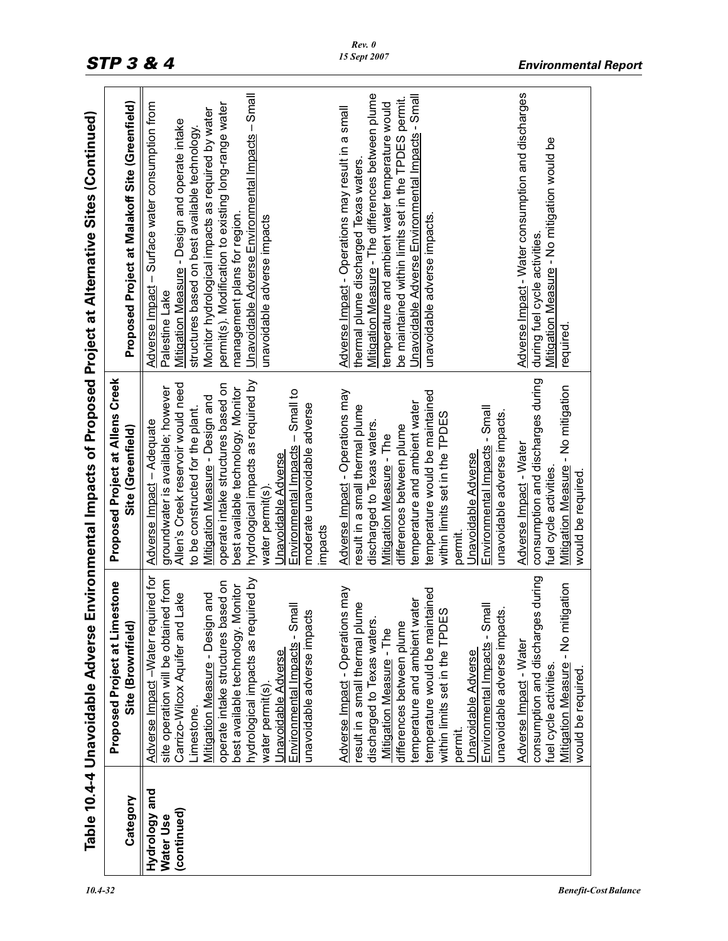|                            | Table 10.4-4 Unavoidable Adverse                                           |                                                                          | Environmental Impacts of Proposed Project at Alternative Sites (Continued)                              |
|----------------------------|----------------------------------------------------------------------------|--------------------------------------------------------------------------|---------------------------------------------------------------------------------------------------------|
| Category                   | <b>Proposed Project at Limestone</b><br>Site (Brownfield)                  | Proposed Project at Allens Creek<br>Site (Greenfield)                    | Proposed Project at Malakoff Site (Greenfield)                                                          |
| Hydrology and<br>Water Use | Adverse Impact -Water required for<br>site operation will be obtained from | groundwater is available; however<br>Adverse Impact - Adequate           | - Surface water consumption from<br>Adverse Impact<br>Palestine Lake                                    |
| (continued)                | Lake<br>Carrizo-Wilcox Aquifer and                                         | Allen's Creek reservoir would need                                       | Mitigation Measure - Design and operate intake                                                          |
|                            | -imestone.                                                                 | to be constructed for the plant.                                         | structures based on best available technology.                                                          |
|                            | Mitigation Measure - Design and                                            | Mitigation Measure - Design and                                          | Monitor hydrological impacts as required by water                                                       |
|                            | operate intake structures based on<br>best available technology. Monitor   | operate intake structures based on<br>best available technology. Monitor | permit(s). Modification to existing long-range water<br>management plans for region.                    |
|                            | hydrological impacts as required by                                        | hydrological impacts as required by                                      | Unavoidable Adverse Environmental Impacts – Small                                                       |
|                            | Jnavoidable Adverse<br>water permit(s)                                     | Jnavoidable Adverse<br>water permit(s)                                   | unavoidable adverse impacts                                                                             |
|                            | Environmental Impacts - Small<br>unavoidable adverse impacts               | $-$ Small to<br>moderate unavoidable adverse<br>Environmental Impacts    |                                                                                                         |
|                            |                                                                            | impacts                                                                  |                                                                                                         |
|                            | s may<br>Adverse Impact - Operation                                        | Adverse Impact - Operations may                                          | Adverse Impact - Operations may result in a small                                                       |
|                            | ι<br>result in a small thermal plu                                         | result in a small thermal plume                                          | thermal plume discharged Texas waters.                                                                  |
|                            | discharged to Texas waters                                                 | discharged to Texas waters                                               | Mitigation Measure - The differences between plume                                                      |
|                            | differences between plume<br>Mitigation Measure - The                      | differences between plume<br>Mitigation Measure - The                    | be maintained within limits set in the TPDES permit.<br>temperature and ambient water temperature would |
|                            | emperature and ambient water                                               | temperature and ambient water                                            | Unavoidable Adverse Environmental Impacts - Small                                                       |
|                            | temperature would be maintained                                            | temperature would be maintained                                          | unavoidable adverse impacts.                                                                            |
|                            | $\omega$<br>within limits set in the TPDE                                  | within limits set in the TPDES                                           |                                                                                                         |
|                            | permit.                                                                    | permit.                                                                  |                                                                                                         |
|                            | Environmental Impacts - Small<br>Jnavoidable Adverse                       | Environmental Impacts - Small<br>Unavoidable Adverse                     |                                                                                                         |
|                            | unavoidable adverse impacts.                                               | unavoidable adverse impacts.                                             |                                                                                                         |
|                            | Adverse Impact - Water                                                     | Adverse Impact - Water                                                   | Adverse Impact - Water consumption and discharges                                                       |
|                            | s during<br>consumption and discharge<br>fuel cycle activities.            | consumption and discharges during<br>fuel cycle activities.              | Mitigation Measure - No mitigation would be<br>during fuel cycle activities.                            |
|                            | igation<br>Mitigation Measure - No mit<br>would be required                | Mitigation Measure - No mitigation<br>would be required.                 | required                                                                                                |
|                            |                                                                            |                                                                          |                                                                                                         |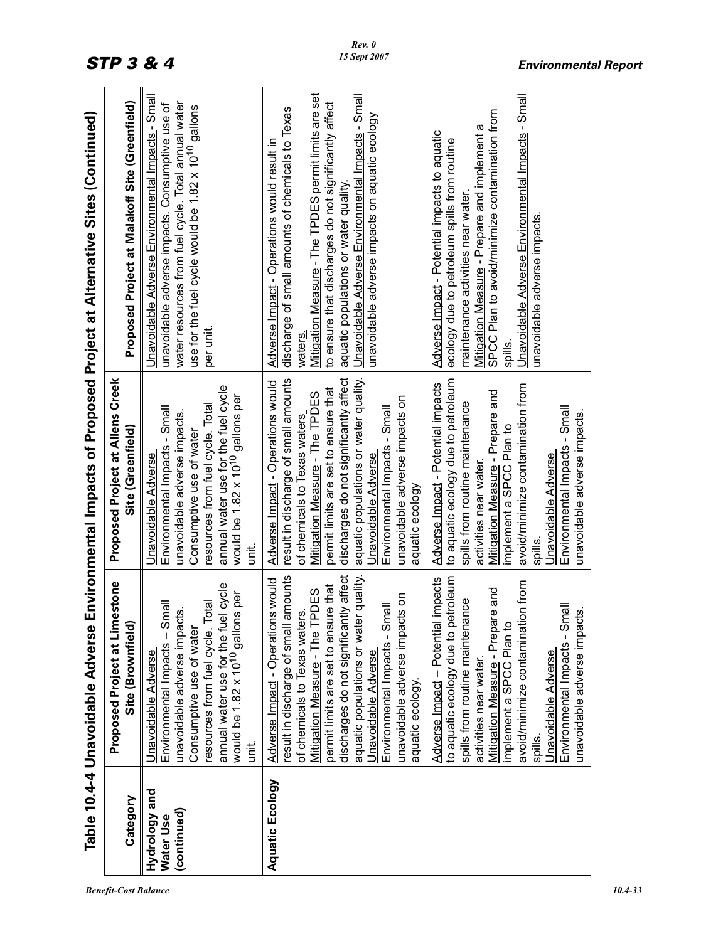|                                           | Table 10.4-4 Unavoidable Adverse                                                                                                                                                                                                                                                                                                                                                                                                                                                                                                                                                                                                                                                                                                                           |                                                                                                                                                                                                                                                                                                                                                                                                                                                                                                                                                                                                                                                                                                                                       | Environmental Impacts of Proposed Project at Alternative Sites (Continued)                                                                                                                                                                                                                                                                                                                                                                                                                                                                                                                                                                                                                                           |
|-------------------------------------------|------------------------------------------------------------------------------------------------------------------------------------------------------------------------------------------------------------------------------------------------------------------------------------------------------------------------------------------------------------------------------------------------------------------------------------------------------------------------------------------------------------------------------------------------------------------------------------------------------------------------------------------------------------------------------------------------------------------------------------------------------------|---------------------------------------------------------------------------------------------------------------------------------------------------------------------------------------------------------------------------------------------------------------------------------------------------------------------------------------------------------------------------------------------------------------------------------------------------------------------------------------------------------------------------------------------------------------------------------------------------------------------------------------------------------------------------------------------------------------------------------------|----------------------------------------------------------------------------------------------------------------------------------------------------------------------------------------------------------------------------------------------------------------------------------------------------------------------------------------------------------------------------------------------------------------------------------------------------------------------------------------------------------------------------------------------------------------------------------------------------------------------------------------------------------------------------------------------------------------------|
| Category                                  | Proposed Project at Limestone<br>Site (Brownfield)                                                                                                                                                                                                                                                                                                                                                                                                                                                                                                                                                                                                                                                                                                         | Proposed Project at Allens Creek<br>Site (Greenfield)                                                                                                                                                                                                                                                                                                                                                                                                                                                                                                                                                                                                                                                                                 | Proposed Project at Malakoff Site (Greenfield)                                                                                                                                                                                                                                                                                                                                                                                                                                                                                                                                                                                                                                                                       |
| Hydrology and<br>(continued)<br>Water Use | annual water use for the fuel cycle<br>is per<br>Environmental Impacts - Small<br>resources from fuel cycle. Total<br>unavoidable adverse impacts.<br>would be 1.82 x 10 <sup>10</sup> gallon<br>Consumptive use of water<br>Unavoidable Adverse<br>it.<br>S                                                                                                                                                                                                                                                                                                                                                                                                                                                                                               | annual water use for the fuel cycle<br>would be 1.82 x 10 <sup>10</sup> gallons per<br>resources from fuel cycle. Total<br>Environmental Impacts - Small<br>unavoidable adverse impacts.<br>Consumptive use of water<br>Unavoidable Adverse<br>ii.<br>S                                                                                                                                                                                                                                                                                                                                                                                                                                                                               | Unavoidable Adverse Environmental Impacts - Small<br>water resources from fuel cycle. Total annual water<br>unavoidable adverse impacts. Consumptive use of<br>use for the fuel cycle would be 1.82 x 10 <sup>10</sup> gallons<br>per unit.                                                                                                                                                                                                                                                                                                                                                                                                                                                                          |
| Aquatic Ecology                           | aquatic populations or water quality.<br>discharges do not significantly affect<br>result in discharge of small amounts<br>to aquatic ecology due to petroleum<br>Adverse Impact - Potential impacts<br>s would<br>avoid/minimize contamination from<br>permit limits are set to ensure that<br>and<br>PDES<br>unavoidable adverse impacts on<br>spills from routine maintenance<br>Environmental Impacts - Small<br>Environmental Impacts - Small<br>unavoidable adverse impacts.<br>φ<br>Ģ<br>Adverse Impact - Operation<br>of chemicals to Texas water<br>Mitigation Measure - Prepar<br>implement a SPCC Plan to<br>Mitigation Measure - The TI<br>Jnavoidable Adverse<br>Unavoidable Adverse<br>activities near water.<br>aquatic ecology.<br>spills. | aquatic populations or water quality.<br>discharges do not significantly affect<br>result in discharge of small amounts<br>to aquatic ecology due to petroleum<br>Adverse Impact - Operations would<br>Adverse Impact - Potential impacts<br>avoid/minimize contamination from<br>permit limits are set to ensure that<br>Mitigation Measure - Prepare and<br>Mitigation Measure - The TPDES<br>unavoidable adverse impacts on<br>spills from routine maintenance<br>Environmental Impacts - Small<br>Environmental Impacts - Small<br>unavoidable adverse impacts.<br>of chemicals to Texas waters<br>implement a SPCC Plan to<br>Unavoidable Adverse<br>Jnavoidable Adverse<br>activities near water.<br>aquatic ecology<br>spills. | Mitigation Measure - The TPDES permit limits are set<br>Unavoidable Adverse Environmental Impacts - Small<br>Unavoidable Adverse Environmental Impacts - Small<br>to ensure that discharges do not significantly affect<br>discharge of small amounts of chemicals to Texas<br>SPCC Plan to avoid/minimize contamination from<br>unavoidable adverse impacts on aquatic ecology<br>Mitigation Measure - Prepare and implement a<br>Adverse Impact - Potential impacts to aquatic<br>ecology due to petroleum spills from routine<br>Adverse Impact - Operations would result in<br>aquatic populations or water quality.<br>maintenance activities near water.<br>unavoidable adverse impacts.<br>waters.<br>spills. |
|                                           |                                                                                                                                                                                                                                                                                                                                                                                                                                                                                                                                                                                                                                                                                                                                                            |                                                                                                                                                                                                                                                                                                                                                                                                                                                                                                                                                                                                                                                                                                                                       |                                                                                                                                                                                                                                                                                                                                                                                                                                                                                                                                                                                                                                                                                                                      |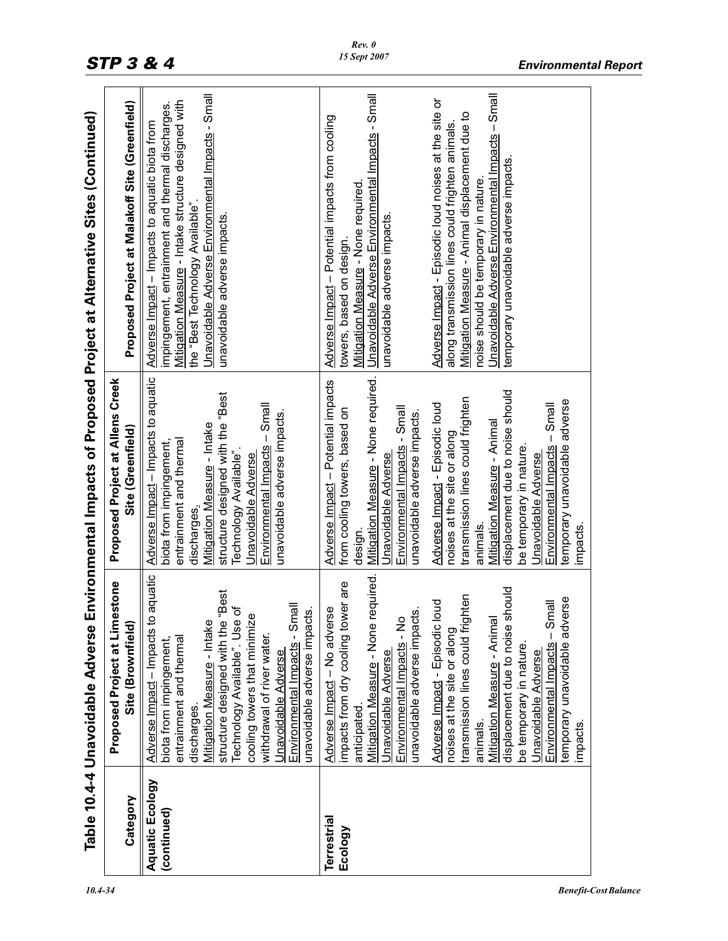|                                | Table 10.4-4 Unavoidable Adverse                                                                                                                                                                                                                                                                                                                                                                                                                                                                                                                |                                                                                                                                                                                                                                                                                                                                                                                                                                                                                                                                          | Environmental Impacts of Proposed Project at Alternative Sites (Continued)                                                                                                                                                                                                                                                                                                                                                                                                                                 |
|--------------------------------|-------------------------------------------------------------------------------------------------------------------------------------------------------------------------------------------------------------------------------------------------------------------------------------------------------------------------------------------------------------------------------------------------------------------------------------------------------------------------------------------------------------------------------------------------|------------------------------------------------------------------------------------------------------------------------------------------------------------------------------------------------------------------------------------------------------------------------------------------------------------------------------------------------------------------------------------------------------------------------------------------------------------------------------------------------------------------------------------------|------------------------------------------------------------------------------------------------------------------------------------------------------------------------------------------------------------------------------------------------------------------------------------------------------------------------------------------------------------------------------------------------------------------------------------------------------------------------------------------------------------|
| Category                       | Proposed Project at Limestone<br>Site (Brownfield)                                                                                                                                                                                                                                                                                                                                                                                                                                                                                              | Proposed Project at Allens Creek<br>Site (Greenfield)                                                                                                                                                                                                                                                                                                                                                                                                                                                                                    | Proposed Project at Malakoff Site (Greenfield)                                                                                                                                                                                                                                                                                                                                                                                                                                                             |
| Aquatic Ecology<br>(continued) | o aquatic<br>Best<br>Best<br>Environmental Impacts - Small<br>Technology Available". Use of<br>unavoidable adverse impacts.<br>$\mathbf{Q}$<br>Mitigation Measure - Intake<br>structure designed with the<br>cooling towers that minimiz<br>Adverse Impact – Impacts<br>withdrawal of river water.<br>entrainment and thermal<br>biota from impingement,<br>Unavoidable Adverse<br>discharges.                                                                                                                                                  | Adverse Impact - Impacts to aquatic<br>structure designed with the "Best<br>Environmental Impacts - Small<br>unavoidable adverse impacts.<br>Mitigation Measure - Intake<br>entrainment and thermal<br>biota from impingement,<br>Technology Available".<br>Unavoidable Adverse<br>discharges.                                                                                                                                                                                                                                           | <u>Unavoidable Adverse Environmental Impacts</u> - Small<br>Mitigation Measure - Intake structure designed with<br>impingement, entrainment and thermal discharges.<br>Adverse Impact - Impacts to aquatic biota from<br>the "Best Technology Available".<br>unavoidable adverse impacts                                                                                                                                                                                                                   |
| Terrestrial<br>Ecology         | required.<br>impacts from dry cooling tower are<br>should<br>transmission lines could frighten<br>verse<br>Adverse Impact - Episodic loud<br>llem<br>Adverse Impact - No adverse<br>unavoidable adverse impacts.<br>Environmental Impacts - No<br>Mitigation Measure - Animal<br>Mitigation Measure - None<br>displacement due to noise<br>Environmental Impacts - S<br>temporary unavoidable adv<br>noises at the site or along<br>be temporary in nature.<br>Jnavoidable Adverse<br>Unavoidable Adverse<br>anticipated<br>animals.<br>mpacts. | Mitigation Measure - None required.<br>Adverse Impact - Potential impacts<br>displacement due to noise should<br>transmission lines could frighten<br>temporary unavoidable adverse<br>Adverse Impact - Episodic loud<br>Environmental Impacts - Small<br>Environmental Impacts - Small<br>from cooling towers, based on<br>unavoidable adverse impacts.<br>Mitigation Measure - Animal<br>noises at the site or along<br>be temporary in nature.<br>Unavoidable Adverse<br><u>Unavoidable Adverse</u><br>animals.<br>impacts<br>design. | Unavoidable Adverse Environmental Impacts - Small<br>Unavoidable Adverse Environmental Impacts - Small<br>Adverse Impact - Episodic loud noises at the site or<br>Mitigation Measure - Animal displacement due to<br>Adverse Impact - Potential impacts from cooling<br>along transmission lines could frighten animals.<br>temporary unavoidable adverse impacts<br>noise should be temporary in nature<br>Mitigation Measure - None required<br>unavoidable adverse impacts.<br>towers, based on design. |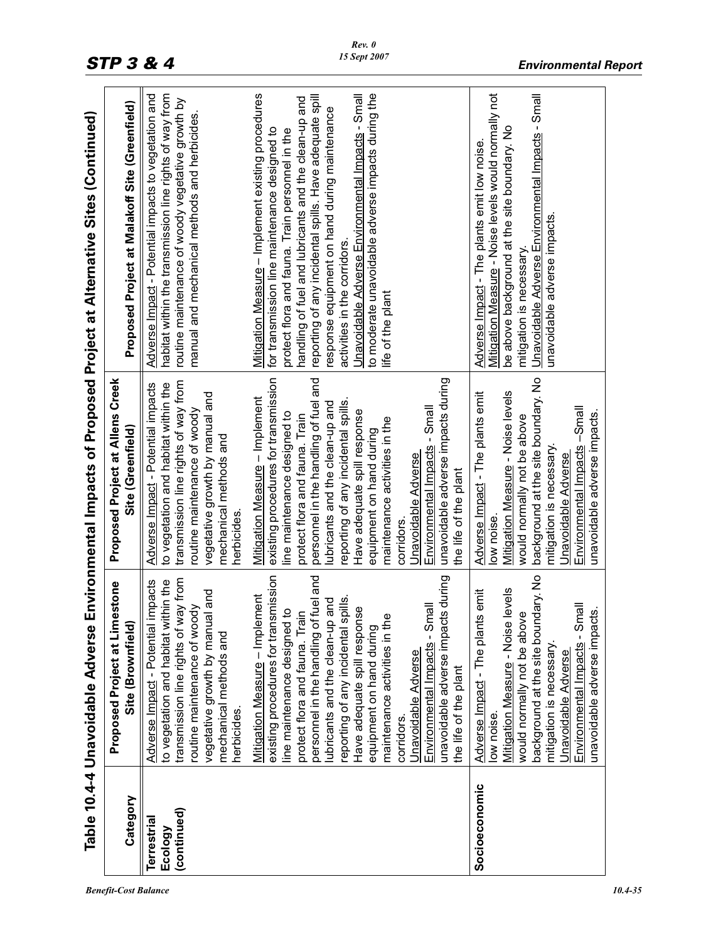|                                              |                                                                                                                                                                                                                                                                                                                                                                                                                                                                                                                    |                                                                                                                                                                                                                                                                                                                                                                                                                                                                                             | Table 10.4-4 Unavoidable Adverse Environmental Impacts of Proposed Project at Alternative Sites (Continued)                                                                                                                                                                                                                                                                                                                                                                                |
|----------------------------------------------|--------------------------------------------------------------------------------------------------------------------------------------------------------------------------------------------------------------------------------------------------------------------------------------------------------------------------------------------------------------------------------------------------------------------------------------------------------------------------------------------------------------------|---------------------------------------------------------------------------------------------------------------------------------------------------------------------------------------------------------------------------------------------------------------------------------------------------------------------------------------------------------------------------------------------------------------------------------------------------------------------------------------------|--------------------------------------------------------------------------------------------------------------------------------------------------------------------------------------------------------------------------------------------------------------------------------------------------------------------------------------------------------------------------------------------------------------------------------------------------------------------------------------------|
| Category                                     | Proposed Project at Limestone<br>Site (Brownfield)                                                                                                                                                                                                                                                                                                                                                                                                                                                                 | Proposed Project at Allens Creek<br>Site (Greenfield)                                                                                                                                                                                                                                                                                                                                                                                                                                       | Proposed Project at Malakoff Site (Greenfield)                                                                                                                                                                                                                                                                                                                                                                                                                                             |
| (continued)<br><b>Terrestrial</b><br>Ecology | transmission line rights of way from<br>to vegetation and habitat within the<br>Adverse Impact - Potential impacts<br>vegetative growth by manual and<br>routine maintenance of woody<br>mechanical methods and<br>herbicides.                                                                                                                                                                                                                                                                                     | transmission line rights of way from<br>Adverse Impact - Potential impacts<br>to vegetation and habitat within the<br>vegetative growth by manual and<br>routine maintenance of woody<br>mechanical methods and<br>herbicides                                                                                                                                                                                                                                                               | habitat within the transmission line rights of way from<br>Adverse Impact - Potential impacts to vegetation and<br>routine maintenance of woody vegetative growth by<br>manual and mechanical methods and herbicides                                                                                                                                                                                                                                                                       |
|                                              | existing procedures for transmission<br>fuel and<br>unavoidable adverse impacts during<br>Mitigation Measure - Implement<br>reporting of any incidental spills.<br>and<br>Environmental Impacts - Small<br>Have adequate spill response<br>$\overline{5}$<br>protect flora and fauna. Train<br>maintenance activities in the<br>personnel in the handling of<br>line maintenance designed<br>lubricants and the clean-up<br>equipment on hand during<br>Unavoidable Adverse<br>the life of the plant<br>corridors. | existing procedures for transmission<br>personnel in the handling of fuel and<br>unavoidable adverse impacts during<br>Mitigation Measure - Implement<br>reporting of any incidental spills.<br>ubricants and the clean-up and<br>Environmental Impacts - Small<br>Have adequate spill response<br>line maintenance designed to<br>protect flora and fauna. Train<br>maintenance activities in the<br>equipment on hand during<br>Unavoidable Adverse<br>the life of the plant<br>corridors | to moderate unavoidable adverse impacts during the<br>Unavoidable Adverse Environmental Impacts - Small<br>Mitigation Measure - Implement existing procedures<br>reporting of any incidental spills. Have adequate spill<br>handling of fuel and lubricants and the clean-up and<br>response equipment on hand during maintenance<br>for transmission line maintenance designed to<br>protect flora and fauna. Train personnel in the<br>activities in the corridors.<br>life of the plant |
| Socioeconomic                                | dary. No<br>levels<br>emit<br>$\overline{\overline{2}}$<br>$\dot{\omega}$<br>would normally not be above<br>Adverse Impact - The plants<br>Environmental Impacts - Sm<br>unavoidable adverse impact<br>background at the site boun<br>Mitigation Measure - Noise<br>mitigation is necessary.<br>Jnavoidable Adverse<br>low noise.                                                                                                                                                                                  | background at the site boundary. No<br>Mitigation Measure - Noise levels<br>Adverse Impact - The plants emit<br>Environmental Impacts -Small<br>unavoidable adverse impacts.<br>would normally not be above<br>mitigation is necessary.<br>Unavoidable Adverse<br>low noise                                                                                                                                                                                                                 | Mitigation Measure - Noise levels would normally not<br>Jnavoidable Adverse Environmental Impacts - Small<br>be above background at the site boundary. No<br>Adverse Impact - The plants emit low noise.<br>unavoidable adverse impacts.<br>mitigation is necessary.                                                                                                                                                                                                                       |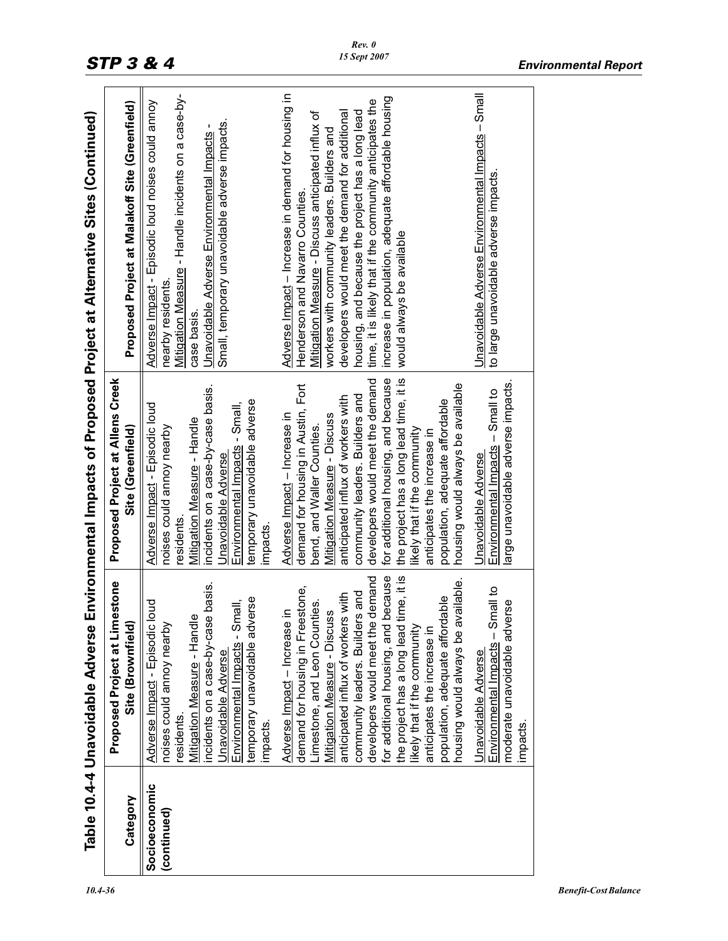|                              |                                                                                                                                                                                                                                                                                                                                                                                                                                                                                                |                                                                                                                                                                                                                                                                                                                                                                                                                                                                               | Table 10.4-4 Unavoidable Adverse Environmental Impacts of Proposed Project at Alternative Sites (Continued)                                                                                                                                                                                                                                                                                                                                        |
|------------------------------|------------------------------------------------------------------------------------------------------------------------------------------------------------------------------------------------------------------------------------------------------------------------------------------------------------------------------------------------------------------------------------------------------------------------------------------------------------------------------------------------|-------------------------------------------------------------------------------------------------------------------------------------------------------------------------------------------------------------------------------------------------------------------------------------------------------------------------------------------------------------------------------------------------------------------------------------------------------------------------------|----------------------------------------------------------------------------------------------------------------------------------------------------------------------------------------------------------------------------------------------------------------------------------------------------------------------------------------------------------------------------------------------------------------------------------------------------|
| Category                     | estone<br>Proposed Project at Limo<br>Site (Brownfield)                                                                                                                                                                                                                                                                                                                                                                                                                                        | Proposed Project at Allens Creek<br>Site (Greenfield)                                                                                                                                                                                                                                                                                                                                                                                                                         | Proposed Project at Malakoff Site (Greenfield)                                                                                                                                                                                                                                                                                                                                                                                                     |
| Socioeconomic<br>(continued) | basis.<br>temporary unavoidable adverse<br>Environmental Impacts - Small,<br>Adverse Impact - Episodic loud<br>Mitigation Measure - Handle<br>incidents on a case-by-case<br>noises could annoy nearby<br>Unavoidable Adverse<br>residents<br>impacts.                                                                                                                                                                                                                                         | incidents on a case-by-case basis.<br>temporary unavoidable adverse<br>Environmental Impacts - Small,<br>Adverse Impact - Episodic loud<br><u>Mitigation Measure</u> - Handle<br>noises could annoy nearby<br>Unavoidable Adverse<br>residents.<br>impacts.                                                                                                                                                                                                                   | Mitigation Measure - Handle incidents on a case-by-<br>Adverse Impact - Episodic loud noises could annoy<br>Small, temporary unavoidable adverse impacts.<br>Unavoidable Adverse Environmental Impacts -<br>nearby residents.<br>case basis                                                                                                                                                                                                        |
|                              | for additional housing, and because<br>the project has a long lead time, it is<br>demand<br>housing would always be available.<br>demand for housing in Freestone,<br>community leaders. Builders and<br>anticipated influx of workers with<br>population, adequate affordable<br>Limestone, and Leon Counties.<br><b>Mitigation Measure - Discuss</b><br>$\subseteq$<br>developers would meet the<br>Adverse Impact - Increase<br>likely that if the community<br>anticipates the increase in | for additional housing, and because<br>the project has a long lead time, it is<br>developers would meet the demand<br>housing would always be available<br>demand for housing in Austin, Fort<br>community leaders. Builders and<br>anticipated influx of workers with<br>population, adequate affordable<br>Adverse Impact - Increase in<br><b>Mitigation Measure - Discuss</b><br>bend, and Waller Counties.<br>likely that if the community<br>anticipates the increase in | Adverse Impact - Increase in demand for housing in<br>increase in population, adequate affordable housing<br>time, it is likely that if the community anticipates the<br>housing, and because the project has a long lead<br>Mitigation Measure - Discuss anticipated influx of<br>developers would meet the demand for additional<br>workers with community leaders. Builders and<br>Henderson and Navarro Counties.<br>would always be available |
|                              | Environmental Impacts - Small to<br>moderate unavoidable adverse<br>Unavoidable Adverse<br>impacts.                                                                                                                                                                                                                                                                                                                                                                                            | arge unavoidable adverse impacts.<br>Environmental Impacts - Small to<br>Unavoidable Adverse                                                                                                                                                                                                                                                                                                                                                                                  | Unavoidable Adverse Environmental Impacts - Small<br>to large unavoidable adverse impacts.                                                                                                                                                                                                                                                                                                                                                         |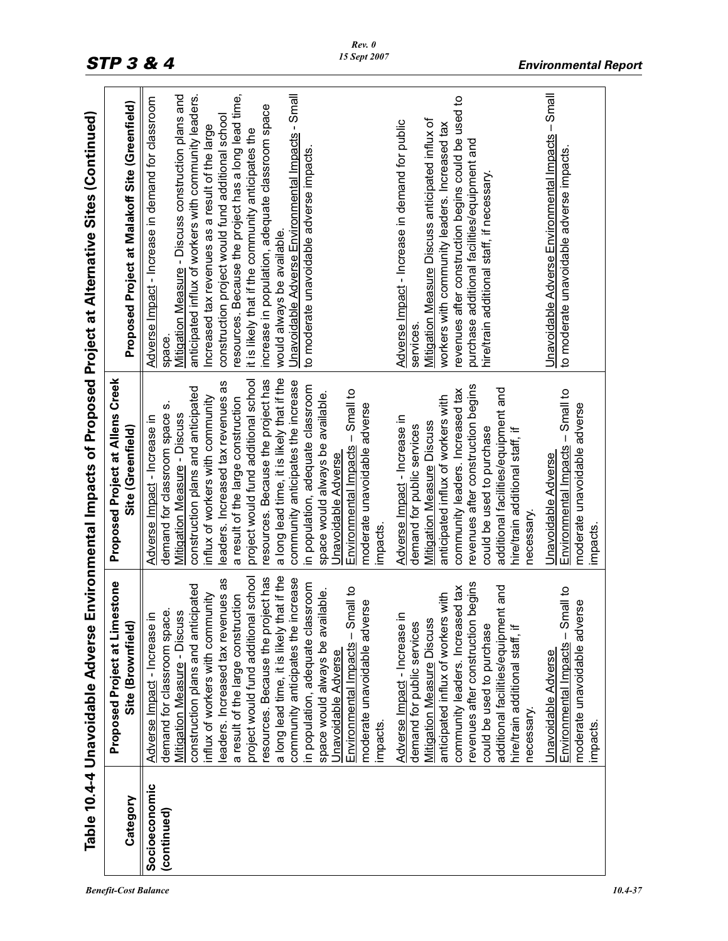|                              | Table 10.4-4 Unavoidable Adverse                                                                                                                                                                                                                                                                                                                                                                                                                                                                                                                                                                                     |                                                                                                                                                                                                                                                                                                                                                                                                                                                                                                                                                                                                                     | Environmental Impacts of Proposed Project at Alternative Sites (Continued)                                                                                                                                                                                                                                                                                                                                                                                                                                                                                                          |
|------------------------------|----------------------------------------------------------------------------------------------------------------------------------------------------------------------------------------------------------------------------------------------------------------------------------------------------------------------------------------------------------------------------------------------------------------------------------------------------------------------------------------------------------------------------------------------------------------------------------------------------------------------|---------------------------------------------------------------------------------------------------------------------------------------------------------------------------------------------------------------------------------------------------------------------------------------------------------------------------------------------------------------------------------------------------------------------------------------------------------------------------------------------------------------------------------------------------------------------------------------------------------------------|-------------------------------------------------------------------------------------------------------------------------------------------------------------------------------------------------------------------------------------------------------------------------------------------------------------------------------------------------------------------------------------------------------------------------------------------------------------------------------------------------------------------------------------------------------------------------------------|
| Category                     | <b>Proposed Project at Limestone</b><br>Site (Brownfield)                                                                                                                                                                                                                                                                                                                                                                                                                                                                                                                                                            | Proposed Project at Allens Creek<br>Site (Greenfield)                                                                                                                                                                                                                                                                                                                                                                                                                                                                                                                                                               | Proposed Project at Malakoff Site (Greenfield)                                                                                                                                                                                                                                                                                                                                                                                                                                                                                                                                      |
| Socioeconomic<br>(continued) | a long lead time, it is likely that if the<br>project would fund additional school<br>resources. Because the project has<br>community anticipates the increase<br>eaders. Increased tax revenues as<br>in population, adequate classroom<br>construction plans and anticipated<br>Environmental Impacts - Small to<br>space would always be available.<br>influx of workers with community<br>a result of the large construction<br>moderate unavoidable adverse<br>demand for classroom space.<br><b>Mitigation Measure - Discuss</b><br>$\subseteq$<br>Adverse Impact - Increase<br>Unavoidable Adverse<br>impacts | a long lead time, it is likely that if the<br>project would fund additional school<br>resources. Because the project has<br>community anticipates the increase<br>leaders. Increased tax revenues as<br>in population, adequate classroom<br>construction plans and anticipated<br>$-$ Small to<br>space would always be available.<br>influx of workers with community<br>a result of the large construction<br>vi<br>moderate unavoidable adverse<br>demand for classroom space<br><b>Mitigation Measure - Discuss</b><br>Adverse Impact - Increase in<br>Environmental Impacts<br>Jnavoidable Adverse<br>impacts | resources. Because the project has a long lead time,<br>Unavoidable Adverse Environmental Impacts - Small<br>Mitigation Measure - Discuss construction plans and<br>anticipated influx of workers with community leaders.<br>Adverse Impact - Increase in demand for classroom<br>increase in population, adequate classroom space<br>construction project would fund additional school<br>Increased tax revenues as a result of the large<br>it is likely that if the community anticipates the<br>to moderate unavoidable adverse impacts.<br>would always be available.<br>space |
|                              | begins<br>nt and<br>community leaders. Increased tax<br>anticipated influx of workers with<br>c<br>demand for public services<br><b>Mitigation Measure Discuss</b><br>revenues after construction<br>additional facilities/equipme<br>Adverse Impact - Increase<br>could be used to purchase<br>hire/train additional staff, if<br>necessary.                                                                                                                                                                                                                                                                        | revenues after construction begins<br>additional facilities/equipment and<br>community leaders. Increased tax<br>anticipated influx of workers with<br>Adverse Impact - Increase in<br><b>Mitigation Measure Discuss</b><br>demand for public services<br>could be used to purchase<br>hire/train additional staff, if<br>necessary                                                                                                                                                                                                                                                                                 | revenues after construction begins could be used to<br>Mitigation Measure Discuss anticipated influx of<br>Adverse Impact - Increase in demand for public<br>workers with community leaders. Increased tax<br>purchase additional facilities/equipment and<br>hire/train additional staff, if necessary.<br>services                                                                                                                                                                                                                                                                |
|                              | Environmental Impacts - Small to<br>moderate unavoidable adverse<br>Unavoidable Adverse<br>impacts.                                                                                                                                                                                                                                                                                                                                                                                                                                                                                                                  | Environmental Impacts - Small to<br>moderate unavoidable adverse<br>Unavoidable Adverse<br>impacts.                                                                                                                                                                                                                                                                                                                                                                                                                                                                                                                 | Unavoidable Adverse Environmental Impacts - Small<br>to moderate unavoidable adverse impacts.                                                                                                                                                                                                                                                                                                                                                                                                                                                                                       |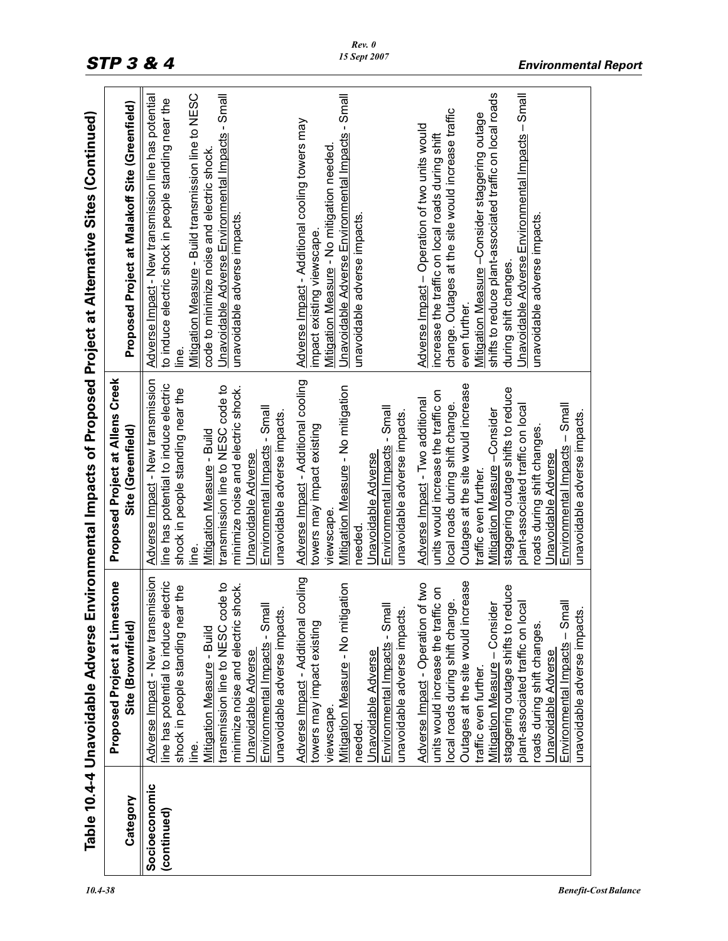|                              | Table 10.4-4 Unavoidable Adverse                                                                                                                                                                                                                                                                                                                                                                                  |                                                                                                                                                                                                                                                                                                                                                                                                            | Environmental Impacts of Proposed Project at Alternative Sites (Continued)                                                                                                                                                                                                                                                                                                                          |
|------------------------------|-------------------------------------------------------------------------------------------------------------------------------------------------------------------------------------------------------------------------------------------------------------------------------------------------------------------------------------------------------------------------------------------------------------------|------------------------------------------------------------------------------------------------------------------------------------------------------------------------------------------------------------------------------------------------------------------------------------------------------------------------------------------------------------------------------------------------------------|-----------------------------------------------------------------------------------------------------------------------------------------------------------------------------------------------------------------------------------------------------------------------------------------------------------------------------------------------------------------------------------------------------|
| Category                     | estone<br>Proposed Project at Lim<br>Site (Brownfield)                                                                                                                                                                                                                                                                                                                                                            | Proposed Project at Allens Creek<br>Site (Greenfield)                                                                                                                                                                                                                                                                                                                                                      | Proposed Project at Malakoff Site (Greenfield)                                                                                                                                                                                                                                                                                                                                                      |
| Socioeconomic<br>(continued) | Adverse Impact - New transmission<br>line has potential to induce electric<br>code to<br>shock.<br>shock in people standing near the<br>Environmental Impacts - Small<br>unavoidable adverse impacts.<br>minimize noise and electric<br>transmission line to NESC<br>Mitigation Measure - Build<br>Unavoidable Adverse<br><u>ine</u>                                                                              | Adverse Impact - New transmission<br>line has potential to induce electric<br>transmission line to NESC code to<br>minimize noise and electric shock.<br>shock in people standing near the<br>Environmental Impacts - Small<br>unavoidable adverse impacts.<br>Mitigation Measure - Build<br>Unavoidable Adverse<br>ine                                                                                    | Unavoidable Adverse Environmental Impacts - Small<br>Mitigation Measure - Build transmission line to NESC<br>Adverse Impact - New transmission line has potential<br>to induce electric shock in people standing near the<br>code to minimize noise and electric shock<br>unavoidable adverse impacts.<br><u>ine</u> .                                                                              |
|                              | cooling<br>tigation<br>Environmental Impacts - Small<br>unavoidable adverse impacts.<br>Adverse Impact - Additional<br>towers may impact existing<br>Mitigation Measure - No mit<br>Unavoidable Adverse<br>viewscape<br>needed                                                                                                                                                                                    | Adverse Impact - Additional cooling<br>Mitigation Measure - No mitigation<br>Environmental Impacts - Small<br>unavoidable adverse impacts.<br>towers may impact existing<br>Unavoidable Adverse<br>viewscape<br>needed                                                                                                                                                                                     | Unavoidable Adverse Environmental Impacts - Small<br>Adverse Impact - Additional cooling towers may<br>Mitigation Measure - No mitigation needed<br>unavoidable adverse impacts.<br>impact existing viewscape.                                                                                                                                                                                      |
|                              | Outages at the site would increase<br>Adverse Impact - Operation of two<br>reduce<br>units would increase the traffic on<br>local roads during shift change.<br>Environmental Impacts - Small<br>Mitigation Measure - Consider<br>plant-associated traffic on local<br>unavoidable adverse impacts.<br>staggering outage shifts to<br>roads during shift changes.<br>Unavoidable Adverse<br>traffic even further. | Outages at the site would increase<br>staggering outage shifts to reduce<br>units would increase the traffic on<br>Adverse Impact - Two additional<br>local roads during shift change.<br>Environmental Impacts - Small<br>plant-associated traffic on local<br>Mitigation Measure -Consider<br>unavoidable adverse impacts.<br>roads during shift changes<br>Unavoidable Adverse<br>traffic even further. | shifts to reduce plant-associated traffic on local roads<br>Unavoidable Adverse Environmental Impacts - Small<br>change. Outages at the site would increase traffic<br>Mitigation Measure -Consider staggering outage<br>Adverse Impact - Operation of two units would<br>increase the traffic on local roads during shift<br>unavoidable adverse impacts<br>during shift changes.<br>even further. |
|                              |                                                                                                                                                                                                                                                                                                                                                                                                                   |                                                                                                                                                                                                                                                                                                                                                                                                            |                                                                                                                                                                                                                                                                                                                                                                                                     |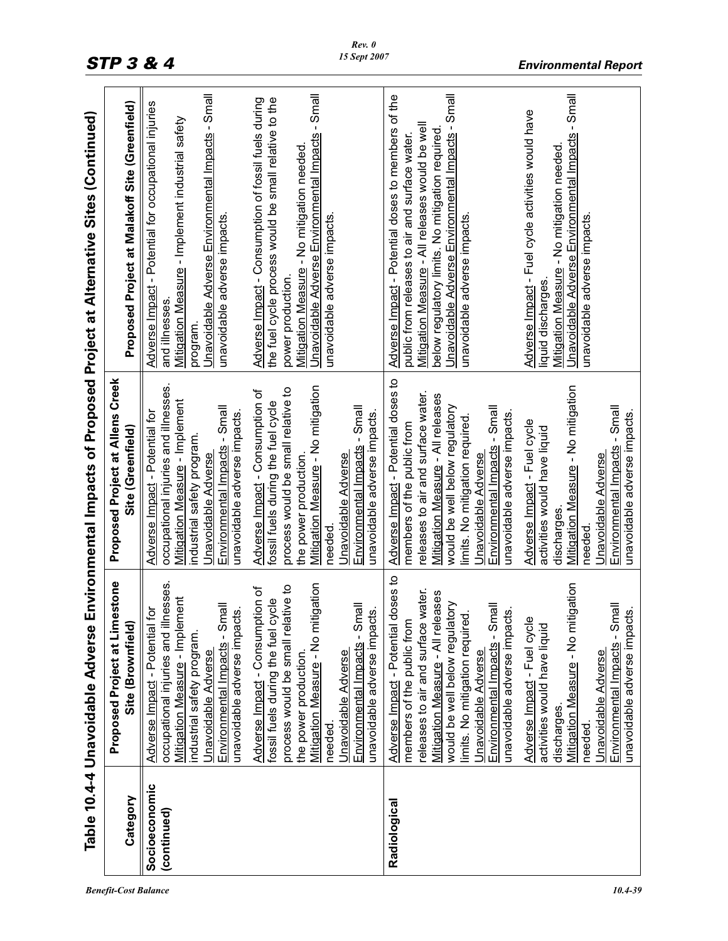|                              | Table 10.4-4 Unavoidable Adverse                                                                                                                                                                                                                                                                                                                                                                                                                                                                                                          |                                                                                                                                                                                                                                                                                                                                                                                                                                                                                                                                 | Environmental Impacts of Proposed Project at Alternative Sites (Continued)                                                                                                                                                                                                                                                                                                                                                                                                                                   |
|------------------------------|-------------------------------------------------------------------------------------------------------------------------------------------------------------------------------------------------------------------------------------------------------------------------------------------------------------------------------------------------------------------------------------------------------------------------------------------------------------------------------------------------------------------------------------------|---------------------------------------------------------------------------------------------------------------------------------------------------------------------------------------------------------------------------------------------------------------------------------------------------------------------------------------------------------------------------------------------------------------------------------------------------------------------------------------------------------------------------------|--------------------------------------------------------------------------------------------------------------------------------------------------------------------------------------------------------------------------------------------------------------------------------------------------------------------------------------------------------------------------------------------------------------------------------------------------------------------------------------------------------------|
| Category                     | <b>Proposed Project at Limestone</b><br>Site (Brownfield)                                                                                                                                                                                                                                                                                                                                                                                                                                                                                 | Proposed Project at Allens Creek<br>Site (Greenfield)                                                                                                                                                                                                                                                                                                                                                                                                                                                                           | Proposed Project at Malakoff Site (Greenfield)                                                                                                                                                                                                                                                                                                                                                                                                                                                               |
| Socioeconomic<br>(continued) | occupational injuries and illnesses.<br>igation<br>process would be small relative to<br>Adverse Impact - Consumption of<br><b>Mitigation Measure - Implement</b><br>fossil fuels during the fuel cycle<br>Environmental Impacts - Small<br>Environmental Impacts - Small<br>đ<br>unavoidable adverse impacts.<br>unavoidable adverse impacts.<br>Mitigation Measure - No mit<br>Adverse Impact - Potential<br>industrial safety program.<br>Unavoidable Adverse<br>Unavoidable Adverse<br>the power production.<br>needed                | occupational injuries and illnesses.<br>Mitigation Measure - No mitigation<br>process would be small relative to<br>Adverse Impact - Consumption of<br><b>Mitigation Measure - Implement</b><br>fossil fuels during the fuel cycle<br>Environmental Impacts - Small<br>Environmental Impacts - Small<br>Adverse Impact - Potential for<br>unavoidable adverse impacts.<br>unavoidable adverse impacts.<br>industrial safety program.<br>Unavoidable Adverse<br>Unavoidable Adverse<br>the power production.<br>needed           | Unavoidable Adverse Environmental Impacts - Small<br>-Small<br>the fuel cycle process would be small relative to the<br>Adverse Impact - Consumption of fossil fuels during<br>Adverse Impact - Potential for occupational injuries<br>Mitigation Measure - Implement industrial safety<br>Unavoidable Adverse Environmental Impacts<br>Mitigation Measure - No mitigation needed.<br>unavoidable adverse impacts.<br>unavoidable adverse impacts.<br>power production.<br>and illnesses<br>program.         |
| Radiological                 | Adverse Impact - Potential doses to<br>igation<br>releases to air and surface water.<br>Mitigation Measure - All releases<br>would be well below regulatory<br>Environmental Impacts - Small<br>Environmental Impacts - Small<br>unavoidable adverse impacts.<br>unavoidable adverse impacts.<br>limits. No mitigation required.<br>members of the public from<br>Adverse Impact - Fuel cycle<br>Mitigation Measure - No mit<br>activities would have liquid<br><b>Unavoidable Adverse</b><br>Unavoidable Adverse<br>discharges<br>needed | Adverse Impact - Potential doses to<br>Mitigation Measure - No mitigation<br>releases to air and surface water.<br>Mitigation Measure - All releases<br>would be well below regulatory<br>Environmental Impacts - Small<br>Environmental Impacts - Small<br>unavoidable adverse impacts.<br>unavoidable adverse impacts.<br>limits. No mitigation required.<br>Adverse Impact - Fuel cycle<br>members of the public from<br>activities would have liquid<br>Unavoidable Adverse<br>Unavoidable Adverse<br>discharges<br>needed. | Unavoidable Adverse Environmental Impacts - Small<br>Unavoidable Adverse Environmental Impacts - Small<br>Adverse Impact - Potential doses to members of the<br>Adverse Impact - Fuel cycle activities would have<br>Mitigation Measure - All releases would be well<br>below regulatory limits. No mitigation required<br>public from releases to air and surface water.<br>Mitigation Measure - No mitigation needed.<br>unavoidable adverse impacts.<br>unavoidable adverse impacts<br>liquid discharges. |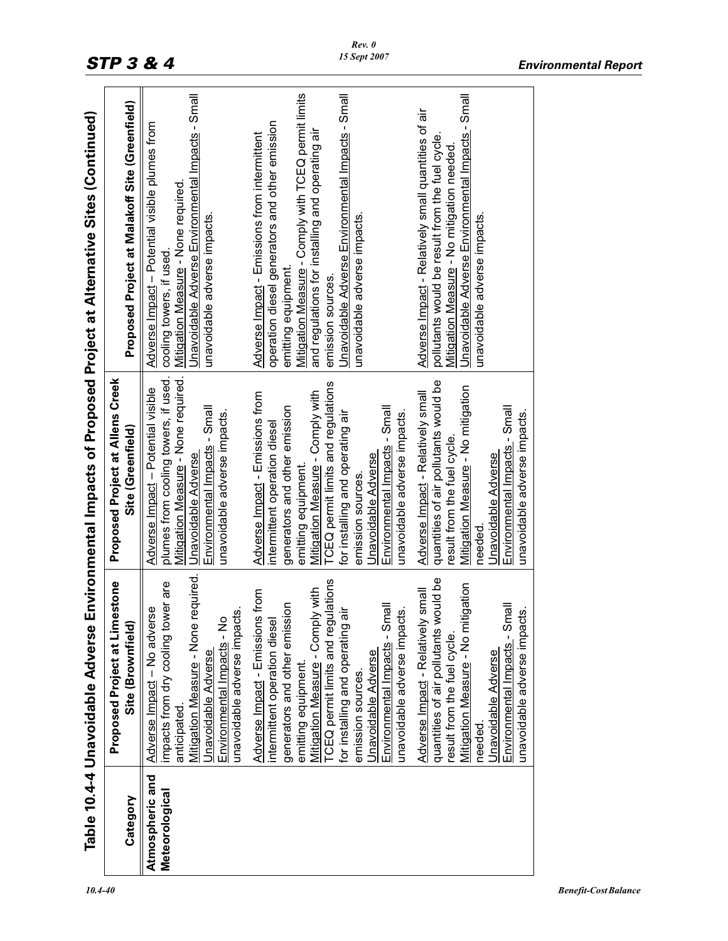|                                   | Table 10.4-4 Unavoidable Adverse                                                                                                                                                                                                                                                                                                                                                                                                                                                                                                                                                                                                                                                                                                                                                                                                          |                                                                                                                                                                                                                                                                                                                                                                                                                                                                                                                                                                                                                                                                                                                                                                                                                      | Environmental Impacts of Proposed Project at Alternative Sites (Continued)                                                                                                                                                                                                                                                                                                                                                                                                                                                                                                                                                                                                                                                                                                                       |
|-----------------------------------|-------------------------------------------------------------------------------------------------------------------------------------------------------------------------------------------------------------------------------------------------------------------------------------------------------------------------------------------------------------------------------------------------------------------------------------------------------------------------------------------------------------------------------------------------------------------------------------------------------------------------------------------------------------------------------------------------------------------------------------------------------------------------------------------------------------------------------------------|----------------------------------------------------------------------------------------------------------------------------------------------------------------------------------------------------------------------------------------------------------------------------------------------------------------------------------------------------------------------------------------------------------------------------------------------------------------------------------------------------------------------------------------------------------------------------------------------------------------------------------------------------------------------------------------------------------------------------------------------------------------------------------------------------------------------|--------------------------------------------------------------------------------------------------------------------------------------------------------------------------------------------------------------------------------------------------------------------------------------------------------------------------------------------------------------------------------------------------------------------------------------------------------------------------------------------------------------------------------------------------------------------------------------------------------------------------------------------------------------------------------------------------------------------------------------------------------------------------------------------------|
| Category                          | Proposed Project at Limestone<br>Site (Brownfield)                                                                                                                                                                                                                                                                                                                                                                                                                                                                                                                                                                                                                                                                                                                                                                                        | <b>Proposed Project at Allens Creek</b><br>Site (Greenfield)                                                                                                                                                                                                                                                                                                                                                                                                                                                                                                                                                                                                                                                                                                                                                         | Proposed Project at Malakoff Site (Greenfield)                                                                                                                                                                                                                                                                                                                                                                                                                                                                                                                                                                                                                                                                                                                                                   |
| Atmospheric and<br>Meteorological | Mitigation Measure - None required.<br>quantities of air pollutants would be<br>ulations<br>impacts from dry cooling tower are<br>igation<br>Mitigation Measure - Comply with<br>small<br>Adverse Impact - Emissions from<br>generators and other emission<br>Environmental Impacts - Small<br>Environmental Impacts - Small<br>Adverse Impact - No adverse<br>unavoidable adverse impacts.<br>unavoidable adverse impacts.<br>unavoidable adverse impacts.<br>ंत्त<br>Environmental Impacts - No<br>intermittent operation diesel<br>Adverse Impact - Relatively<br>Mitigation Measure - No mit<br>TCEQ permit limits and reg-<br>for installing and operating<br>result from the fuel cycle.<br>Unavoidable Adverse<br>Unavoidable Adverse<br>Unavoidable Adverse<br>emitting equipment.<br>emission sources.<br>anticipated.<br>needed | Mitigation Measure - None required.<br>plumes from cooling towers, if used.<br>quantities of air pollutants would be<br>TCEQ permit limits and regulations<br>Mitigation Measure - No mitigation<br>Adverse Impact - Potential visible<br>Mitigation Measure - Comply with<br>Adverse Impact - Emissions from<br>Adverse Impact - Relatively small<br>generators and other emission<br>Environmental Impacts - Small<br>Environmental Impacts - Small<br>Environmental Impacts - Small<br>unavoidable adverse impacts.<br>for installing and operating air<br>unavoidable adverse impacts.<br>unavoidable adverse impacts.<br>intermittent operation diesel<br>result from the fuel cycle.<br>Unavoidable Adverse<br>Unavoidable Adverse<br>Unavoidable Adverse<br>emitting equipment.<br>emission sources<br>needed | Unavoidable Adverse Environmental Impacts - Small<br>Unavoidable Adverse Environmental Impacts - Small<br>Unavoidable Adverse Environmental Impacts - Small<br>Mitigation Measure - Comply with TCEQ permit limits<br>Adverse Impact - Relatively small quantities of air<br>operation diesel generators and other emission<br>Adverse Impact - Potential visible plumes from<br>and regulations for installing and operating air<br>Adverse Impact - Emissions from intermittent<br>pollutants would be result from the fuel cycle.<br>Mitigation Measure - No mitigation needed.<br>Mitigation Measure - None required<br>unavoidable adverse impacts.<br>unavoidable adverse impacts.<br>unavoidable adverse impacts.<br>cooling towers, if used.<br>emitting equipment.<br>emission sources. |
|                                   |                                                                                                                                                                                                                                                                                                                                                                                                                                                                                                                                                                                                                                                                                                                                                                                                                                           |                                                                                                                                                                                                                                                                                                                                                                                                                                                                                                                                                                                                                                                                                                                                                                                                                      |                                                                                                                                                                                                                                                                                                                                                                                                                                                                                                                                                                                                                                                                                                                                                                                                  |